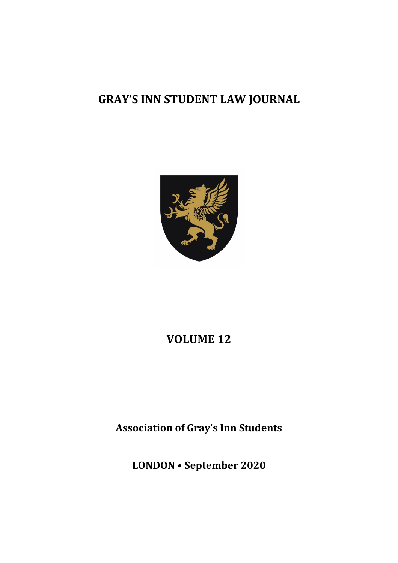## **GRAY'S INN STUDENT LAW JOURNAL**



### **VOLUME 12**

**Association of Gray's Inn Students** 

**LONDON • September 2020**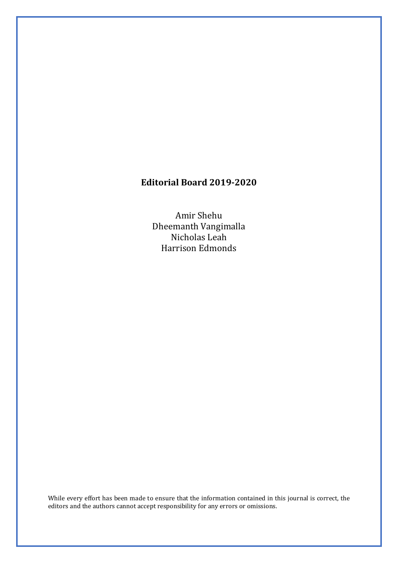### **Editorial Board 2019-2020**

Amir Shehu Dheemanth Vangimalla Nicholas Leah Harrison Edmonds

While every effort has been made to ensure that the information contained in this journal is correct, the editors and the authors cannot accept responsibility for any errors or omissions.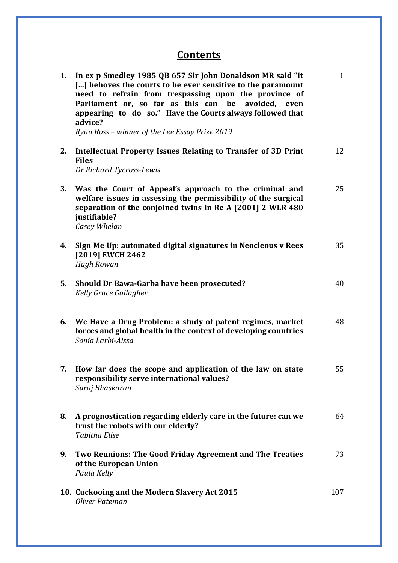### **Contents**

| 1. | In ex p Smedley 1985 QB 657 Sir John Donaldson MR said "It<br>[] behoves the courts to be ever sensitive to the paramount<br>need to refrain from trespassing upon the province of<br>Parliament or, so far as this can be<br>avoided, even<br>appearing to do so." Have the Courts always followed that<br>advice?<br>Ryan Ross - winner of the Lee Essay Prize 2019 | $\mathbf{1}$ |
|----|-----------------------------------------------------------------------------------------------------------------------------------------------------------------------------------------------------------------------------------------------------------------------------------------------------------------------------------------------------------------------|--------------|
| 2. | Intellectual Property Issues Relating to Transfer of 3D Print<br><b>Files</b><br>Dr Richard Tycross-Lewis                                                                                                                                                                                                                                                             | 12           |
| 3. | Was the Court of Appeal's approach to the criminal and<br>welfare issues in assessing the permissibility of the surgical<br>separation of the conjoined twins in Re A [2001] 2 WLR 480<br>justifiable?<br>Casey Whelan                                                                                                                                                | 25           |
| 4. | Sign Me Up: automated digital signatures in Neocleous v Rees<br>[2019] EWCH 2462<br><b>Hugh Rowan</b>                                                                                                                                                                                                                                                                 | 35           |
| 5. | Should Dr Bawa-Garba have been prosecuted?<br>Kelly Grace Gallagher                                                                                                                                                                                                                                                                                                   | 40           |
| 6. | We Have a Drug Problem: a study of patent regimes, market<br>forces and global health in the context of developing countries<br>Sonia Larbi-Aissa                                                                                                                                                                                                                     | 48           |
|    | How far does the scope and application of the law on state<br>responsibility serve international values?<br>Suraj Bhaskaran                                                                                                                                                                                                                                           | 55           |
| 8. | A prognostication regarding elderly care in the future: can we<br>trust the robots with our elderly?<br><b>Tabitha Elise</b>                                                                                                                                                                                                                                          | 64           |
| 9. | Two Reunions: The Good Friday Agreement and The Treaties<br>of the European Union<br>Paula Kelly                                                                                                                                                                                                                                                                      | 73           |
|    | 10. Cuckooing and the Modern Slavery Act 2015<br>Oliver Pateman                                                                                                                                                                                                                                                                                                       | 107          |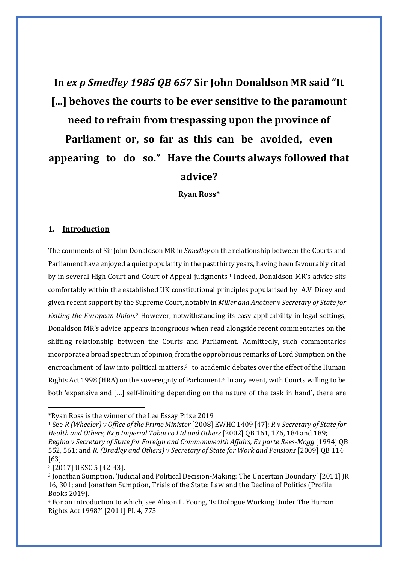# **In** *ex p Smedley 1985 QB 657* **Sir John Donaldson MR said "It [...] behoves the courts to be ever sensitive to the paramount need to refrain from trespassing upon the province of Parliament or, so far as this can be avoided, even appearing to do so." Have the Courts always followed that advice?**

**Ryan Ross\***

#### **1. Introduction**

The comments of Sir John Donaldson MR in *Smedley* on the relationship between the Courts and Parliament have enjoyed a quiet popularity in the past thirty years, having been favourably cited by in several High Court and Court of Appeal judgments.<sup>[1](#page-3-0)</sup> Indeed, Donaldson MR's advice sits comfortably within the established UK constitutional principles popularised by A.V. Dicey and given recent support by the Supreme Court, notably in *Miller and Another v Secretary of State for Exiting the European Union*.[2](#page-3-1) However, notwithstanding its easy applicability in legal settings, Donaldson MR's advice appears incongruous when read alongside recent commentaries on the shifting relationship between the Courts and Parliament. Admittedly, such commentaries incorporate a broad spectrum of opinion, from the opprobrious remarks of Lord Sumption on the encroachment of law into political matters, $3$  to academic debates over the effect of the Human Rights Act 1998 (HRA) on the sovereignty of Parliament.[4](#page-3-3) In any event, with Courts willing to be both 'expansive and […] self-limiting depending on the nature of the task in hand', there are

<span id="page-3-1"></span><sup>2</sup> [2017] UKSC 5 [42-43].

<span id="page-3-0"></span><sup>\*</sup>Ryan Ross is the winner of the Lee Essay Prize 2019

<sup>1</sup> See *R (Wheeler) v Office of the Prime Minister* [2008] EWHC 1409 [47]; *R v Secretary of State for Health and Others, Ex p Imperial Tobacco Ltd and Others* [2002] QB 161, 176, 184 and 189; *Regina v Secretary of State for Foreign and Commonwealth Affairs, Ex parte Rees-Mogg* [1994] QB 552, 561; and *R. (Bradley and Others) v Secretary of State for Work and Pensions* [2009] QB 114 [63].

<span id="page-3-2"></span><sup>3</sup> Jonathan Sumption, 'Judicial and Political Decision-Making: The Uncertain Boundary' [2011] JR 16, 301; and Jonathan Sumption, Trials of the State: Law and the Decline of Politics (Profile Books 2019).

<span id="page-3-3"></span><sup>4</sup> For an introduction to which, see Alison L. Young, 'Is Dialogue Working Under The Human Rights Act 1998?' [2011] PL 4, 773.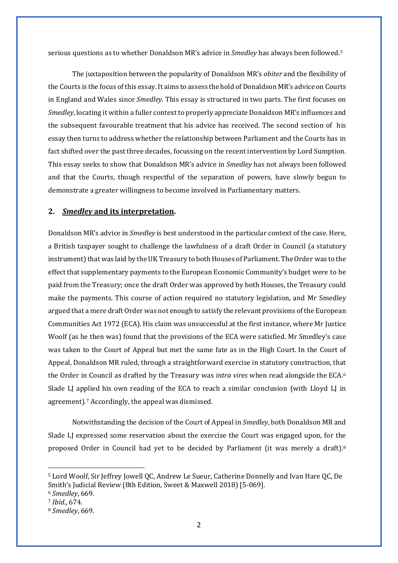serious questions as to whether Donaldson MR's advice in *Smedley* has always been followed.[5](#page-4-0)

The juxtaposition between the popularity of Donaldson MR's *obiter* and the flexibility of the Courts is the focus of this essay.It aims to assess the hold of Donaldson MR's advice on Courts in England and Wales since *Smedley*. This essay is structured in two parts. The first focuses on *Smedley*, locating it within a fuller context to properly appreciate Donaldson MR's influences and the subsequent favourable treatment that his advice has received. The second section of his essay then turns to address whether the relationship between Parliament and the Courts has in fact shifted over the past three decades, focussing on the recent intervention by Lord Sumption. This essay seeks to show that Donaldson MR's advice in *Smedley* has not always been followed and that the Courts, though respectful of the separation of powers, have slowly begun to demonstrate a greater willingness to become involved in Parliamentary matters.

#### **2.** *Smedley* **and its interpretation.**

Donaldson MR's advice in *Smedley* is best understood in the particular context of the case. Here, a British taxpayer sought to challenge the lawfulness of a draft Order in Council (a statutory instrument) that was laid by the UK Treasury to both Houses of Parliament. The Order was to the effect that supplementary payments to the European Economic Community's budget were to be paid from the Treasury; once the draft Order was approved by both Houses, the Treasury could make the payments. This course of action required no statutory legislation, and Mr Smedley argued that a mere draft Order was not enough to satisfy the relevant provisions of the European Communities Act 1972 (ECA). His claim was unsuccessful at the first instance, where Mr Justice Woolf (as he then was) found that the provisions of the ECA were satisfied. Mr Smedley's case was taken to the Court of Appeal but met the same fate as in the High Court. In the Court of Appeal, Donaldson MR ruled, through a straightforward exercise in statutory construction, that the Order in Council as drafted by the Treasury was *intra vires* when read alongside the ECA.[6](#page-4-1) Slade LJ applied his own reading of the ECA to reach a similar conclusion (with Lloyd LJ in agreement).<sup>7</sup> Accordingly, the appeal was dismissed.

Notwithstanding the decision of the Court of Appeal in *Smedley*, both Donaldson MR and Slade LJ expressed some reservation about the exercise the Court was engaged upon, for the proposed Order in Council had yet to be decided by Parliament (it was merely a draft).[8](#page-4-3)

<span id="page-4-0"></span><sup>5</sup> Lord Woolf, Sir Jeffrey Jowell QC, Andrew Le Sueur, Catherine Donnelly and Ivan Hare QC, De Smith's Judicial Review (8th Edition, Sweet & Maxwell 2018) [5-069].

<span id="page-4-1"></span><sup>6</sup> *Smedley*, 669.

<span id="page-4-2"></span><sup>7</sup> *Ibid*., 674.

<span id="page-4-3"></span><sup>8</sup> *Smedley*, 669.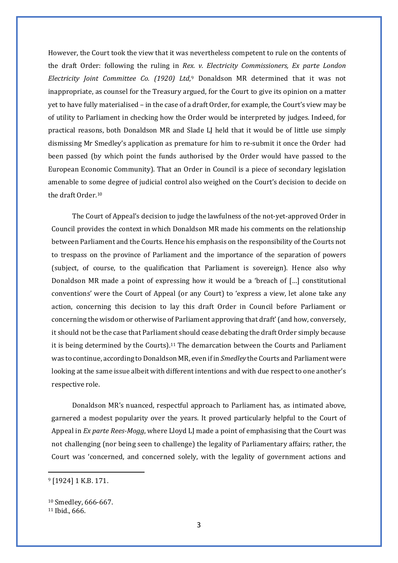However, the Court took the view that it was nevertheless competent to rule on the contents of the draft Order: following the ruling in *Rex. v. Electricity Commissioners, Ex parte London Electricity Joint Committee Co. (1920) Ltd*,[9](#page-5-0) Donaldson MR determined that it was not inappropriate, as counsel for the Treasury argued, for the Court to give its opinion on a matter yet to have fully materialised – in the case of a draft Order, for example, the Court's view may be of utility to Parliament in checking how the Order would be interpreted by judges. Indeed, for practical reasons, both Donaldson MR and Slade LJ held that it would be of little use simply dismissing Mr Smedley's application as premature for him to re-submit it once the Order had been passed (by which point the funds authorised by the Order would have passed to the European Economic Community). That an Order in Council is a piece of secondary legislation amenable to some degree of judicial control also weighed on the Court's decision to decide on the draft Order[.10](#page-5-1)

The Court of Appeal's decision to judge the lawfulness of the not-yet-approved Order in Council provides the context in which Donaldson MR made his comments on the relationship between Parliament and the Courts. Hence his emphasis on the responsibility of the Courts not to trespass on the province of Parliament and the importance of the separation of powers (subject, of course, to the qualification that Parliament is sovereign). Hence also why Donaldson MR made a point of expressing how it would be a 'breach of […] constitutional conventions' were the Court of Appeal (or any Court) to 'express a view, let alone take any action, concerning this decision to lay this draft Order in Council before Parliament or concerning the wisdom or otherwise of Parliament approving that draft'(and how, conversely, it should not be the case that Parliament should cease debating the draft Order simply because it is being determined by the Courts).<sup>[11](#page-5-2)</sup> The demarcation between the Courts and Parliament was to continue, according to Donaldson MR, even if in *Smedley* the Courts and Parliament were looking at the same issue albeit with different intentions and with due respect to one another's respective role.

Donaldson MR's nuanced, respectful approach to Parliament has, as intimated above, garnered a modest popularity over the years. It proved particularly helpful to the Court of Appeal in *Ex parte Rees-Mogg*, where Lloyd LJ made a point of emphasising that the Court was not challenging (nor being seen to challenge) the legality of Parliamentary affairs; rather, the Court was 'concerned, and concerned solely, with the legality of government actions and

<span id="page-5-0"></span><sup>9</sup> [1924] 1 K.B. 171.

<span id="page-5-2"></span><span id="page-5-1"></span><sup>10</sup> Smedley, 666-667. <sup>11</sup> Ibid., 666.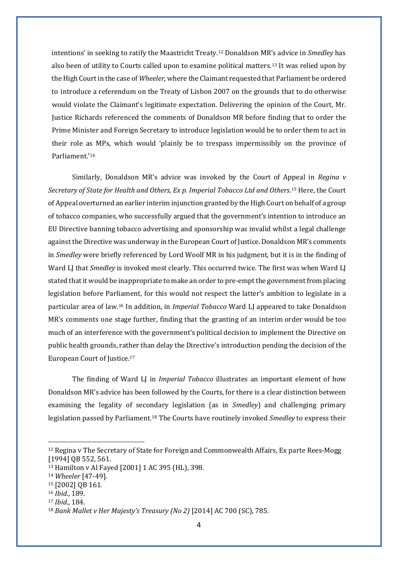intentions' in seeking to ratify the Maastricht Treaty[.12](#page-6-0) Donaldson MR's advice in *Smedley* has also been of utility to Courts called upon to examine political matters.[13](#page-6-1) It was relied upon by the High Court in the case of *Wheeler*, where the Claimant requested that Parliament be ordered to introduce a referendum on the Treaty of Lisbon 2007 on the grounds that to do otherwise would violate the Claimant's legitimate expectation. Delivering the opinion of the Court, Mr. Justice Richards referenced the comments of Donaldson MR before finding that to order the Prime Minister and Foreign Secretary to introduce legislation would be to order them to act in their role as MPs, which would 'plainly be to trespass impermissibly on the province of Parliament.'[14](#page-6-2)

Similarly, Donaldson MR's advice was invoked by the Court of Appeal in *Regina v Secretary of State for Health and Others, Ex p. Imperial Tobacco Ltd and Others*.[15](#page-6-3) Here, the Court of Appeal overturned an earlier interim injunction granted by the High Court on behalf of a group of tobacco companies, who successfully argued that the government's intention to introduce an EU Directive banning tobacco advertising and sponsorship was invalid whilst a legal challenge against the Directive was underway in the European Court of Justice. Donaldson MR's comments in *Smedley* were briefly referenced by Lord Woolf MR in his judgment, but it is in the finding of Ward LJ that *Smedley* is invoked most clearly. This occurred twice. The first was when Ward LJ stated that it would be inappropriate to make an order to pre-empt the government from placing legislation before Parliament, for this would not respect the latter's ambition to legislate in a particular area of law[.16](#page-6-4) In addition, in *Imperial Tobacco* Ward LJ appeared to take Donaldson MR's comments one stage further, finding that the granting of an interim order would be too much of an interference with the government's political decision to implement the Directive on public health grounds, rather than delay the Directive's introduction pending the decision of the European Court of Justice.[17](#page-6-5)

The finding of Ward LJ in *Imperial Tobacco* illustrates an important element of how Donaldson MR's advice has been followed by the Courts, for there is a clear distinction between examining the legality of secondary legislation (as in *Smedley*) and challenging primary legislation passed by Parliament.[18](#page-6-6) The Courts have routinely invoked *Smedley* to express their

<span id="page-6-0"></span><sup>12</sup> Regina v The Secretary of State for Foreign and Commonwealth Affairs, Ex parte Rees-Mogg [1994] QB 552, 561.

<span id="page-6-1"></span><sup>13</sup> Hamilton v Al Fayed [2001] 1 AC 395 (HL), 398.

<span id="page-6-2"></span><sup>14</sup> *Wheeler* [47-49].

<span id="page-6-3"></span><sup>15</sup> [2002] QB 161.

<span id="page-6-4"></span><sup>16</sup> *Ibid*., 189.

<span id="page-6-5"></span><sup>17</sup> *Ibid*., 184.

<span id="page-6-6"></span><sup>18</sup> *Bank Mallet v Her Majesty's Treasury (No 2)* [2014] AC 700 (SC), 785.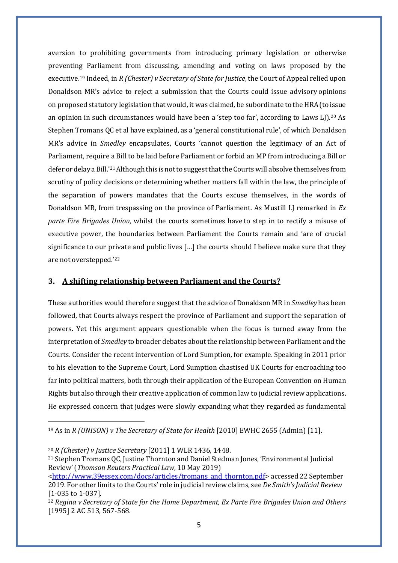aversion to prohibiting governments from introducing primary legislation or otherwise preventing Parliament from discussing, amending and voting on laws proposed by the executive[.19](#page-7-0) Indeed, in *R (Chester) v Secretary of State for Justice*, the Court of Appeal relied upon Donaldson MR's advice to reject a submission that the Courts could issue advisory opinions on proposed statutory legislation that would, it was claimed, be subordinate to the HRA(to issue an opinion in such circumstances would have been a 'step too far', according to Laws LJ $\rho^{20}$  $\rho^{20}$  $\rho^{20}$  As Stephen Tromans QC et al have explained, as a 'general constitutional rule', of which Donaldson MR's advice in *Smedley* encapsulates, Courts 'cannot question the legitimacy of an Act of Parliament, require a Bill to be laid before Parliament or forbid an MP from introducing a Bill or defer or delay a Bill.'[21](#page-7-2) Although this is not to suggest that the Courts will absolve themselves from scrutiny of policy decisions or determining whether matters fall within the law, the principle of the separation of powers mandates that the Courts excuse themselves, in the words of Donaldson MR, from trespassing on the province of Parliament. As Mustill LJ remarked in *Ex parte Fire Brigades Union*, whilst the courts sometimes have to step in to rectify a misuse of executive power, the boundaries between Parliament the Courts remain and 'are of crucial significance to our private and public lives […] the courts should I believe make sure that they are not overstepped.'[22](#page-7-3)

#### **3. A shifting relationship between Parliament and the Courts?**

These authorities would therefore suggest that the advice of Donaldson MR in *Smedley* has been followed, that Courts always respect the province of Parliament and support the separation of powers. Yet this argument appears questionable when the focus is turned away from the interpretation of *Smedley* to broader debates about the relationship between Parliament and the Courts. Consider the recent intervention of Lord Sumption, for example. Speaking in 2011 prior to his elevation to the Supreme Court, Lord Sumption chastised UK Courts for encroaching too far into political matters, both through their application of the European Convention on Human Rights but also through their creative application of common law to judicial review applications. He expressed concern that judges were slowly expanding what they regarded as fundamental

<span id="page-7-0"></span><sup>19</sup> As in *R (UNISON) v The Secretary of State for Health* [2010] EWHC 2655 (Admin) [11].

<span id="page-7-1"></span><sup>20</sup> *R (Chester) v Justice Secretary* [2011] 1 WLR 1436, 1448.

<span id="page-7-2"></span><sup>21</sup> Stephen Tromans QC, Justine Thornton and Daniel Stedman Jones, 'Environmental Judicial Review'(*Thomson Reuters Practical Law*, 10 May 2019)

[<sup>&</sup>lt;http://www.39essex.com/docs/articles/tromans\\_and\\_thornton.pdf>](http://www.39essex.com/docs/articles/tromans_and_thornton.pdf) accessed 22 September 2019. For other limits to the Courts' role in judicial review claims, see *De Smith'sJudicial Review*  [1-035 to 1-037].

<span id="page-7-3"></span><sup>22</sup> *Regina v Secretary of State for the Home Department, Ex Parte Fire Brigades Union and Others*  [1995] 2 AC 513, 567-568.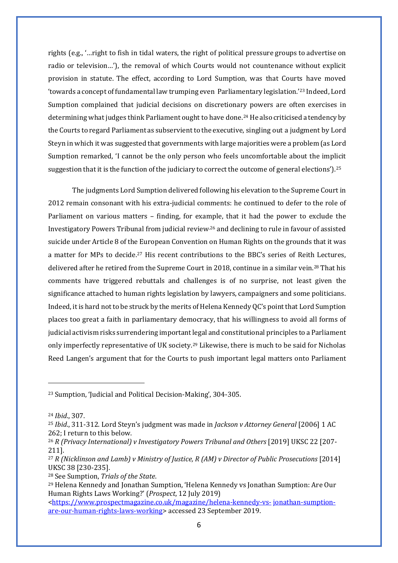rights (e.g., '…right to fish in tidal waters, the right of political pressure groups to advertise on radio or television…'), the removal of which Courts would not countenance without explicit provision in statute. The effect, according to Lord Sumption, was that Courts have moved 'towards a concept of fundamental law trumping even Parliamentary legislation.'[23](#page-8-0) Indeed, Lord Sumption complained that judicial decisions on discretionary powers are often exercises in determining what judges think Parliament ought to have done.[24](#page-8-1) He also criticised a tendency by the Courts to regard Parliament as subservient to the executive, singling out a judgment by Lord Steyn in which it was suggested that governments with large majoritieswere a problem (as Lord Sumption remarked, 'I cannot be the only person who feels uncomfortable about the implicit suggestion that it is the function of the judiciary to correct the outcome of general elections').<sup>[25](#page-8-2)</sup>

The judgments Lord Sumption delivered following his elevation to the Supreme Court in 2012 remain consonant with his extra-judicial comments: he continued to defer to the role of Parliament on various matters – finding, for example, that it had the power to exclude the Investigatory Powers Tribunal from judicial review,[26](#page-8-3) and declining to rule in favour of assisted suicide under Article 8 of the European Convention on Human Rights on the grounds that it was a matter for MPs to decide[.27](#page-8-4) His recent contributions to the BBC's series of Reith Lectures, delivered after he retired from the Supreme Court in 2018, continue in a similar vein[.28](#page-8-5) That his comments have triggered rebuttals and challenges is of no surprise, not least given the significance attached to human rights legislation by lawyers, campaigners and some politicians. Indeed, it is hard not to be struck by the merits of Helena Kennedy QC's point that Lord Sumption places too great a faith in parliamentary democracy, that his willingness to avoid all forms of judicial activism risks surrendering important legal and constitutional principles to a Parliament only imperfectly representative of UK society.[29](#page-8-6) Likewise, there is much to be said for Nicholas Reed Langen's argument that for the Courts to push important legal matters onto Parliament

<span id="page-8-0"></span><sup>23</sup> Sumption, 'Judicial and Political Decision-Making', 304-305.

<span id="page-8-1"></span><sup>24</sup> *Ibid*., 307.

<span id="page-8-2"></span><sup>25</sup> *Ibid*., 311-312. Lord Steyn's judgment was made in *Jackson v Attorney General* [2006] 1 AC 262; I return to this below.

<span id="page-8-3"></span><sup>26</sup> *R (Privacy International) v Investigatory Powers Tribunal and Others* [2019] UKSC 22 [207- 211].

<span id="page-8-4"></span><sup>&</sup>lt;sup>27</sup> *R* (Nicklinson and Lamb) v Ministry of Justice, *R* (AM) v Director of Public Prosecutions [2014] UKSC 38 [230-235].

<span id="page-8-5"></span><sup>28</sup> See Sumption, *Trials of the State*.

<span id="page-8-6"></span><sup>29</sup> Helena Kennedy and Jonathan Sumption, 'Helena Kennedy vs Jonathan Sumption: Are Our Human Rights Laws Working?' (*Prospect*, 12 July 2019)

<sup>&</sup>lt;https:/[/www.prospectmagazine.co.uk/magazine/helena-kennedy-vs-](http://www.prospectmagazine.co.uk/magazine/helena-kennedy-vs-) jonathan-sumptionare-our-human-rights-laws-working> accessed 23 September 2019.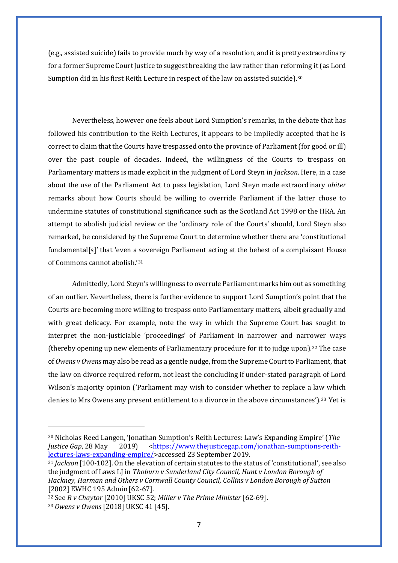(e.g., assisted suicide) fails to provide much by way of a resolution, and itis pretty extraordinary for a former Supreme Court Justice to suggest breaking the law rather than reforming it (as Lord Sumption did in his first Reith Lecture in respect of the law on assisted suicide).[30](#page-9-0)

Nevertheless, however one feels about Lord Sumption's remarks, in the debate that has followed his contribution to the Reith Lectures, it appears to be impliedly accepted that he is correct to claim that the Courts have trespassed onto the province of Parliament (for good or ill) over the past couple of decades. Indeed, the willingness of the Courts to trespass on Parliamentary matters is made explicit in the judgment of Lord Steyn in *Jackson*. Here, in a case about the use of the Parliament Act to pass legislation, Lord Steyn made extraordinary *obiter* remarks about how Courts should be willing to override Parliament if the latter chose to undermine statutes of constitutional significance such as the Scotland Act 1998 or the HRA. An attempt to abolish judicial review or the 'ordinary role of the Courts' should, Lord Steyn also remarked, be considered by the Supreme Court to determine whether there are 'constitutional fundamental[s]' that 'even a sovereign Parliament acting at the behest of a complaisant House of Commons cannot abolish.'[31](#page-9-1)

Admittedly, Lord Steyn's willingness to overrule Parliament marks him out as something of an outlier. Nevertheless, there is further evidence to support Lord Sumption's point that the Courts are becoming more willing to trespass onto Parliamentary matters, albeit gradually and with great delicacy. For example, note the way in which the Supreme Court has sought to interpret the non-justiciable 'proceedings' of Parliament in narrower and narrower ways (thereby opening up new elements of Parliamentary procedure for it to judge upon).[32](#page-9-2) The case of *Owens v Owens* may also be read as a gentle nudge, from the Supreme Court to Parliament, that the law on divorce required reform, not least the concluding if under-stated paragraph of Lord Wilson's majority opinion ('Parliament may wish to consider whether to replace a law which denies to Mrs Owens any present entitlement to a divorce in the above circumstances').[33](#page-9-3) Yet is

<span id="page-9-0"></span><sup>30</sup> Nicholas Reed Langen, 'Jonathan Sumption's Reith Lectures: Law's Expanding Empire' (*The Justice Gap*, 28 May 2019) <https:/[/www.thejusticegap.com/jonathan-sumptions-reith](http://www.thejusticegap.com/jonathan-sumptions-reith-lectures-laws-expanding-empire/)[lectures-laws-expanding-empire/>](http://www.thejusticegap.com/jonathan-sumptions-reith-lectures-laws-expanding-empire/)accessed 23 September 2019.

<span id="page-9-1"></span><sup>31</sup> *Jackson* [100-102]. On the elevation of certain statutes to the status of 'constitutional', see also the judgment of Laws LJ in *Thoburn v Sunderland City Council, Hunt v London Borough of Hackney, Harman and Others v Cornwall County Council, Collins v London Borough of Sutton*  [2002] EWHC 195 Admin [62-67].

<span id="page-9-3"></span><span id="page-9-2"></span><sup>32</sup> See *R v Chaytor* [2010] UKSC 52; *Miller v The Prime Minister* [62-69]. <sup>33</sup> *Owens v Owens* [2018] UKSC 41 [45].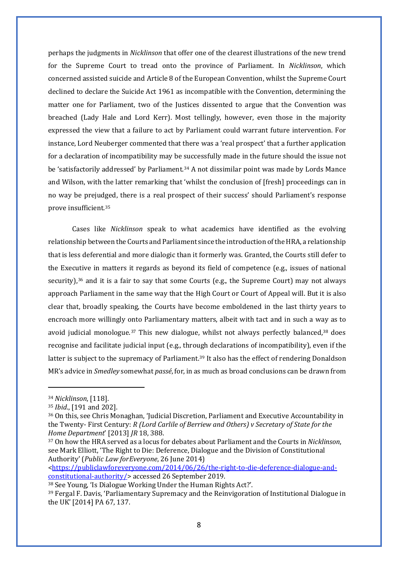perhaps the judgments in *Nicklinson* that offer one of the clearest illustrations of the new trend for the Supreme Court to tread onto the province of Parliament. In *Nicklinson*, which concerned assisted suicide and Article 8 of the European Convention, whilst the Supreme Court declined to declare the Suicide Act 1961 as incompatible with the Convention, determining the matter one for Parliament, two of the Justices dissented to argue that the Convention was breached (Lady Hale and Lord Kerr). Most tellingly, however, even those in the majority expressed the view that a failure to act by Parliament could warrant future intervention. For instance, Lord Neuberger commented that there was a 'real prospect' that a further application for a declaration of incompatibility may be successfully made in the future should the issue not be 'satisfactorily addressed' by Parliament.<sup>[34](#page-10-0)</sup> A not dissimilar point was made by Lords Mance and Wilson, with the latter remarking that 'whilst the conclusion of [fresh] proceedings can in no way be prejudged, there is a real prospect of their success' should Parliament's response prove insufficient[.35](#page-10-1)

Cases like *Nicklinson* speak to what academics have identified as the evolving relationship between the Courts and Parliament since the introduction of theHRA, a relationship that is less deferential and more dialogic than it formerly was. Granted, the Courts still defer to the Executive in matters it regards as beyond its field of competence (e.g., issues of national security), $36$  and it is a fair to say that some Courts (e.g., the Supreme Court) may not always approach Parliament in the same way that the High Court or Court of Appeal will. But it is also clear that, broadly speaking, the Courts have become emboldened in the last thirty years to encroach more willingly onto Parliamentary matters, albeit with tact and in such a way as to avoid judicial monologue.<sup>[37](#page-10-3)</sup> This new dialogue, whilst not always perfectly balanced,<sup>38</sup> does recognise and facilitate judicial input (e.g., through declarations of incompatibility), even if the latter is subject to the supremacy of Parliament.<sup>39</sup> It also has the effect of rendering Donaldson MR's advice in *Smedley* somewhat *passé*, for, in as much as broad conclusions can be drawn from

<https://publiclawforeveryone.com/2014/06/26/the-right-to-die-deference-dialogue-andconstitutional-authority/> accessed 26 September 2019.

<span id="page-10-4"></span><sup>38</sup> See Young, 'Is Dialogue Working Under the Human Rights Act?'.

<span id="page-10-0"></span><sup>34</sup> *Nicklinson*, [118].

<span id="page-10-1"></span><sup>35</sup> *Ibid*., [191 and 202].

<span id="page-10-2"></span><sup>36</sup> On this, see Chris Monaghan, 'Judicial Discretion, Parliament and Executive Accountability in the Twenty- First Century: *R (Lord Carlile of Berriew and Others) v Secretary of State for the Home Department*' [2013] *JR* 18, 388.

<span id="page-10-3"></span><sup>37</sup> On how the HRA served as a locus for debates about Parliament and the Courts in *Nicklinson*, see Mark Elliott, 'The Right to Die: Deference, Dialogue and the Division of Constitutional Authority' (*Public Law forEveryone*, 26 June 2014)

<span id="page-10-5"></span><sup>39</sup> Fergal F. Davis, 'Parliamentary Supremacy and the Reinvigoration of Institutional Dialogue in the UK' [2014] PA 67, 137.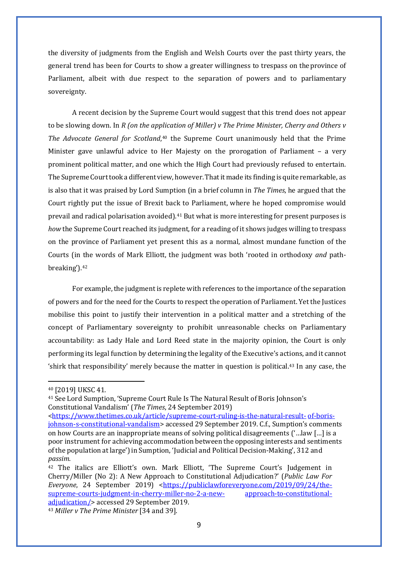the diversity of judgments from the English and Welsh Courts over the past thirty years, the general trend has been for Courts to show a greater willingness to trespass on theprovince of Parliament, albeit with due respect to the separation of powers and to parliamentary sovereignty.

A recent decision by the Supreme Court would suggest that this trend does not appear to be slowing down. In *R (on the application of Miller) v The Prime Minister, Cherry and Others v The Advocate General for Scotland*,[40](#page-11-0) the Supreme Court unanimously held that the Prime Minister gave unlawful advice to Her Majesty on the prorogation of Parliament – a very prominent political matter, and one which the High Court had previously refused to entertain. The Supreme Court took a different view, however. That it made its finding is quite remarkable, as is also that it was praised by Lord Sumption (in a brief column in *The Times*, he argued that the Court rightly put the issue of Brexit back to Parliament, where he hoped compromise would prevail and radical polarisation avoided).[41](#page-11-1) But what is more interesting for present purposes is *how* the Supreme Court reached its judgment, for a reading of it shows judges willing to trespass on the province of Parliament yet present this as a normal, almost mundane function of the Courts (in the words of Mark Elliott, the judgment was both 'rooted in orthodoxy *and* pathbreaking').[42](#page-11-2)

For example, the judgment is replete with references to the importance of the separation of powers and for the need for the Courts to respect the operation of Parliament. Yet the Justices mobilise this point to justify their intervention in a political matter and a stretching of the concept of Parliamentary sovereignty to prohibit unreasonable checks on Parliamentary accountability: as Lady Hale and Lord Reed state in the majority opinion, the Court is only performing its legal function by determining the legality of the Executive's actions, and it cannot 'shirk that responsibility' merely because the matter in question is political.[43](#page-11-3) In any case, the

<span id="page-11-0"></span><sup>40</sup> [2019] UKSC 41.

<span id="page-11-1"></span><sup>41</sup> See Lord Sumption, 'Supreme Court Rule Is The Natural Result of Boris Johnson's Constitutional Vandalism' (*The Times*, 24 September 2019)

<sup>&</sup>lt;https:/[/www.thetimes.co.uk/article/supreme-court-ruling-is-the-natural-result-](http://www.thetimes.co.uk/article/supreme-court-ruling-is-the-natural-result-) of-borisjohnson-s-constitutional-vandalism> accessed 29 September 2019. C.f., Sumption's comments on how Courts are an inappropriate means of solving political disagreements ('…law […] is a poor instrument for achieving accommodation between the opposing interests and sentiments of the population at large')in Sumption, 'Judicial and Political Decision-Making', 312 and *passim*.

<span id="page-11-2"></span><sup>42</sup> The italics are Elliott's own. Mark Elliott, 'The Supreme Court's Judgement in Cherry/Miller (No 2): A New Approach to Constitutional Adjudication?' (*Public Law For Everyone*, 24 September 2019) <https://publiclawforeveryone.com/2019/09/24/the-supreme-courts-judgment-in-cherry-miller-no-2-a-new-<br>approach-to-constitutionalsupreme-courts-judgment-in-cherry-miller-no-2-a-newadjudication/> accessed 29 September 2019.

<span id="page-11-3"></span><sup>43</sup> *Miller v The Prime Minister* [34 and 39].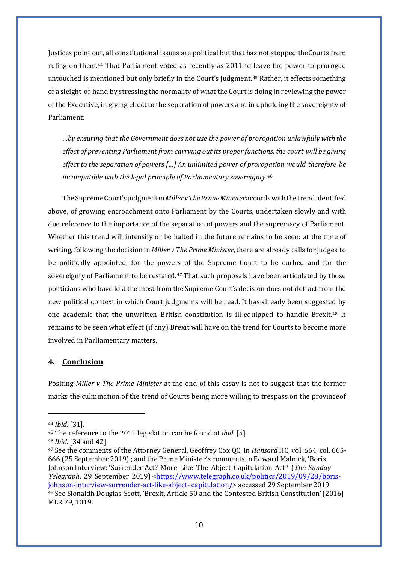Justices point out, all constitutional issues are political but that has not stopped theCourts from ruling on them[.44](#page-12-0) That Parliament voted as recently as 2011 to leave the power to prorogue untouched is mentioned but only briefly in the Court's judgment.[45](#page-12-1) Rather, it effects something of a sleight-of-hand by stressing the normality of what the Court is doing in reviewing the power of the Executive, in giving effect to the separation of powers and in upholding the sovereignty of Parliament:

*…by ensuring that the Government does not use the power of prorogation unlawfully with the effect of preventing Parliament from carrying out its proper functions, the court will be giving effect to the separation of powers […] An unlimited power of prorogation would therefore be incompatible with the legal principle of Parliamentary sovereignty*.[46](#page-12-2)

TheSupremeCourt's judgmentin*MillervThePrimeMinister*accordswiththetrendidentified above, of growing encroachment onto Parliament by the Courts, undertaken slowly and with due reference to the importance of the separation of powers and the supremacy of Parliament. Whether this trend will intensify or be halted in the future remains to be seen: at the time of writing, following the decision in *Miller v The Prime Minister*, there are already calls for judges to be politically appointed, for the powers of the Supreme Court to be curbed and for the sovereignty of Parliament to be restated.<sup>[47](#page-12-3)</sup> That such proposals have been articulated by those politicians who have lost the most from the Supreme Court's decision does not detract from the new political context in which Court judgments will be read. It has already been suggested by one academic that the unwritten British constitution is ill-equipped to handle Brexit.[48](#page-12-4) It remains to be seen what effect (if any) Brexit will have on the trend for Courts to become more involved in Parliamentary matters.

#### **4. Conclusion**

Positing *Miller v The Prime Minister* at the end of this essay is not to suggest that the former marks the culmination of the trend of Courts being more willing to trespass on the provinceof

<span id="page-12-0"></span><sup>44</sup> *Ibid*. [31].

<span id="page-12-1"></span><sup>45</sup> The reference to the 2011 legislation can be found at *ibid*. [5].

<span id="page-12-2"></span><sup>46</sup> *Ibid*. [34 and 42].

<span id="page-12-4"></span><span id="page-12-3"></span><sup>47</sup> See the comments of the Attorney General, Geoffrey Cox QC, in *Hansard* HC, vol. 664, col. 665- 666 (25 September 2019).; and the Prime Minister's comments in Edward Malnick, 'Boris Johnson Interview: 'Surrender Act? More Like The Abject Capitulation Act'' (*The Sunday Telegraph*, 29 September 2019) <https:/[/www.telegraph.co.uk/politics/2019/09/28/boris](http://www.telegraph.co.uk/politics/2019/09/28/boris-johnson-interview-surrender-act-like-abject-)[johnson-interview-surrender-act-like-abject-](http://www.telegraph.co.uk/politics/2019/09/28/boris-johnson-interview-surrender-act-like-abject-) capitulation/> accessed 29 September 2019. <sup>48</sup> See Sionaidh Douglas-Scott, 'Brexit, Article 50 and the Contested British Constitution' [2016] MLR 79, 1019.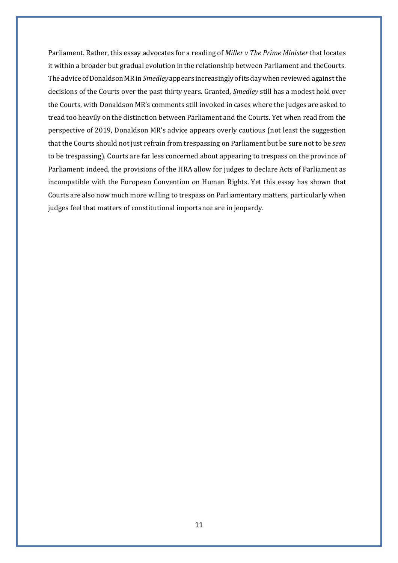Parliament. Rather, this essay advocates for a reading of *Miller v The Prime Minister* that locates it within a broader but gradual evolution in the relationship between Parliament and theCourts. The advice of Donaldson MR in Smedley appears increasingly of its day when reviewed against the decisions of the Courts over the past thirty years. Granted, *Smedley* still has a modest hold over the Courts, with Donaldson MR's comments still invoked in cases where the judges are asked to tread too heavily on the distinction between Parliament and the Courts. Yet when read from the perspective of 2019, Donaldson MR's advice appears overly cautious (not least the suggestion that the Courts should not just refrain from trespassing on Parliament but be sure not to be *seen*  to be trespassing). Courts are far less concerned about appearing to trespass on the province of Parliament: indeed, the provisions of the HRA allow for judges to declare Acts of Parliament as incompatible with the European Convention on Human Rights. Yet this essay has shown that Courts are also now much more willing to trespass on Parliamentary matters, particularly when judges feel that matters of constitutional importance are in jeopardy.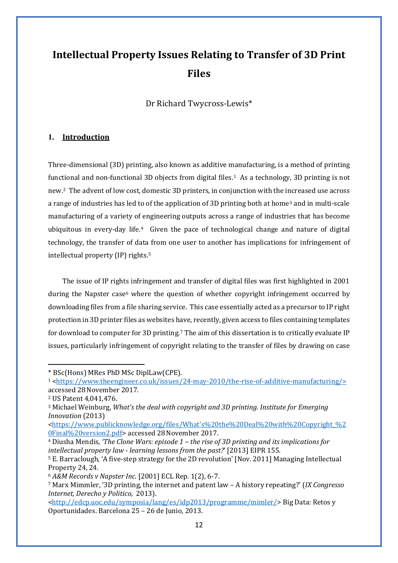## **Intellectual Property Issues Relating to Transfer of 3D Print Files**

Dr Richard Twycross-Lewis\*

#### **1. Introduction**

Three-dimensional (3D) printing, also known as additive manufacturing, is a method of printing functional and non-functional 3D objects from digital files.<sup>[1](#page-14-0)</sup> As a technology, 3D printing is not new.[2](#page-14-1) The advent of low cost, domestic 3D printers, in conjunction with the increased use across a range of industries has led to of the application of [3](#page-14-2)D printing both at home<sup>3</sup> and in multi-scale manufacturing of a variety of engineering outputs across a range of industries that has become ubiquitous in every-day life.[4](#page-14-3) Given the pace of technological change and nature of digital technology, the transfer of data from one user to another has implications for infringement of intellectual property (IP) rights.[5](#page-14-4)

The issue of IP rights infringement and transfer of digital files was first highlighted in 2001 during the Napster case<sup>6</sup> where the question of whether copyright infringement occurred by downloading files from a file sharing service. This case essentially acted as a precursor to IP right protection in 3D printer files as websites have, recently, given access to files containing templates for download to computer for 3D printing.[7](#page-14-6) The aim of this dissertation is to critically evaluate IP issues, particularly infringement of copyright relating to the transfer of files by drawing on case

<span id="page-14-0"></span><sup>\*</sup> BSc(Hons) MRes PhD MSc DiplLaw(CPE).

<sup>1</sup>[<https://www.theengineer.co.uk/issues/24-may-2010/the-rise-of-additive-manufacturing/>](https://www.theengineer.co.uk/issues/24-may-2010/the-rise-of-additive-manufacturing/) accessed 28November 2017.

<span id="page-14-1"></span><sup>2</sup> US Patent 4,041,476.

<span id="page-14-2"></span><sup>3</sup> Michael Weinburg, *What's the deal with copyright and 3D printing. Institute for Emerging Innovation* (2013)

<sup>&</sup>lt;https://www.publicknowledge.org/files/What's%20the%20Deal%20with%20Copyright %2 [0Final%20version2.pdf>](https://www.publicknowledge.org/files/What) accessed 28November 2017.

<span id="page-14-3"></span><sup>4</sup> Diusha Mendis, *'The Clone Wars: episode 1 – the rise of 3D printing and its implications for intellectual property law - learning lessons from the past?*' [2013] EIPR 155.

<span id="page-14-4"></span><sup>5</sup> E. Barraclough, 'A five-step strategy for the 2D revolution' [Nov. 2011] Managing Intellectual Property 24, 24.

<span id="page-14-5"></span><sup>6</sup> *A&M Records v Napster Inc.* [2001] ECL Rep. 1(2), 6-7.

<span id="page-14-6"></span><sup>7</sup> Marx Mimmler, '3D printing, the internet and patent law – A history repeating?' (*IX Congresso Internet, Derecho y Politico,* 2013).

[<sup>&</sup>lt;http://edcp.uoc.edu/symposia/lang/es/idp2013/programme/mimler/>](http://edcp.uoc.edu/symposia/lang/es/idp2013/programme/mimler/) Big Data: Retos y Oportunidades. Barcelona 25 – 26 de Junio, 2013.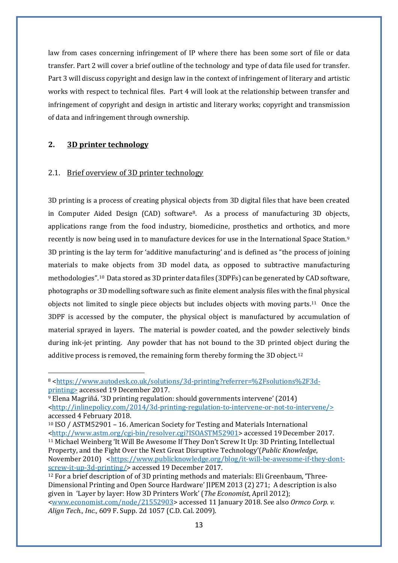law from cases concerning infringement of IP where there has been some sort of file or data transfer. Part 2 will cover a brief outline of the technology and type of data file used for transfer. Part 3 will discuss copyright and design law in the context of infringement of literary and artistic works with respect to technical files. Part 4 will look at the relationship between transfer and infringement of copyright and design in artistic and literary works; copyright and transmission of data and infringement through ownership.

#### **2. 3D printer technology**

#### 2.1. Brief overview of 3D printer technology

3D printing is a process of creating physical objects from 3D digital files that have been created in Computer Aided Design (CAD) software[8](#page-15-0). As a process of manufacturing 3D objects, applications range from the food industry, biomedicine, prosthetics and orthotics, and more recently is now being used in to manufacture devices for use in the International Space Station.[9](#page-15-1) 3D printing is the lay term for 'additive manufacturing' and is defined as "the process of joining materials to make objects from 3D model data, as opposed to subtractive manufacturing methodologies"[.10](#page-15-2) Data stored as 3D printer data files (3DPFs) can be generated by CAD software, photographs or 3D modelling software such as finite element analysis files with the final physical objects not limited to single piece objects but includes objects with moving parts.[11](#page-15-3) Once the 3DPF is accessed by the computer, the physical object is manufactured by accumulation of material sprayed in layers. The material is powder coated, and the powder selectively binds during ink-jet printing. Any powder that has not bound to the 3D printed object during the additive process is removed, the remaining form thereby forming the 3D object.<sup>[12](#page-15-4)</sup>

<span id="page-15-0"></span><sup>8</sup> [<https://www.autodesk.co.uk/solutions/3d-printing?referrer=%2Fsolutions%2F3d](https://www.autodesk.co.uk/solutions/3d-printing?referrer=%2Fsolutions%2F3d-printing)[printing>](https://www.autodesk.co.uk/solutions/3d-printing?referrer=%2Fsolutions%2F3d-printing) accessed 19 December 2017.

<span id="page-15-1"></span><sup>9</sup> Elena Magriñá. '3D printing regulation: should governments intervene' (2014) [<http://inlinepolicy.com/2014/3d-printing-regulation-to-intervene-or-not-to-intervene/>](http://inlinepolicy.com/2014/3d-printing-regulation-to-intervene-or-not-to-intervene/) accessed 4 February 2018.

<span id="page-15-3"></span><span id="page-15-2"></span><sup>10</sup> ISO / ASTM52901 – 16. American Society for Testing and Materials International [<http://www.astm.org/cgi-bin/resolver.cgi?ISOASTM52901>](http://www.astm.org/cgi-bin/resolver.cgi?ISOASTM52901) accessed 19December 2017. <sup>11</sup> Michael Weinberg 'It Will Be Awesome If They Don't Screw It Up: 3D Printing, Intellectual Property, and the Fight Over the Next Great Disruptive Technology'(*Public Knowledge*, November 2010) [<https://www.publicknowledge.org/blog/it-will-be-awesome-if-they-dont](https://www.publicknowledge.org/blog/it-will-be-awesome-if-they-dont-screw-it-up-3d-printing/)[screw-it-up-3d-printing/>](https://www.publicknowledge.org/blog/it-will-be-awesome-if-they-dont-screw-it-up-3d-printing/) accessed 19 December 2017.

<span id="page-15-4"></span><sup>12</sup> For a brief description of of 3D printing methods and materials: Eli Greenbaum, 'Three-Dimensional Printing and Open Source Hardware' JIPEM 2013 (2) 271; A description is also given in 'Layer by layer: How 3D Printers Work' (*The Economist*, April 2012); [<www.economist.com/node/21552903>](http://www.economist.com/node/21552903) accessed 11 January 2018. See also *Ormco Corp. v. Align Tech., Inc.,* 609 F. Supp. 2d 1057 (C.D. Cal. 2009).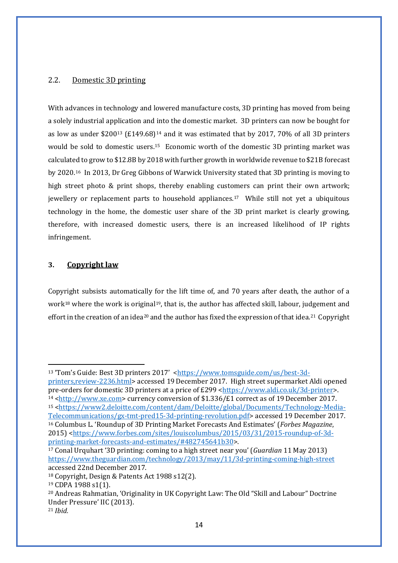#### 2.2. Domestic 3D printing

With advances in technology and lowered manufacture costs, 3D printing has moved from being a solely industrial application and into the domestic market. 3D printers can now be bought for as low as under  $$200^{13}$  $$200^{13}$  $$200^{13}$  (£[14](#page-16-1)9.68)<sup>14</sup> and it was estimated that by 2017, 70% of all 3D printers would be sold to domestic users.[15](#page-16-2) Economic worth of the domestic 3D printing market was calculated to grow to \$12.8B by 2018 with further growth in worldwide revenue to \$21B forecast by 2020.[16](#page-16-3) In 2013, Dr Greg Gibbons of Warwick University stated that 3D printing is moving to high street photo & print shops, thereby enabling customers can print their own artwork; jewellery or replacement parts to household appliances.[17](#page-16-4) While still not yet a ubiquitous technology in the home, the domestic user share of the 3D print market is clearly growing, therefore, with increased domestic users, there is an increased likelihood of IP rights infringement.

#### **3. Copyright law**

Copyright subsists automatically for the lift time of, and 70 years after death, the author of a work<sup>[18](#page-16-5)</sup> where the work is original<sup>19</sup>, that is, the author has affected skill, labour, judgement and effort in the creation of an idea<sup>[20](#page-16-7)</sup> and the author has fixed the expression of that idea.<sup>21</sup> Copyright

<span id="page-16-1"></span><sup>14</sup> [<http://www.xe.com>](http://www.xe.com/) currency conversion of \$1.336/£1 correct as of 19 December 2017.

<span id="page-16-0"></span><sup>&</sup>lt;sup>13</sup> 'Tom's Guide: Best 3D printers 2017' [<https://www.tomsguide.com/us/best-3d-](https://www.tomsguide.com/us/best-3d-printers,review-2236.html)

[printers,review-2236.html>](https://www.tomsguide.com/us/best-3d-printers,review-2236.html) accessed 19December 2017. High street supermarket Aldi opened pre-orders for domestic 3D printers at a price of £299 [<https://www.aldi.co.uk/3d-printer>](https://www.aldi.co.uk/3d-printer).

<span id="page-16-3"></span><span id="page-16-2"></span><sup>15</sup> [<https://www2.deloitte.com/content/dam/Deloitte/global/Documents/Technology-Media-](https://www2.deloitte.com/content/dam/Deloitte/global/Documents/Technology-Media-Telecommunications/gx-tmt-pred15-3d-printing-revolution.pdf)[Telecommunications/gx-tmt-pred15-3d-printing-revolution.pdf>](https://www2.deloitte.com/content/dam/Deloitte/global/Documents/Technology-Media-Telecommunications/gx-tmt-pred15-3d-printing-revolution.pdf) accessed 19 December 2017. <sup>16</sup> Columbus L. 'Roundup of 3D Printing Market Forecasts And Estimates' (*Forbes Magazine*, 2015) [<https://www.forbes.com/sites/louiscolumbus/2015/03/31/2015-roundup-of-3d](https://www.forbes.com/sites/louiscolumbus/2015/03/31/2015-roundup-of-3d-printing-market-forecasts-and-estimates/#482745641b30)[printing-market-forecasts-and-estimates/#482745641b30>](https://www.forbes.com/sites/louiscolumbus/2015/03/31/2015-roundup-of-3d-printing-market-forecasts-and-estimates/#482745641b30).

<span id="page-16-4"></span><sup>17</sup> Conal Urquhart '3D printing: coming to a high street near you' (*Guardian* 11 May 2013) <https://www.theguardian.com/technology/2013/may/11/3d-printing-coming-high-street> accessed 22nd December 2017.

<span id="page-16-5"></span><sup>18</sup> Copyright, Design & Patents Act 1988 s12(2).

<span id="page-16-6"></span><sup>19</sup> CDPA 1988 s1(1).

<span id="page-16-7"></span><sup>20</sup> Andreas Rahmatian, 'Originality in UK Copyright Law: The Old "Skill and Labour" Doctrine Under Pressure' IIC (2013).

<span id="page-16-8"></span><sup>21</sup> *Ibid.*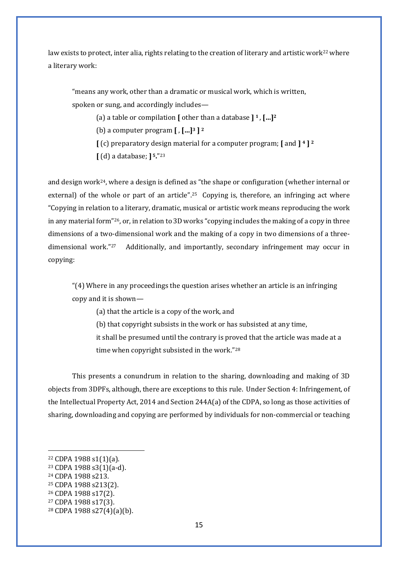law exists to protect, inter alia, rights relating to the creation of literary and artistic work<sup>[22](#page-17-0)</sup> where a literary work:

"means any work, other than a dramatic or musical work, which is written, spoken or sung, and accordingly includes—

(a) a table or compilation **[** other than a database **] 1** , **[…]2**

(b) a computer program **[** , **[…]3 ] 2**

**[** (c) preparatory design material for a computer program; **[** and **] 4 ] 2**

**[** (d) a database; **] 5.**["23](#page-17-1)

and design work<sup>[24](#page-17-2)</sup>, where a design is defined as "the shape or configuration (whether internal or external) of the whole or part of an article".<sup>25</sup> Copying is, therefore, an infringing act where "Copying in relation to a literary, dramatic, musical or artistic work means reproducing the work in any material form"[26,](#page-17-4) or, in relation to 3D works "copying includes the making of a copy in three dimensions of a two-dimensional work and the making of a copy in two dimensions of a threedimensional work."[27](#page-17-5) Additionally, and importantly, secondary infringement may occur in copying:

"(4) Where in any proceedings the question arises whether an article is an infringing copy and it is shown—

(a) that the article is a copy of the work, and

(b) that copyright subsists in the work or has subsisted at any time,

it shall be presumed until the contrary is proved that the article was made at a time when copyright subsisted in the work."[28](#page-17-6)

This presents a conundrum in relation to the sharing, downloading and making of 3D objects from 3DPFs, although, there are exceptions to this rule. Under Section 4: Infringement, of the Intellectual Property Act, 2014 and Section 244A(a) of the CDPA, so long as those activities of sharing, downloading and copying are performed by individuals for non-commercial or teaching

<span id="page-17-0"></span><sup>22</sup> CDPA 1988 s1(1)(a).

<span id="page-17-1"></span><sup>23</sup> CDPA 1988 s3(1)(a-d).

<span id="page-17-2"></span><sup>24</sup> CDPA 1988 s213.

<span id="page-17-3"></span><sup>25</sup> CDPA 1988 s213(2).

<span id="page-17-4"></span><sup>26</sup> CDPA 1988 s17(2).

<span id="page-17-5"></span><sup>27</sup> CDPA 1988 s17(3).

<span id="page-17-6"></span><sup>28</sup> CDPA 1988 s27(4)(a)(b).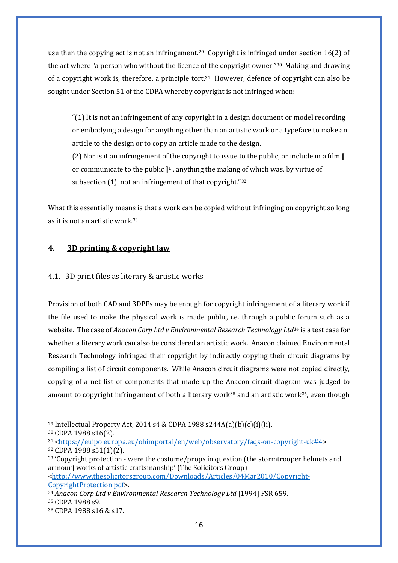use then the copying act is not an infringement.<sup>29</sup> Copyright is infringed under section 16(2) of the act where "a person who without the licence of the copyright owner."[30](#page-18-1) Making and drawing of a copyright work is, therefore, a principle tort.<sup>31</sup> However, defence of copyright can also be sought under Section 51 of the CDPA whereby copyright is not infringed when:

"(1) It is not an infringement of any copyright in a design document or model recording or embodying a design for anything other than an artistic work or a typeface to make an article to the design or to copy an article made to the design.

(2) Nor is it an infringement of the copyright to issue to the public, or include in a film **[**  or communicate to the public **]1** , anything the making of which was, by virtue of subsection (1), not an infringement of that copyright."<sup>[32](#page-18-3)</sup>

What this essentially means is that a work can be copied without infringing on copyright so long as it is not an artistic work.[33](#page-18-4)

#### **4. 3D printing & copyright law**

#### 4.1. 3D print files as literary & artistic works

Provision of both CAD and 3DPFs may be enough for copyright infringement of a literary work if the file used to make the physical work is made public, i.e. through a public forum such as a website. The case of *Anacon Corp Ltd v Environmental Research Technology Ltd*[34](#page-18-5) is a test case for whether a literary work can also be considered an artistic work. Anacon claimed Environmental Research Technology infringed their copyright by indirectly copying their circuit diagrams by compiling a list of circuit components. While Anacon circuit diagrams were not copied directly, copying of a net list of components that made up the Anacon circuit diagram was judged to amount to copyright infringement of both a literary work<sup>[35](#page-18-6)</sup> and an artistic work<sup>[36](#page-18-7)</sup>, even though

[CopyrightProtection.pdf>](http://www.thesolicitorsgroup.com/Downloads/Articles/04Mar2010/Copyright-CopyrightProtection.pdf).

<span id="page-18-0"></span><sup>&</sup>lt;sup>29</sup> Intellectual Property Act, 2014 s4 & CDPA 1988 s244A(a)(b)(c)(i)(ii).

<span id="page-18-1"></span><sup>30</sup> CDPA 1988 s16(2).

<span id="page-18-2"></span><sup>31</sup> [<https://euipo.europa.eu/ohimportal/en/web/observatory/faqs-on-copyright-uk#4>](https://euipo.europa.eu/ohimportal/en/web/observatory/faqs-on-copyright-uk#4).

<span id="page-18-3"></span><sup>32</sup> CDPA 1988 s51(1)(2).

<span id="page-18-4"></span><sup>33</sup> 'Copyright protection - were the costume/props in question (the stormtrooper helmets and armour) works of artistic craftsmanship' (The Solicitors Group) [<http://www.thesolicitorsgroup.com/Downloads/Articles/04Mar2010/Copyright-](http://www.thesolicitorsgroup.com/Downloads/Articles/04Mar2010/Copyright-CopyrightProtection.pdf)

<span id="page-18-6"></span><span id="page-18-5"></span><sup>34</sup> *Anacon Corp Ltd v Environmental Research Technology Ltd* [1994] FSR 659. <sup>35</sup> CDPA 1988 s9.

<span id="page-18-7"></span><sup>36</sup> CDPA 1988 s16 & s17.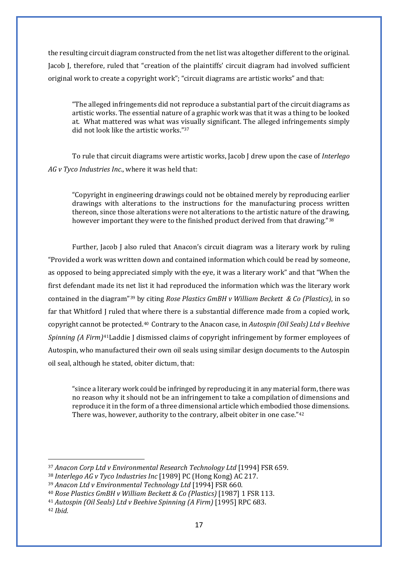the resulting circuit diagram constructed from the net list was altogether different to the original. Jacob J, therefore, ruled that "creation of the plaintiffs' circuit diagram had involved sufficient original work to create a copyright work"; "circuit diagrams are artistic works" and that:

"The alleged infringements did not reproduce a substantial part of the circuit diagrams as artistic works. The essential nature of a graphic work was that it was a thing to be looked at. What mattered was what was visually significant. The alleged infringements simply did not look like the artistic works."[37](#page-19-0)

To rule that circuit diagrams were artistic works, Jacob J drew upon the case of *Interlego AG v Tyco Industries Inc.*, where it was held that:

"Copyright in engineering drawings could not be obtained merely by reproducing earlier drawings with alterations to the instructions for the manufacturing process written thereon, since those alterations were not alterations to the artistic nature of the drawing, however important they were to the finished product derived from that drawing."[38](#page-19-1)

Further, Jacob J also ruled that Anacon's circuit diagram was a literary work by ruling "Provided a work was written down and contained information which could be read by someone, as opposed to being appreciated simply with the eye, it was a literary work" and that "When the first defendant made its net list it had reproduced the information which was the literary work contained in the diagram"[39](#page-19-2) by citing *Rose Plastics GmBH v William Beckett & Co (Plastics)*, in so far that Whitford J ruled that where there is a substantial difference made from a copied work, copyright cannot be protected.[40](#page-19-3) Contrary to the Anacon case, in *Autospin (Oil Seals) Ltd v Beehive Spinning (A Firm)*[41L](#page-19-4)addie J dismissed claims of copyright infringement by former employees of Autospin, who manufactured their own oil seals using similar design documents to the Autospin oil seal, although he stated, obiter dictum, that:

"since a literary work could be infringed by reproducing it in any material form, there was no reason why it should not be an infringement to take a compilation of dimensions and reproduce it in the form of a three dimensional article which embodied those dimensions. There was, however, authority to the contrary, albeit obiter in one case."[42](#page-19-5)

<span id="page-19-0"></span><sup>37</sup> *Anacon Corp Ltd v Environmental Research Technology Ltd* [1994] FSR 659.

<span id="page-19-1"></span><sup>38</sup> *Interlego AG v Tyco Industries Inc* [1989] PC (Hong Kong) AC 217.

<span id="page-19-2"></span><sup>39</sup> *Anacon Ltd v Environmental Technology Ltd* [1994] FSR 660.

<span id="page-19-3"></span><sup>40</sup> *Rose Plastics GmBH v William Beckett & Co (Plastics)* [1987] 1 FSR 113.

<span id="page-19-4"></span><sup>41</sup> *Autospin (Oil Seals) Ltd v Beehive Spinning (A Firm)* [1995] RPC 683.

<span id="page-19-5"></span><sup>42</sup> *Ibid.*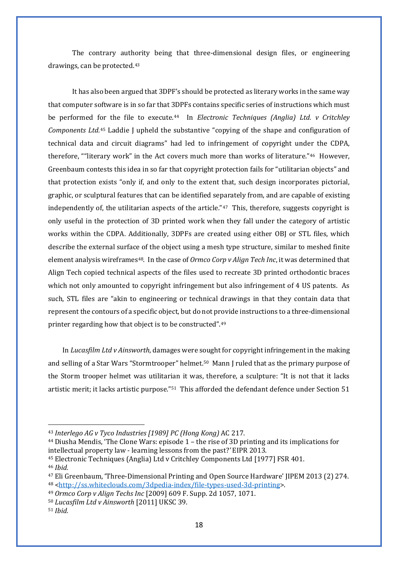The contrary authority being that three-dimensional design files, or engineering drawings, can be protected.[43](#page-20-0)

It has also been argued that 3DPF's should be protected as literary works in the same way that computer software is in so far that 3DPFs contains specific series of instructions which must be performed for the file to execute.[44](#page-20-1) In *Electronic Techniques (Anglia) Ltd. v Critchley Components Ltd.*[45](#page-20-2) Laddie J upheld the substantive "copying of the shape and configuration of technical data and circuit diagrams" had led to infringement of copyright under the CDPA, therefore, ""literary work" in the Act covers much more than works of literature."[46](#page-20-3) However, Greenbaum contests this idea in so far that copyright protection fails for "utilitarian objects" and that protection exists "only if, and only to the extent that, such design incorporates pictorial, graphic, or sculptural features that can be identified separately from, and are capable of existing independently of, the utilitarian aspects of the article."[47](#page-20-4) This, therefore, suggests copyright is only useful in the protection of 3D printed work when they fall under the category of artistic works within the CDPA. Additionally, 3DPFs are created using either OBJ or STL files, which describe the external surface of the object using a mesh type structure, similar to meshed finite element analysis wireframes<sup>[48](#page-20-5)</sup>. In the case of *Ormco Corp v Align Tech Inc*, it was determined that Align Tech copied technical aspects of the files used to recreate 3D printed orthodontic braces which not only amounted to copyright infringement but also infringement of 4 US patents. As such, STL files are "akin to engineering or technical drawings in that they contain data that represent the contours of a specific object, but do not provide instructions to a three-dimensional printer regarding how that object is to be constructed".[49](#page-20-6)

In *Lucasfilm Ltd v Ainsworth*, damages were sought for copyright infringement in the making and selling of a Star Wars "Stormtrooper" helmet.[50](#page-20-7) Mann J ruled that as the primary purpose of the Storm trooper helmet was utilitarian it was, therefore, a sculpture: "It is not that it lacks artistic merit; it lacks artistic purpose.["51](#page-20-8) This afforded the defendant defence under Section 51

<span id="page-20-0"></span><sup>43</sup> *Interlego AG v Tyco Industries [1989] PC (Hong Kong)* AC 217.

<span id="page-20-1"></span><sup>44</sup> Diusha Mendis, 'The Clone Wars: episode 1 – the rise of 3D printing and its implications for intellectual property law - learning lessons from the past?*'* EIPR 2013.

<span id="page-20-2"></span><sup>45</sup> Electronic Techniques (Anglia) Ltd v Critchley Components Ltd [1977] FSR 401.

<span id="page-20-3"></span><sup>46</sup> *Ibid.*

<span id="page-20-5"></span><span id="page-20-4"></span><sup>47</sup> Eli Greenbaum, 'Three-Dimensional Printing and Open Source Hardware' JIPEM 2013 (2) 274. <sup>48</sup> [<http://ss.whiteclouds.com/3dpedia-index/file-types-used-3d-printing>](http://ss.whiteclouds.com/3dpedia-index/file-types-used-3d-printing).

<span id="page-20-6"></span><sup>49</sup> *Ormco Corp v Align Techs Inc* [2009] 609 F. Supp. 2d 1057, 1071.

<span id="page-20-7"></span><sup>50</sup> *Lucasfilm Ltd v Ainsworth* [2011] UKSC 39.

<span id="page-20-8"></span><sup>51</sup> *Ibid.*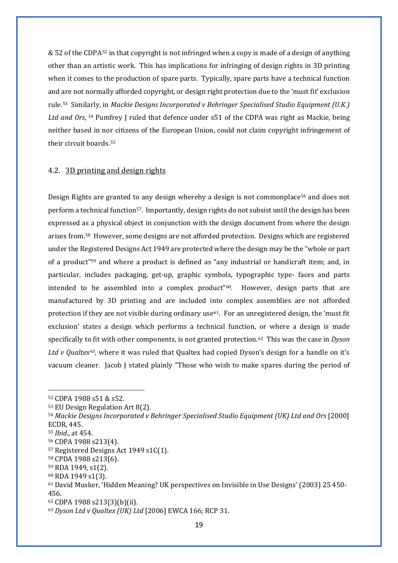& 52 of the CDPA[52](#page-21-0) in that copyright is not infringed when a copy is made of a design of anything other than an artistic work. This has implications for infringing of design rights in 3D printing when it comes to the production of spare parts. Typically, spare parts have a technical function and are not normally afforded copyright, or design right protection due to the 'must fit' exclusion rule.[53](#page-21-1) Similarly, in *Mackie Designs Incorporated v Behringer Specialised Studio Equipment (U.K.) Ltd and Ors*, *[54](#page-21-2)* Pumfrey J ruled that defence under s51 of the CDPA was right as Mackie, being neither based in nor citizens of the European Union, could not claim copyright infringement of their circuit boards.[55](#page-21-3)

#### 4.2. 3D printing and design rights

Design Rights are granted to any design whereby a design is not commonplace[56](#page-21-4) and does not perform a technical function[57.](#page-21-5) Importantly, design rights do not subsist until the design has been expressed as a physical object in conjunction with the design document from where the design arises from.[58](#page-21-6) However, some designs are not afforded protection. Designs which are registered under the Registered Designs Act 1949 are protected where the design may be the "whole or part of a product["59](#page-21-7) and where a product is defined as "any industrial or handicraft item; and, in particular, includes packaging, get-up, graphic symbols, typographic type- faces and parts intended to be assembled into a complex product"<sup>60</sup>. However, design parts that are manufactured by 3D printing and are included into complex assemblies are not afforded protection if they are not visible during ordinary use<sup> $61$ </sup>. For an unregistered design, the 'must fit exclusion' states a design which performs a technical function, or where a design is made specifically to fit with other components, is not granted protection.[62](#page-21-10) This was the case in *Dyson Ltd v Qualtex*[63](#page-21-11)*,* where it was ruled that Qualtex had copied Dyson's design for a handle on it's vacuum cleaner. Jacob J stated plainly "Those who wish to make spares during the period of

<span id="page-21-0"></span><sup>52</sup> CDPA 1988 s51 & s52.

<span id="page-21-1"></span><sup>53</sup> EU Design Regulation Art 8(2).

<span id="page-21-2"></span><sup>54</sup> *Mackie Designs Incorporated v Behringer Specialised Studio Equipment (UK) Ltd and Ors* [2000] ECDR, 445.

<span id="page-21-3"></span><sup>55</sup> *Ibid*., at 454.

<span id="page-21-4"></span><sup>56</sup> CDPA 1988 s213(4).

<span id="page-21-5"></span><sup>57</sup> Registered Designs Act 1949 s1C(1).

<span id="page-21-6"></span><sup>58</sup> CPDA 1988 s213(6).

<span id="page-21-7"></span><sup>59</sup> RDA 1949, s1(2).

<span id="page-21-8"></span><sup>60</sup> RDA 1949 s1(3).

<span id="page-21-9"></span><sup>61</sup> David Musker, 'Hidden Meaning? UK perspectives on Invisible in Use Designs' (2003) 25 450- 456.

<span id="page-21-10"></span><sup>62</sup> CDPA 1988 s213(3)(b)(ii).

<span id="page-21-11"></span><sup>63</sup> *Dyson Ltd v Qualtex (UK) Ltd* [2006] EWCA 166; RCP 31.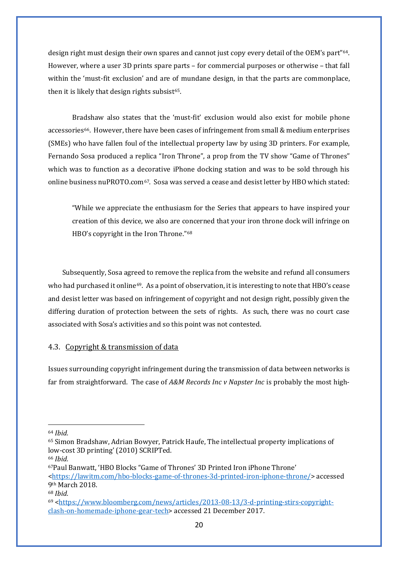design right must design their own spares and cannot just copy every detail of the OEM's part"[64.](#page-22-0) However, where a user 3D prints spare parts – for commercial purposes or otherwise – that fall within the 'must-fit exclusion' and are of mundane design, in that the parts are commonplace, then it is likely that design rights subsist<sup>[65](#page-22-1)</sup>.

Bradshaw also states that the 'must-fit' exclusion would also exist for mobile phone accessories<sup>66</sup>. However, there have been cases of infringement from small & medium enterprises (SMEs) who have fallen foul of the intellectual property law by using 3D printers. For example, Fernando Sosa produced a replica "Iron Throne", a prop from the TV show "Game of Thrones" which was to function as a decorative iPhone docking station and was to be sold through his online business nuPROTO.com[67](#page-22-3). Sosa was served a cease and desist letter by HBO which stated:

"While we appreciate the enthusiasm for the Series that appears to have inspired your creation of this device, we also are concerned that your iron throne dock will infringe on HBO's copyright in the Iron Throne."[68](#page-22-4)

Subsequently, Sosa agreed to remove the replica from the website and refund all consumers who had purchased it online<sup>[69](#page-22-5)</sup>. As a point of observation, it is interesting to note that HBO's cease and desist letter was based on infringement of copyright and not design right, possibly given the differing duration of protection between the sets of rights. As such, there was no court case associated with Sosa's activities and so this point was not contested.

#### 4.3. Copyright & transmission of data

Issues surrounding copyright infringement during the transmission of data between networks is far from straightforward. The case of *A&M Records Inc v Napster Inc* is probably the most high-

<span id="page-22-0"></span><sup>64</sup> *Ibid.*

<span id="page-22-1"></span><sup>65</sup> Simon Bradshaw, Adrian Bowyer, Patrick Haufe, The intellectual property implications of low-cost 3D printing' (2010) SCRIPTed.

<span id="page-22-2"></span><sup>66</sup> *Ibid.*

<span id="page-22-3"></span><sup>67</sup>Paul Banwatt, 'HBO Blocks "Game of Thrones' 3D Printed Iron iPhone Throne' [<https://lawitm.com/hbo-blocks-game-of-thrones-3d-printed-iron-iphone-throne/>](https://lawitm.com/hbo-blocks-game-of-thrones-3d-printed-iron-iphone-throne/) accessed 9th March 2018.

<span id="page-22-4"></span><sup>68</sup> *Ibid.*

<span id="page-22-5"></span><sup>69</sup> [<https://www.bloomberg.com/news/articles/2013-08-13/3-d-printing-stirs-copyright](https://www.bloomberg.com/news/articles/2013-08-13/3-d-printing-stirs-copyright-clash-on-homemade-iphone-gear-tech)[clash-on-homemade-iphone-gear-tech>](https://www.bloomberg.com/news/articles/2013-08-13/3-d-printing-stirs-copyright-clash-on-homemade-iphone-gear-tech) accessed 21 December 2017.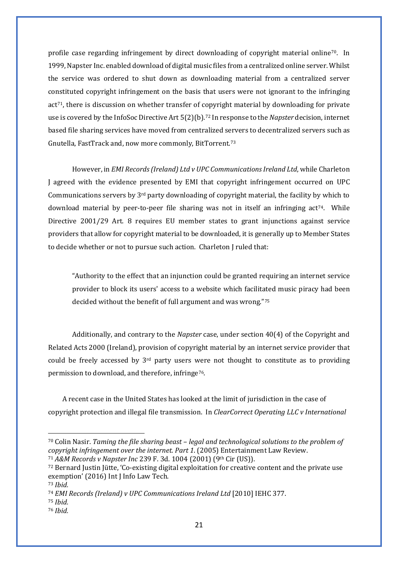profile case regarding infringement by direct downloading of copyright material online[70](#page-23-0). In 1999, Napster Inc. enabled download of digital music files from a centralized online server. Whilst the service was ordered to shut down as downloading material from a centralized server constituted copyright infringement on the basis that users were not ignorant to the infringing act[71](#page-23-1), there is discussion on whether transfer of copyright material by downloading for private use is covered by the InfoSoc Directive Art 5(2)(b).[72](#page-23-2) In response to the *Napster* decision, internet based file sharing services have moved from centralized servers to decentralized servers such as Gnutella, FastTrack and, now more commonly, BitTorrent.[73](#page-23-3) 

However, in *EMI Records (Ireland) Ltd v UPC Communications Ireland Ltd*, while Charleton J agreed with the evidence presented by EMI that copyright infringement occurred on UPC Communications servers by  $3<sup>rd</sup>$  party downloading of copyright material, the facility by which to download material by peer-to-peer file sharing was not in itself an infringing act<sup>74</sup>. While Directive 2001/29 Art. 8 requires EU member states to grant injunctions against service providers that allow for copyright material to be downloaded, it is generally up to Member States to decide whether or not to pursue such action. Charleton J ruled that:

"Authority to the effect that an injunction could be granted requiring an internet service provider to block its users' access to a website which facilitated music piracy had been decided without the benefit of full argument and was wrong."[75](#page-23-5)

Additionally, and contrary to the *Napster* case, under section 40(4) of the Copyright and Related Acts 2000 (Ireland), provision of copyright material by an internet service provider that could be freely accessed by 3rd party users were not thought to constitute as to providing permission to download, and therefore, infringe[76.](#page-23-6)

A recent case in the United States has looked at the limit of jurisdiction in the case of copyright protection and illegal file transmission. In *ClearCorrect Operating LLC v International* 

<span id="page-23-0"></span><sup>70</sup> Colin Nasir. *Taming the file sharing beast – legal and technological solutions to the problem of copyright infringement over the internet. Part 1*. (2005) Entertainment Law Review.

<span id="page-23-1"></span><sup>71</sup> *A&M Records v Napster Inc* 239 F. 3d. 1004 (2001) (9th Cir (US)).

<span id="page-23-2"></span><sup>72</sup> Bernard Justin Jütte, 'Co-existing digital exploitation for creative content and the private use exemption' (2016) Int J Info Law Tech.

<span id="page-23-3"></span><sup>73</sup> *Ibid.*

<span id="page-23-4"></span><sup>74</sup> *EMI Records (Ireland) v UPC Communications Ireland Ltd* [2010] IEHC 377.

<span id="page-23-5"></span><sup>75</sup> *Ibid.*

<span id="page-23-6"></span><sup>76</sup> *Ibid.*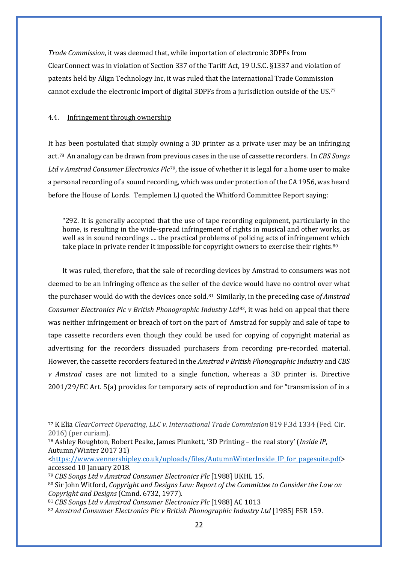*Trade Commission*, it was deemed that, while importation of electronic 3DPFs from ClearConnect was in violation of Section 337 of the Tariff Act, 19 U.S.C. §1337 and violation of patents held by Align Technology Inc, it was ruled that the International Trade Commission cannot exclude the electronic import of digital 3DPFs from a jurisdiction outside of the US.[77](#page-24-0)

#### 4.4. Infringement through ownership

It has been postulated that simply owning a 3D printer as a private user may be an infringing act.[78](#page-24-1) An analogy can be drawn from previous cases in the use of cassette recorders. In *CBS Songs Ltd v Amstrad Consumer Electronics Plc*[79](#page-24-2), the issue of whether it is legal for a home user to make a personal recording of a sound recording, which was under protection of the CA 1956, was heard before the House of Lords. Templemen LJ quoted the Whitford Committee Report saying:

"292. It is generally accepted that the use of tape recording equipment, particularly in the home, is resulting in the wide-spread infringement of rights in musical and other works, as well as in sound recordings .... the practical problems of policing acts of infringement which take place in private render it impossible for copyright owners to exercise their rights.<sup>[80](#page-24-3)</sup>

It was ruled, therefore, that the sale of recording devices by Amstrad to consumers was not deemed to be an infringing offence as the seller of the device would have no control over what the purchaser would do with the devices once sold.[81](#page-24-4) Similarly, in the preceding case *of Amstrad Consumer Electronics Plc v British Phonographic Industry Ltd*[82](#page-24-5), it was held on appeal that there was neither infringement or breach of tort on the part of Amstrad for supply and sale of tape to tape cassette recorders even though they could be used for copying of copyright material as advertising for the recorders dissuaded purchasers from recording pre-recorded material. However, the cassette recorders featured in the *Amstrad v British Phonographic Industry* and *CBS v Amstrad* cases are not limited to a single function, whereas a 3D printer is. Directive 2001/29/EC Art. 5(a) provides for temporary acts of reproduction and for "transmission of in a

<span id="page-24-0"></span><sup>77</sup> K Elia *ClearCorrect Operating, LLC v. International Trade Commission* 819 F.3d 1334 (Fed. Cir. 2016) (per curiam).

<span id="page-24-1"></span><sup>78</sup> Ashley Roughton, Robert Peake, James Plunkett, '3D Printing – the real story' (*Inside IP*, Autumn/Winter 2017 31)

[<sup>&</sup>lt;https://www.vennershipley.co.uk/uploads/files/AutumnWinterInside\\_IP\\_for\\_pagesuite.pdf>](https://www.vennershipley.co.uk/uploads/files/AutumnWinterInside_IP_for_pagesuite.pdf) accessed 10 January 2018.

<span id="page-24-2"></span><sup>79</sup> *CBS Songs Ltd v Amstrad Consumer Electronics Plc* [1988] UKHL 15.

<span id="page-24-3"></span><sup>80</sup> Sir John Witford, *Copyright and Designs Law: Report of the Committee to Consider the Law on Copyright and Designs* (Cmnd. 6732, 1977).

<span id="page-24-4"></span><sup>81</sup> *CBS Songs Ltd v Amstrad Consumer Electronics Plc* [1988] AC 1013

<span id="page-24-5"></span><sup>82</sup> *Amstrad Consumer Electronics Plc v British Phonographic Industry Ltd* [1985] FSR 159.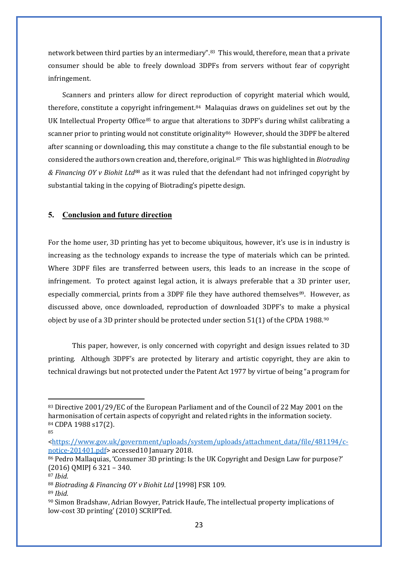network between third parties by an intermediary"[.83](#page-25-0) This would, therefore, mean that a private consumer should be able to freely download 3DPFs from servers without fear of copyright infringement.

Scanners and printers allow for direct reproduction of copyright material which would, therefore, constitute a copyright infringement.[84](#page-25-1) Malaquias draws on guidelines set out by the UK Intellectual Property Office<sup>[85](#page-25-2)</sup> to argue that alterations to 3DPF's during whilst calibrating a scanner prior to printing would not constitute originality<sup>[86](#page-25-3)</sup> However, should the 3DPF be altered after scanning or downloading, this may constitute a change to the file substantial enough to be considered the authors own creation and, therefore, original.[87](#page-25-4) This was highlighted in *Biotrading & Financing OY v Biohit Ltd*[88](#page-25-5) as it was ruled that the defendant had not infringed copyright by substantial taking in the copying of Biotrading's pipette design.

#### **5. Conclusion and future direction**

For the home user, 3D printing has yet to become ubiquitous, however, it's use is in industry is increasing as the technology expands to increase the type of materials which can be printed. Where 3DPF files are transferred between users, this leads to an increase in the scope of infringement. To protect against legal action, it is always preferable that a 3D printer user, especially commercial, prints from a 3DPF file they have authored themselves<sup>[89](#page-25-6)</sup>. However, as discussed above, once downloaded, reproduction of downloaded 3DPF's to make a physical object by use of a 3D printer should be protected under section 51(1) of the CPDA 1988.[90](#page-25-7) 

This paper, however, is only concerned with copyright and design issues related to 3D printing. Although 3DPF's are protected by literary and artistic copyright, they are akin to technical drawings but not protected under the Patent Act 1977 by virtue of being "a program for

<span id="page-25-0"></span><sup>83</sup> Directive 2001/29/EC of the European Parliament and of the Council of 22 May 2001 on the harmonisation of certain aspects of copyright and related rights in the information society. <sup>84</sup> CDPA 1988 s17(2).

<span id="page-25-1"></span><sup>85</sup>

<span id="page-25-2"></span>[<sup>&</sup>lt;https://www.gov.uk/government/uploads/system/uploads/attachment\\_data/file/481194/c](https://www.gov.uk/government/uploads/system/uploads/attachment_data/file/481194/c-notice-201401.pdf)[notice-201401.pdf>](https://www.gov.uk/government/uploads/system/uploads/attachment_data/file/481194/c-notice-201401.pdf) accessed10 January 2018.

<span id="page-25-3"></span><sup>86</sup> Pedro Mallaquias, 'Consumer 3D printing: Is the UK Copyright and Design Law for purpose?' (2016) QMIPJ 6 321 – 340.

<span id="page-25-4"></span><sup>87</sup> *Ibid.*

<span id="page-25-5"></span><sup>88</sup> *Biotrading & Financing OY v Biohit Ltd* [1998] FSR 109.

<span id="page-25-6"></span><sup>89</sup> *Ibid.*

<span id="page-25-7"></span><sup>90</sup> Simon Bradshaw, Adrian Bowyer, Patrick Haufe, The intellectual property implications of low-cost 3D printing' (2010) SCRIPTed.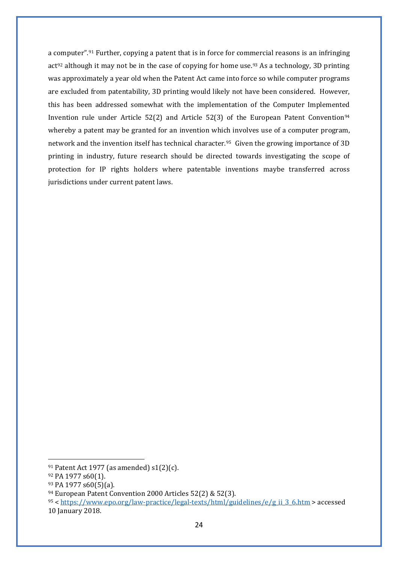a computer".[91](#page-26-0) Further, copying a patent that is in force for commercial reasons is an infringing  $act<sup>92</sup> although it may not be in the case of copying for home use.<sup>93</sup> As a technology, 3D printing$  $act<sup>92</sup> although it may not be in the case of copying for home use.<sup>93</sup> As a technology, 3D printing$  $act<sup>92</sup> although it may not be in the case of copying for home use.<sup>93</sup> As a technology, 3D printing$  $act<sup>92</sup> although it may not be in the case of copying for home use.<sup>93</sup> As a technology, 3D printing$  $act<sup>92</sup> although it may not be in the case of copying for home use.<sup>93</sup> As a technology, 3D printing$ was approximately a year old when the Patent Act came into force so while computer programs are excluded from patentability, 3D printing would likely not have been considered. However, this has been addressed somewhat with the implementation of the Computer Implemented Invention rule under Article 52(2) and Article 52(3) of the European Patent Convention<sup>[94](#page-26-3)</sup> whereby a patent may be granted for an invention which involves use of a computer program, network and the invention itself has technical character.[95](#page-26-4) Given the growing importance of 3D printing in industry, future research should be directed towards investigating the scope of protection for IP rights holders where patentable inventions maybe transferred across jurisdictions under current patent laws.

<span id="page-26-0"></span><sup>&</sup>lt;sup>91</sup> Patent Act 1977 (as amended) s1(2)(c).

<span id="page-26-1"></span><sup>92</sup> PA 1977 s60(1).

<span id="page-26-2"></span><sup>93</sup> PA 1977 s60(5)(a).

<span id="page-26-3"></span><sup>94</sup> European Patent Convention 2000 Articles 52(2) & 52(3).

<span id="page-26-4"></span><sup>95</sup> [< https://www.epo.org/law-practice/legal-texts/html/guidelines/e/g\\_ii\\_3\\_6.htm](https://www.epo.org/law-practice/legal-texts/html/guidelines/e/g_ii_3_6.htm) > accessed 10 January 2018.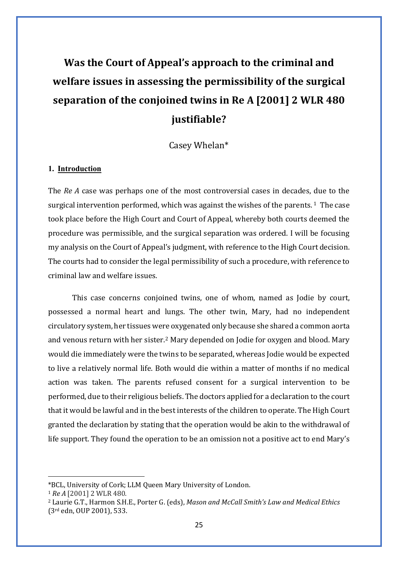## **Was the Court of Appeal's approach to the criminal and welfare issues in assessing the permissibility of the surgical separation of the conjoined twins in Re A [2001] 2 WLR 480 justifiable?**

Casey Whelan\*

#### **1. Introduction**

The *Re A* case was perhaps one of the most controversial cases in decades, due to the surgical intervention performed, which was against the wishes of the parents.  $1$  The case took place before the High Court and Court of Appeal, whereby both courts deemed the procedure was permissible, and the surgical separation was ordered. I will be focusing my analysis on the Court of Appeal's judgment, with reference to the High Court decision. The courts had to consider the legal permissibility of such a procedure, with reference to criminal law and welfare issues.

This case concerns conjoined twins, one of whom, named as Jodie by court, possessed a normal heart and lungs. The other twin, Mary, had no independent circulatory system, her tissues were oxygenated only because she shared a common aorta and venous return with her sister[.2](#page-27-1) Mary depended on Jodie for oxygen and blood. Mary would die immediately were the twins to be separated, whereas Jodie would be expected to live a relatively normal life. Both would die within a matter of months if no medical action was taken. The parents refused consent for a surgical intervention to be performed, due to their religious beliefs. The doctors applied for a declaration to the court that it would be lawful and in the best interests of the children to operate. The High Court granted the declaration by stating that the operation would be akin to the withdrawal of life support. They found the operation to be an omission not a positive act to end Mary's

<span id="page-27-0"></span><sup>\*</sup>BCL, University of Cork; LLM Queen Mary University of London.

<sup>1</sup> *Re A* [2001] 2 WLR 480.

<span id="page-27-1"></span><sup>2</sup> Laurie G.T., Harmon S.H.E., Porter G. (eds), *Mason and McCall Smith's Law and Medical Ethics*  (3rd edn, OUP 2001), 533.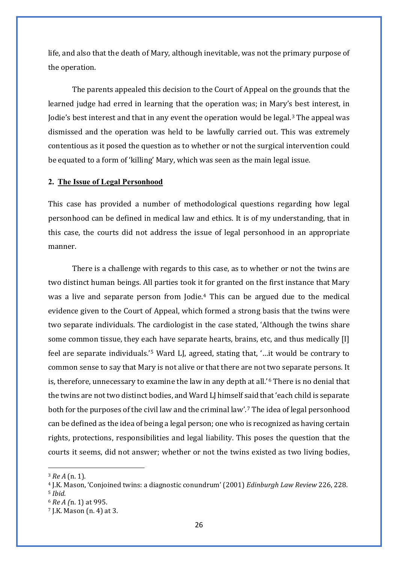life, and also that the death of Mary, although inevitable, was not the primary purpose of the operation.

The parents appealed this decision to the Court of Appeal on the grounds that the learned judge had erred in learning that the operation was; in Mary's best interest, in Jodie's best interest and that in any event the operation would be legal.[3](#page-28-0) The appeal was dismissed and the operation was held to be lawfully carried out. This was extremely contentious as it posed the question as to whether or not the surgical intervention could be equated to a form of 'killing' Mary, which was seen as the main legal issue.

#### **2. The Issue of Legal Personhood**

This case has provided a number of methodological questions regarding how legal personhood can be defined in medical law and ethics. It is of my understanding, that in this case, the courts did not address the issue of legal personhood in an appropriate manner.

There is a challenge with regards to this case, as to whether or not the twins are two distinct human beings. All parties took it for granted on the first instance that Mary was a live and separate person from Jodie.[4](#page-28-1) This can be argued due to the medical evidence given to the Court of Appeal, which formed a strong basis that the twins were two separate individuals. The cardiologist in the case stated, 'Although the twins share some common tissue, they each have separate hearts, brains, etc, and thus medically [I] feel are separate individuals.'[5](#page-28-2) Ward LJ, agreed, stating that, '…it would be contrary to common sense to say that Mary is not alive or that there are not two separate persons. It is, therefore, unnecessary to examine the law in any depth at all.'[6](#page-28-3) There is no denial that the twins are not two distinct bodies, and Ward LJ himself said that 'each child is separate both for the purposes of the civil law and the criminal law'. [7](#page-28-4) The idea of legal personhood can be defined as the idea of being a legal person; one who is recognized as having certain rights, protections, responsibilities and legal liability. This poses the question that the courts it seems, did not answer; whether or not the twins existed as two living bodies,

<span id="page-28-0"></span><sup>3</sup> *Re A* (n. 1).

<span id="page-28-2"></span><span id="page-28-1"></span><sup>4</sup> J.K. Mason, 'Conjoined twins: a diagnostic conundrum' (2001) *Edinburgh Law Review* 226, 228. <sup>5</sup> *Ibid.*

<span id="page-28-3"></span><sup>6</sup> *Re A (*n. 1) at 995.

<span id="page-28-4"></span><sup>7</sup> J.K. Mason (n. 4) at 3.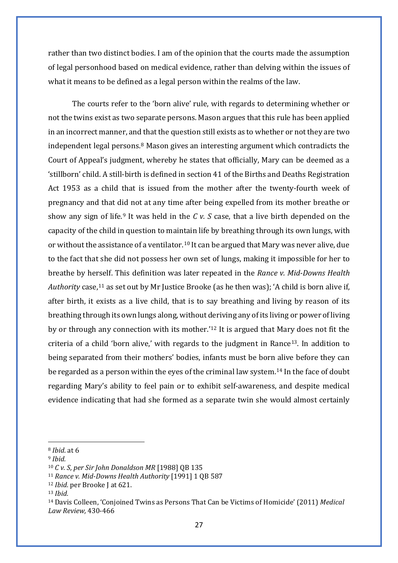rather than two distinct bodies. I am of the opinion that the courts made the assumption of legal personhood based on medical evidence, rather than delving within the issues of what it means to be defined as a legal person within the realms of the law.

The courts refer to the 'born alive' rule, with regards to determining whether or not the twins exist as two separate persons. Mason argues that this rule has been applied in an incorrect manner, and that the question still exists as to whether or not they are two independent legal persons.[8](#page-29-0) Mason gives an interesting argument which contradicts the Court of Appeal's judgment, whereby he states that officially, Mary can be deemed as a 'stillborn' child. A still-birth is defined in section 41 of the Births and Deaths Registration Act 1953 as a child that is issued from the mother after the twenty-fourth week of pregnancy and that did not at any time after being expelled from its mother breathe or show any sign of life.<sup>[9](#page-29-1)</sup> It was held in the *C v. S* case, that a live birth depended on the capacity of the child in question to maintain life by breathing through its own lungs, with or without the assistance of a ventilator.[10](#page-29-2) It can be argued that Mary was never alive, due to the fact that she did not possess her own set of lungs, making it impossible for her to breathe by herself. This definition was later repeated in the *Rance v. Mid-Downs Health Authority* case,[11](#page-29-3) as set out by Mr Justice Brooke (as he then was); 'A child is born alive if, after birth, it exists as a live child, that is to say breathing and living by reason of its breathing through its own lungs along, without deriving any of its living or power of living by or through any connection with its mother.'[12](#page-29-4) It is argued that Mary does not fit the criteria of a child 'born alive,' with regards to the judgment in Rance<sup>[13](#page-29-5)</sup>. In addition to being separated from their mothers' bodies, infants must be born alive before they can be regarded as a person within the eyes of the criminal law system.[14](#page-29-6) In the face of doubt regarding Mary's ability to feel pain or to exhibit self-awareness, and despite medical evidence indicating that had she formed as a separate twin she would almost certainly

<span id="page-29-0"></span><sup>8</sup> *Ibid*. at 6

<span id="page-29-1"></span><sup>9</sup> *Ibid.*

<span id="page-29-2"></span><sup>10</sup> *C v. S, per Sir John Donaldson MR* [1988] QB 135

<span id="page-29-3"></span><sup>11</sup> *Rance v. Mid-Downs Health Authority* [1991] 1 QB 587

<span id="page-29-4"></span><sup>12</sup> *Ibid.* per Brooke J at 621.

<span id="page-29-5"></span><sup>13</sup> *Ibid.*

<span id="page-29-6"></span><sup>14</sup> Davis Colleen, 'Conjoined Twins as Persons That Can be Victims of Homicide' (2011) *Medical Law Review,* 430-466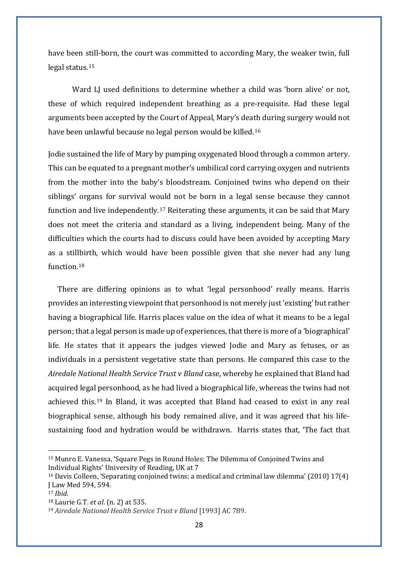have been still-born, the court was committed to according Mary, the weaker twin, full legal status.[15](#page-30-0)

Ward LJ used definitions to determine whether a child was 'born alive' or not, these of which required independent breathing as a pre-requisite. Had these legal arguments been accepted by the Court of Appeal, Mary's death during surgery would not have been unlawful because no legal person would be killed.[16](#page-30-1)

Jodie sustained the life of Mary by pumping oxygenated blood through a common artery. This can be equated to a pregnant mother's umbilical cord carrying oxygen and nutrients from the mother into the baby's bloodstream. Conjoined twins who depend on their siblings' organs for survival would not be born in a legal sense because they cannot function and live independently.[17](#page-30-2) Reiterating these arguments, it can be said that Mary does not meet the criteria and standard as a living, independent being. Many of the difficulties which the courts had to discuss could have been avoided by accepting Mary as a stillbirth, which would have been possible given that she never had any lung function.[18](#page-30-3)

There are differing opinions as to what 'legal personhood' really means. Harris provides an interesting viewpoint that personhood is not merely just 'existing' but rather having a biographical life. Harris places value on the idea of what it means to be a legal person; that a legal person is made up of experiences, that there is more of a 'biographical' life. He states that it appears the judges viewed Jodie and Mary as fetuses, or as individuals in a persistent vegetative state than persons. He compared this case to the *Airedale National Health Service Trust v Bland* case, whereby he explained that Bland had acquired legal personhood, as he had lived a biographical life, whereas the twins had not achieved this.[19](#page-30-4) In Bland, it was accepted that Bland had ceased to exist in any real biographical sense, although his body remained alive, and it was agreed that his lifesustaining food and hydration would be withdrawn. Harris states that, 'The fact that

<span id="page-30-0"></span><sup>15</sup> Munro E. Vanessa, 'Square Pegs in Round Holes: The Dilemma of Conjoined Twins and Individual Rights' University of Reading, UK at 7

<span id="page-30-1"></span><sup>16</sup> Davis Colleen, 'Separating conjoined twins: a medical and criminal law dilemma' (2010) 17(4) J Law Med 594, 594.

<span id="page-30-2"></span><sup>17</sup> *Ibid.*

<span id="page-30-3"></span><sup>18</sup> Laurie G.T. *et al*. (n. 2) at 535.

<span id="page-30-4"></span><sup>19</sup> *Airedale National Health Service Trust v Bland* [1993] AC 789.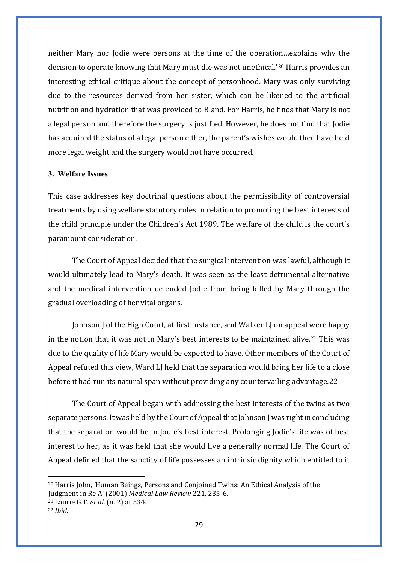neither Mary nor Jodie were persons at the time of the operation…explains why the decision to operate knowing that Mary must die was not unethical.'[20](#page-31-0) Harris provides an interesting ethical critique about the concept of personhood. Mary was only surviving due to the resources derived from her sister, which can be likened to the artificial nutrition and hydration that was provided to Bland. For Harris, he finds that Mary is not a legal person and therefore the surgery is justified. However, he does not find that Jodie has acquired the status of a legal person either, the parent's wishes would then have held more legal weight and the surgery would not have occurred.

#### **3. Welfare Issues**

This case addresses key doctrinal questions about the permissibility of controversial treatments by using welfare statutory rules in relation to promoting the best interests of the child principle under the Children's Act 1989. The welfare of the child is the court's paramount consideration.

The Court of Appeal decided that the surgical intervention was lawful, although it would ultimately lead to Mary's death. It was seen as the least detrimental alternative and the medical intervention defended Jodie from being killed by Mary through the gradual overloading of her vital organs.

Johnson J of the High Court, at first instance, and Walker LJ on appeal were happy in the notion that it was not in Mary's best interests to be maintained alive.<sup>[21](#page-31-1)</sup> This was due to the quality of life Mary would be expected to have. Other members of the Court of Appeal refuted this view, Ward LJ held that the separation would bring her life to a close before it had run its natural span without providing any countervailing advantage.[22](#page-31-2)

The Court of Appeal began with addressing the best interests of the twins as two separate persons. It was held by the Court of Appeal that Johnson J was right in concluding that the separation would be in Jodie's best interest. Prolonging Jodie's life was of best interest to her, as it was held that she would live a generally normal life. The Court of Appeal defined that the sanctity of life possesses an intrinsic dignity which entitled to it

<span id="page-31-0"></span><sup>20</sup> Harris John, *'*Human Beings, Persons and Conjoined Twins: An Ethical Analysis of the Judgment in Re A' (2001) *Medical Law Review* 221, 235-6.

<span id="page-31-1"></span><sup>21</sup> Laurie G.T. *et al*. (n. 2) at 534.

<span id="page-31-2"></span><sup>22</sup> *Ibid.*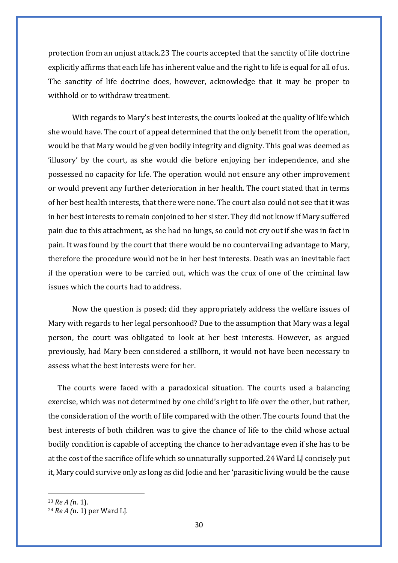protection from an unjust attack.[23](#page-32-0) The courts accepted that the sanctity of life doctrine explicitly affirms that each life has inherent value and the right to life is equal for all of us. The sanctity of life doctrine does, however, acknowledge that it may be proper to withhold or to withdraw treatment.

With regards to Mary's best interests, the courts looked at the quality of life which she would have. The court of appeal determined that the only benefit from the operation, would be that Mary would be given bodily integrity and dignity. This goal was deemed as 'illusory' by the court, as she would die before enjoying her independence, and she possessed no capacity for life. The operation would not ensure any other improvement or would prevent any further deterioration in her health. The court stated that in terms of her best health interests, that there were none. The court also could not see that it was in her best interests to remain conjoined to her sister. They did not know if Mary suffered pain due to this attachment, as she had no lungs, so could not cry out if she was in fact in pain. It was found by the court that there would be no countervailing advantage to Mary, therefore the procedure would not be in her best interests. Death was an inevitable fact if the operation were to be carried out, which was the crux of one of the criminal law issues which the courts had to address.

Now the question is posed; did they appropriately address the welfare issues of Mary with regards to her legal personhood? Due to the assumption that Mary was a legal person, the court was obligated to look at her best interests. However, as argued previously, had Mary been considered a stillborn, it would not have been necessary to assess what the best interests were for her.

The courts were faced with a paradoxical situation. The courts used a balancing exercise, which was not determined by one child's right to life over the other, but rather, the consideration of the worth of life compared with the other. The courts found that the best interests of both children was to give the chance of life to the child whose actual bodily condition is capable of accepting the chance to her advantage even if she has to be at the cost of the sacrifice of life which so unnaturally supported.[24](#page-32-1) Ward LJ concisely put it, Mary could survive only as long as did Jodie and her 'parasitic living would be the cause

<span id="page-32-0"></span><sup>23</sup> *Re A (*n. 1).

<span id="page-32-1"></span><sup>24</sup> *Re A (*n. 1) per Ward LJ.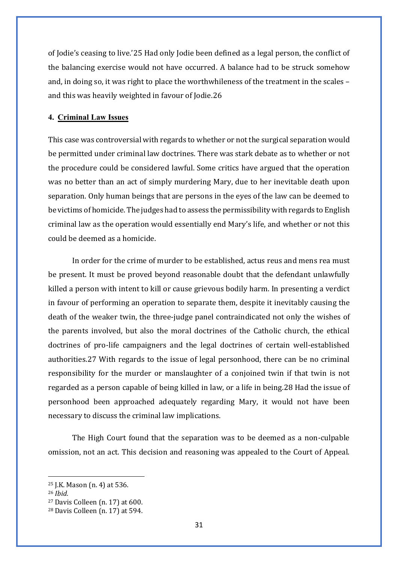of Jodie's ceasing to live.'[25](#page-33-0) Had only Jodie been defined as a legal person, the conflict of the balancing exercise would not have occurred. A balance had to be struck somehow and, in doing so, it was right to place the worthwhileness of the treatment in the scales – and this was heavily weighted in favour of Jodie.[26](#page-33-1)

#### **4. Criminal Law Issues**

This case was controversial with regards to whether or not the surgical separation would be permitted under criminal law doctrines. There was stark debate as to whether or not the procedure could be considered lawful. Some critics have argued that the operation was no better than an act of simply murdering Mary, due to her inevitable death upon separation. Only human beings that are persons in the eyes of the law can be deemed to be victims of homicide. The judges had to assess the permissibility with regards to English criminal law as the operation would essentially end Mary's life, and whether or not this could be deemed as a homicide.

In order for the crime of murder to be established, actus reus and mens rea must be present. It must be proved beyond reasonable doubt that the defendant unlawfully killed a person with intent to kill or cause grievous bodily harm. In presenting a verdict in favour of performing an operation to separate them, despite it inevitably causing the death of the weaker twin, the three-judge panel contraindicated not only the wishes of the parents involved, but also the moral doctrines of the Catholic church, the ethical doctrines of pro-life campaigners and the legal doctrines of certain well-established authorities.[27](#page-33-2) With regards to the issue of legal personhood, there can be no criminal responsibility for the murder or manslaughter of a conjoined twin if that twin is not regarded as a person capable of being killed in law, or a life in being.[28](#page-33-3) Had the issue of personhood been approached adequately regarding Mary, it would not have been necessary to discuss the criminal law implications.

The High Court found that the separation was to be deemed as a non-culpable omission, not an act. This decision and reasoning was appealed to the Court of Appeal.

<span id="page-33-0"></span><sup>25</sup> J.K. Mason (n. 4) at 536.

<span id="page-33-1"></span><sup>26</sup> *Ibid.*

<span id="page-33-2"></span><sup>27</sup> Davis Colleen (n. 17) at 600.

<span id="page-33-3"></span><sup>28</sup> Davis Colleen (n. 17) at 594.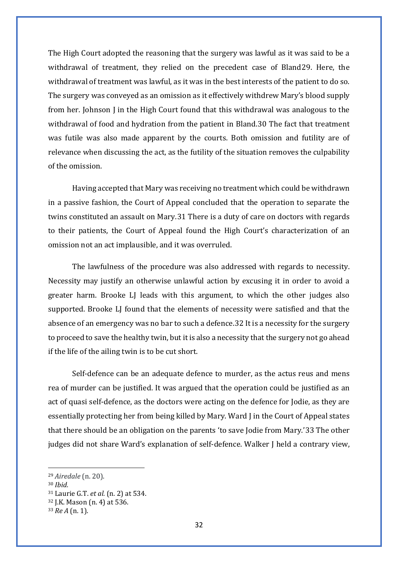The High Court adopted the reasoning that the surgery was lawful as it was said to be a withdrawal of treatment, they relied on the precedent case of Bland[29](#page-34-0). Here, the withdrawal of treatment was lawful, as it was in the best interests of the patient to do so. The surgery was conveyed as an omission as it effectively withdrew Mary's blood supply from her. Johnson J in the High Court found that this withdrawal was analogous to the withdrawal of food and hydration from the patient in Bland.[30](#page-34-1) The fact that treatment was futile was also made apparent by the courts. Both omission and futility are of relevance when discussing the act, as the futility of the situation removes the culpability of the omission.

Having accepted that Mary was receiving no treatment which could be withdrawn in a passive fashion, the Court of Appeal concluded that the operation to separate the twins constituted an assault on Mary.[31](#page-34-2) There is a duty of care on doctors with regards to their patients, the Court of Appeal found the High Court's characterization of an omission not an act implausible, and it was overruled.

The lawfulness of the procedure was also addressed with regards to necessity. Necessity may justify an otherwise unlawful action by excusing it in order to avoid a greater harm. Brooke LJ leads with this argument, to which the other judges also supported. Brooke LJ found that the elements of necessity were satisfied and that the absence of an emergency was no bar to such a defence.[32](#page-34-3) It is a necessity for the surgery to proceed to save the healthy twin, but it is also a necessity that the surgery not go ahead if the life of the ailing twin is to be cut short.

Self-defence can be an adequate defence to murder, as the actus reus and mens rea of murder can be justified. It was argued that the operation could be justified as an act of quasi self-defence, as the doctors were acting on the defence for Jodie, as they are essentially protecting her from being killed by Mary. Ward J in the Court of Appeal states that there should be an obligation on the parents 'to save Jodie from Mary.'[33](#page-34-4) The other judges did not share Ward's explanation of self-defence. Walker J held a contrary view,

<span id="page-34-0"></span><sup>29</sup> *Airedale* (n. 20).

<span id="page-34-1"></span><sup>30</sup> *Ibid.*

<span id="page-34-2"></span><sup>31</sup> Laurie G.T. *et al.* (n. 2) at 534.

<span id="page-34-3"></span><sup>32</sup> J.K. Mason (n. 4) at 536.

<span id="page-34-4"></span><sup>33</sup> *Re A* (n. 1).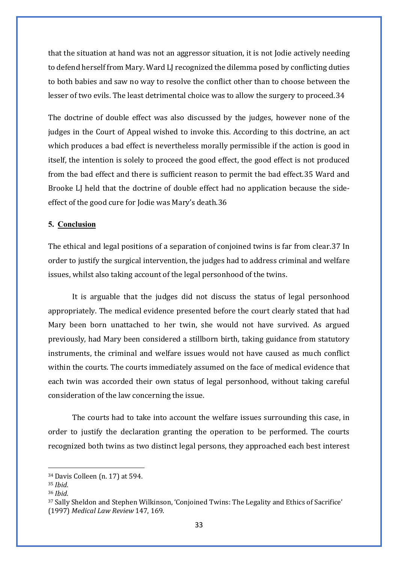that the situation at hand was not an aggressor situation, it is not Jodie actively needing to defend herself from Mary. Ward LJ recognized the dilemma posed by conflicting duties to both babies and saw no way to resolve the conflict other than to choose between the lesser of two evils. The least detrimental choice was to allow the surgery to proceed.[34](#page-35-0)

The doctrine of double effect was also discussed by the judges, however none of the judges in the Court of Appeal wished to invoke this. According to this doctrine, an act which produces a bad effect is nevertheless morally permissible if the action is good in itself, the intention is solely to proceed the good effect, the good effect is not produced from the bad effect and there is sufficient reason to permit the bad effect.[35](#page-35-1) Ward and Brooke LJ held that the doctrine of double effect had no application because the sideeffect of the good cure for Jodie was Mary's death.[36](#page-35-2)

#### **5. Conclusion**

The ethical and legal positions of a separation of conjoined twins is far from clear.[37](#page-35-3) In order to justify the surgical intervention, the judges had to address criminal and welfare issues, whilst also taking account of the legal personhood of the twins.

It is arguable that the judges did not discuss the status of legal personhood appropriately. The medical evidence presented before the court clearly stated that had Mary been born unattached to her twin, she would not have survived. As argued previously, had Mary been considered a stillborn birth, taking guidance from statutory instruments, the criminal and welfare issues would not have caused as much conflict within the courts. The courts immediately assumed on the face of medical evidence that each twin was accorded their own status of legal personhood, without taking careful consideration of the law concerning the issue.

The courts had to take into account the welfare issues surrounding this case, in order to justify the declaration granting the operation to be performed. The courts recognized both twins as two distinct legal persons, they approached each best interest

<span id="page-35-0"></span><sup>34</sup> Davis Colleen (n. 17) at 594.

<span id="page-35-1"></span><sup>35</sup> *Ibid.*

<span id="page-35-2"></span><sup>36</sup> *Ibid.*

<span id="page-35-3"></span><sup>37</sup> Sally Sheldon and Stephen Wilkinson, 'Conjoined Twins: The Legality and Ethics of Sacrifice' (1997) *Medical Law Review* 147, 169.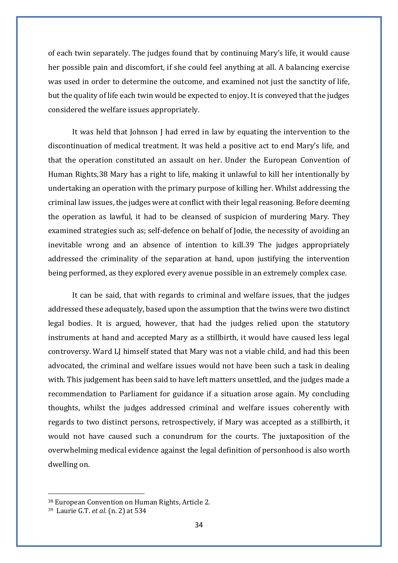of each twin separately. The judges found that by continuing Mary's life, it would cause her possible pain and discomfort, if she could feel anything at all. A balancing exercise was used in order to determine the outcome, and examined not just the sanctity of life, but the quality of life each twin would be expected to enjoy. It is conveyed that the judges considered the welfare issues appropriately.

It was held that Johnson J had erred in law by equating the intervention to the discontinuation of medical treatment. It was held a positive act to end Mary's life, and that the operation constituted an assault on her. Under the European Convention of Human Rights,[38](#page-36-0) Mary has a right to life, making it unlawful to kill her intentionally by undertaking an operation with the primary purpose of killing her. Whilst addressing the criminal law issues, the judges were at conflict with their legal reasoning. Before deeming the operation as lawful, it had to be cleansed of suspicion of murdering Mary. They examined strategies such as; self-defence on behalf of Jodie, the necessity of avoiding an inevitable wrong and an absence of intention to kill.[39](#page-36-1) The judges appropriately addressed the criminality of the separation at hand, upon justifying the intervention being performed, as they explored every avenue possible in an extremely complex case.

It can be said, that with regards to criminal and welfare issues, that the judges addressed these adequately, based upon the assumption that the twins were two distinct legal bodies. It is argued, however, that had the judges relied upon the statutory instruments at hand and accepted Mary as a stillbirth, it would have caused less legal controversy. Ward LJ himself stated that Mary was not a viable child, and had this been advocated, the criminal and welfare issues would not have been such a task in dealing with. This judgement has been said to have left matters unsettled, and the judges made a recommendation to Parliament for guidance if a situation arose again. My concluding thoughts, whilst the judges addressed criminal and welfare issues coherently with regards to two distinct persons, retrospectively, if Mary was accepted as a stillbirth, it would not have caused such a conundrum for the courts. The juxtaposition of the overwhelming medical evidence against the legal definition of personhood is also worth dwelling on.

<span id="page-36-0"></span><sup>38</sup> European Convention on Human Rights, Article 2.

<span id="page-36-1"></span><sup>39</sup> Laurie G.T. *et al.* (n. 2) at 534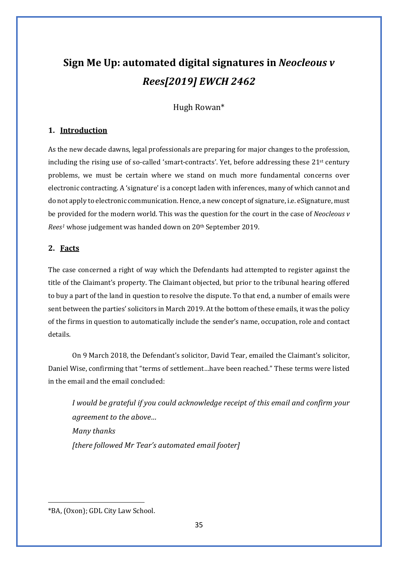## **Sign Me Up: automated digital signatures in** *Neocleous v Rees[2019] EWCH 2462*

Hugh Rowan\*

## **1. Introduction**

As the new decade dawns, legal professionals are preparing for major changes to the profession, including the rising use of so-called 'smart-contracts'. Yet, before addressing these 21st century problems, we must be certain where we stand on much more fundamental concerns over electronic contracting. A 'signature' is a concept laden with inferences, many of which cannot and do not apply to electronic communication. Hence, a new concept of signature, i.e. eSignature, must be provided for the modern world. This was the question for the court in the case of *Neocleous v Rees[1](#page-37-0)* whose judgement was handed down on 20th September 2019.

## **2. Facts**

The case concerned a right of way which the Defendants had attempted to register against the title of the Claimant's property. The Claimant objected, but prior to the tribunal hearing offered to buy a part of the land in question to resolve the dispute. To that end, a number of emails were sent between the parties' solicitors in March 2019. At the bottom of these emails, it was the policy of the firms in question to automatically include the sender's name, occupation, role and contact details.

On 9 March 2018, the Defendant's solicitor, David Tear, emailed the Claimant's solicitor, Daniel Wise, confirming that "terms of settlement…have been reached." These terms were listed in the email and the email concluded:

*I would be grateful if you could acknowledge receipt of this email and confirm your agreement to the above… Many thanks [there followed Mr Tear's automated email footer]*

<span id="page-37-0"></span><sup>\*</sup>BA, (Oxon); GDL City Law School.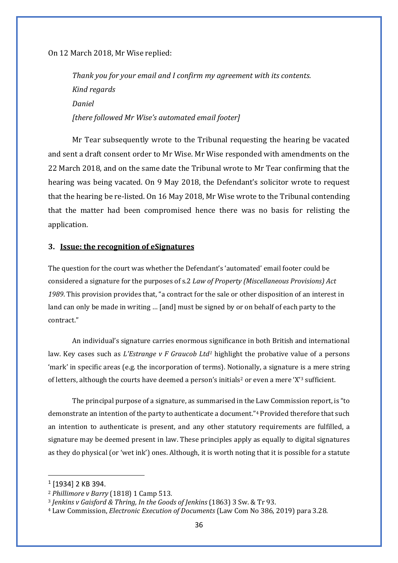On 12 March 2018, Mr Wise replied:

*Thank you for your email and I confirm my agreement with its contents. Kind regards Daniel [there followed Mr Wise's automated email footer]*

Mr Tear subsequently wrote to the Tribunal requesting the hearing be vacated and sent a draft consent order to Mr Wise. Mr Wise responded with amendments on the 22 March 2018, and on the same date the Tribunal wrote to Mr Tear confirming that the hearing was being vacated. On 9 May 2018, the Defendant's solicitor wrote to request that the hearing be re-listed. On 16 May 2018, Mr Wise wrote to the Tribunal contending that the matter had been compromised hence there was no basis for relisting the application.

#### **3. Issue: the recognition of eSignatures**

The question for the court was whether the Defendant's 'automated' email footer could be considered a signature for the purposes of s.2 *Law of Property (Miscellaneous Provisions) Act 1989*. This provision provides that, "a contract for the sale or other disposition of an interest in land can only be made in writing … [and] must be signed by or on behalf of each party to the contract."

An individual's signature carries enormous significance in both British and international law. Key cases such as *L'Estrange v F Graucob Ltd[1](#page-38-0)* highlight the probative value of a persons 'mark' in specific areas (e.g. the incorporation of terms). Notionally, a signature is a mere string of letters, although the courts have deemed a person's initials<sup>[2](#page-38-1)</sup> or even a mere 'X'<sup>[3](#page-38-2)</sup> sufficient.

The principal purpose of a signature, as summarised in the Law Commission report, is "to demonstrate an intention of the party to authenticate a document."[4](#page-38-3) Provided therefore that such an intention to authenticate is present, and any other statutory requirements are fulfilled, a signature may be deemed present in law. These principles apply as equally to digital signatures as they do physical (or 'wet ink') ones. Although, it is worth noting that it is possible for a statute

<span id="page-38-0"></span> $1$  [1934] 2 KB 394.

<span id="page-38-1"></span><sup>2</sup> *Phillimore v Barry* (1818) 1 Camp 513*.*

<span id="page-38-2"></span><sup>3</sup> *Jenkins v Gaisford & Thring, In the Goods of Jenkins* (1863) 3 Sw. & Tr 93.

<span id="page-38-3"></span><sup>4</sup> Law Commission, *Electronic Execution of Documents* (Law Com No 386, 2019) para 3.28.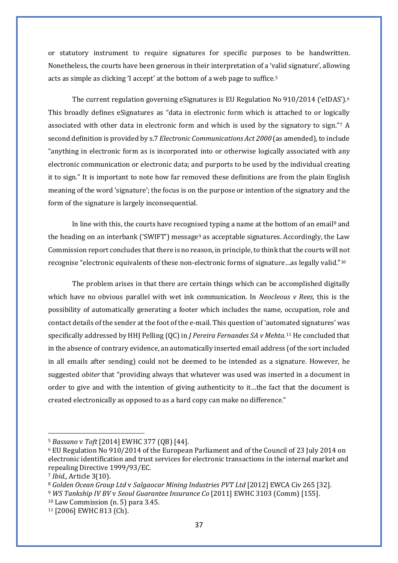or statutory instrument to require signatures for specific purposes to be handwritten. Nonetheless, the courts have been generous in their interpretation of a 'valid signature', allowing acts as simple as clicking 'I accept' at the bottom of a web page to suffice.[5](#page-39-0)

The current regulation governing eSignatures is EU Regulation No 910/2014 ('eIDAS').[6](#page-39-1) This broadly defines eSignatures as "data in electronic form which is attached to or logically associated with other data in electronic form and which is used by the signatory to sign."[7](#page-39-2) A second definition is provided by s.7 *Electronic Communications Act 2000* (as amended), to include "anything in electronic form as is incorporated into or otherwise logically associated with any electronic communication or electronic data; and purports to be used by the individual creating it to sign." It is important to note how far removed these definitions are from the plain English meaning of the word 'signature'; the focus is on the purpose or intention of the signatory and the form of the signature is largely inconsequential.

In line with this, the courts have recognised typing a name at the bottom of an email<sup>[8](#page-39-3)</sup> and the heading on an interbank ('SWIFT') message<sup>[9](#page-39-4)</sup> as acceptable signatures. Accordingly, the Law Commission report concludes that there is no reason, in principle, to think that the courts will not recognise "electronic equivalents of these non-electronic forms of signature…as legally valid."[10](#page-39-5)

The problem arises in that there are certain things which can be accomplished digitally which have no obvious parallel with wet ink communication. In *Neocleous v Rees,* this is the possibility of automatically generating a footer which includes the name, occupation, role and contact details of the sender at the foot of the e-mail. This question of 'automated signatures' was specifically addressed by HHJ Pelling (QC) in *J Pereira Fernandes SA v Mehta.*[11](#page-39-6) He concluded that in the absence of contrary evidence, an automatically inserted email address (of the sort included in all emails after sending) could not be deemed to be intended as a signature. However, he suggested *obiter* that "providing always that whatever was used was inserted in a document in order to give and with the intention of giving authenticity to it…the fact that the document is created electronically as opposed to as a hard copy can make no difference."

<span id="page-39-0"></span><sup>5</sup> *Bassano* v *Toft* [2014] EWHC 377 (QB) [44].

<span id="page-39-1"></span><sup>6</sup> EU Regulation No 910/2014 of the European Parliament and of the Council of 23 July 2014 on electronic identification and trust services for electronic transactions in the internal market and repealing Directive 1999/93/EC.

<span id="page-39-2"></span><sup>7</sup> *Ibid.,* Article 3(10).

<span id="page-39-4"></span><span id="page-39-3"></span><sup>8</sup> *Golden Ocean Group Ltd* v *Salgaocar Mining Industries PVT Ltd* [2012] EWCA Civ 265 [32]. <sup>9</sup> *WS Tankship IV BV* v *Seoul Guarantee Insurance Co* [2011] EWHC 3103 (Comm) [155].

<span id="page-39-5"></span><sup>10</sup> Law Commission (n. 5) para 3.45.

<span id="page-39-6"></span><sup>11</sup> [2006] EWHC 813 (Ch).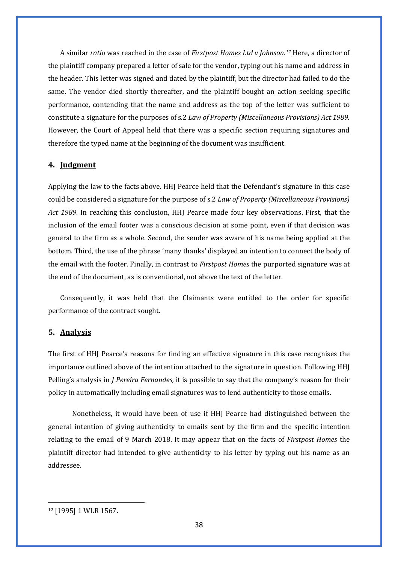A similar *ratio* was reached in the case of *Firstpost Homes Ltd v Johnson.[12](#page-40-0)* Here, a director of the plaintiff company prepared a letter of sale for the vendor, typing out his name and address in the header. This letter was signed and dated by the plaintiff, but the director had failed to do the same. The vendor died shortly thereafter, and the plaintiff bought an action seeking specific performance, contending that the name and address as the top of the letter was sufficient to constitute a signature for the purposes of s.2 *Law of Property (Miscellaneous Provisions) Act 1989.*  However, the Court of Appeal held that there was a specific section requiring signatures and therefore the typed name at the beginning of the document was insufficient.

#### **4. Judgment**

Applying the law to the facts above, HHJ Pearce held that the Defendant's signature in this case could be considered a signature for the purpose of s.2 *Law of Property (Miscellaneous Provisions) Act 1989*. In reaching this conclusion, HHJ Pearce made four key observations. First, that the inclusion of the email footer was a conscious decision at some point, even if that decision was general to the firm as a whole. Second, the sender was aware of his name being applied at the bottom. Third, the use of the phrase 'many thanks' displayed an intention to connect the body of the email with the footer. Finally, in contrast to *Firstpost Homes* the purported signature was at the end of the document, as is conventional, not above the text of the letter.

Consequently, it was held that the Claimants were entitled to the order for specific performance of the contract sought.

#### **5. Analysis**

The first of HHJ Pearce's reasons for finding an effective signature in this case recognises the importance outlined above of the intention attached to the signature in question. Following HHJ Pelling's analysis in *J Pereira Fernandes,* it is possible to say that the company's reason for their policy in automatically including email signatures was to lend authenticity to those emails.

Nonetheless, it would have been of use if HHJ Pearce had distinguished between the general intention of giving authenticity to emails sent by the firm and the specific intention relating to the email of 9 March 2018. It may appear that on the facts of *Firstpost Homes* the plaintiff director had intended to give authenticity to his letter by typing out his name as an addressee.

<span id="page-40-0"></span><sup>12</sup> [1995] 1 WLR 1567.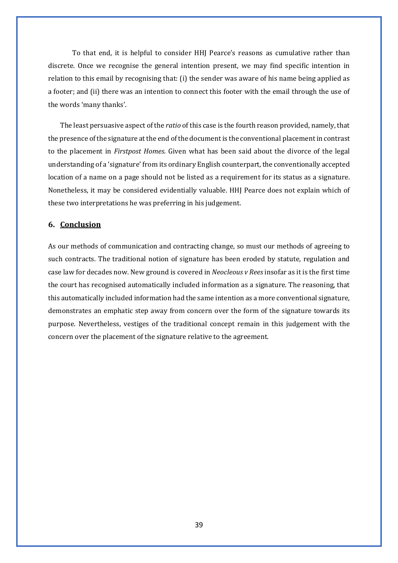To that end, it is helpful to consider HHJ Pearce's reasons as cumulative rather than discrete. Once we recognise the general intention present, we may find specific intention in relation to this email by recognising that: (i) the sender was aware of his name being applied as a footer; and (ii) there was an intention to connect this footer with the email through the use of the words 'many thanks'.

The least persuasive aspect of the *ratio* of this case is the fourth reason provided, namely, that the presence of the signature at the end of the document is the conventional placement in contrast to the placement in *Firstpost Homes*. Given what has been said about the divorce of the legal understanding of a 'signature' from its ordinary English counterpart, the conventionally accepted location of a name on a page should not be listed as a requirement for its status as a signature. Nonetheless, it may be considered evidentially valuable. HHJ Pearce does not explain which of these two interpretations he was preferring in his judgement.

#### **6. Conclusion**

As our methods of communication and contracting change, so must our methods of agreeing to such contracts. The traditional notion of signature has been eroded by statute, regulation and case law for decades now. New ground is covered in *Neocleous v Rees* insofar as it is the first time the court has recognised automatically included information as a signature. The reasoning, that this automatically included information had the same intention as a more conventional signature, demonstrates an emphatic step away from concern over the form of the signature towards its purpose. Nevertheless, vestiges of the traditional concept remain in this judgement with the concern over the placement of the signature relative to the agreement.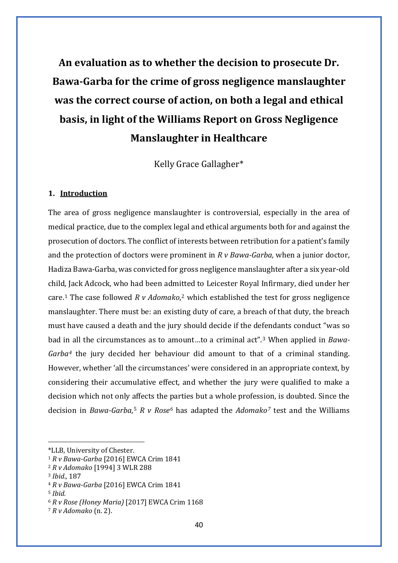**An evaluation as to whether the decision to prosecute Dr. Bawa-Garba for the crime of gross negligence manslaughter was the correct course of action, on both a legal and ethical basis, in light of the Williams Report on Gross Negligence Manslaughter in Healthcare**

Kelly Grace Gallagher\*

## **1. Introduction**

The area of gross negligence manslaughter is controversial, especially in the area of medical practice, due to the complex legal and ethical arguments both for and against the prosecution of doctors. The conflict of interests between retribution for a patient's family and the protection of doctors were prominent in *R v Bawa-Garba,* when a junior doctor, Hadiza Bawa-Garba, was convicted for gross negligence manslaughter after a six year-old child, Jack Adcock, who had been admitted to Leicester Royal Infirmary, died under her care.[1](#page-42-0) The case followed *R v Adomako*,[2](#page-42-1) which established the test for gross negligence manslaughter. There must be: an existing duty of care, a breach of that duty, the breach must have caused a death and the jury should decide if the defendants conduct "was so bad in all the circumstances as to amount…to a criminal act".[3](#page-42-2) When applied in *Bawa-Garba[4](#page-42-3)* the jury decided her behaviour did amount to that of a criminal standing. However, whether 'all the circumstances' were considered in an appropriate context, by considering their accumulative effect, and whether the jury were qualified to make a decision which not only affects the parties but a whole profession, is doubted. Since the decision in *Bawa-Garba*, [5](#page-42-4) *R v Rose[6](#page-42-5)* has adapted the *Adomako[7](#page-42-6)* test and the Williams

<span id="page-42-0"></span><sup>\*</sup>LLB, University of Chester.

<sup>1</sup> *R v Bawa-Garba* [2016] EWCA Crim 1841

<span id="page-42-1"></span><sup>2</sup> *R v Adomako* [1994] 3 WLR 288

<span id="page-42-2"></span><sup>3</sup> *Ibid.,* 187

<span id="page-42-3"></span><sup>4</sup> *R v Bawa-Garba* [2016] EWCA Crim 1841

<span id="page-42-4"></span><sup>5</sup> *Ibid.*

<span id="page-42-5"></span><sup>6</sup> *R v Rose (Honey Maria)* [2017] EWCA Crim 1168

<span id="page-42-6"></span><sup>7</sup> *R v Adomako* (n. 2).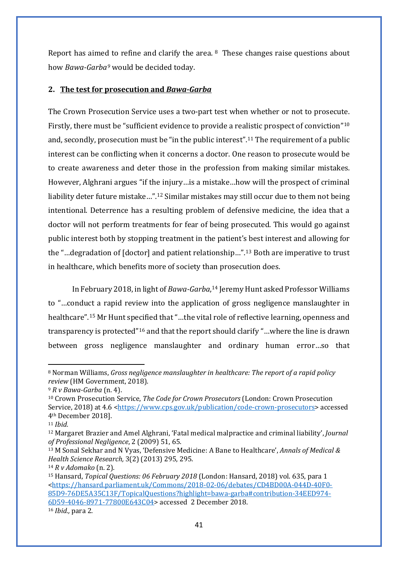Report has aimed to refine and clarify the area. [8](#page-43-0) These changes raise questions about how *Bawa-Garba[9](#page-43-1)* would be decided today.

## **2. The test for prosecution and** *Bawa-Garba*

The Crown Prosecution Service uses a two-part test when whether or not to prosecute. Firstly, there must be "sufficient evidence to provide a realistic prospect of conviction"[10](#page-43-2) and, secondly, prosecution must be "in the public interest".[11](#page-43-3) The requirement of a public interest can be conflicting when it concerns a doctor. One reason to prosecute would be to create awareness and deter those in the profession from making similar mistakes. However, Alghrani argues "if the injury…is a mistake…how will the prospect of criminal liability deter future mistake…".[12](#page-43-4) Similar mistakes may still occur due to them not being intentional. Deterrence has a resulting problem of defensive medicine, the idea that a doctor will not perform treatments for fear of being prosecuted. This would go against public interest both by stopping treatment in the patient's best interest and allowing for the "…degradation of [doctor] and patient relationship…".[13](#page-43-5) Both are imperative to trust in healthcare, which benefits more of society than prosecution does.

In February 2018, in light of *Bawa-Garba*, [14](#page-43-6) Jeremy Hunt asked Professor Williams to "…conduct a rapid review into the application of gross negligence manslaughter in healthcare".[15](#page-43-7) Mr Hunt specified that "…the vital role of reflective learning, openness and transparency is protected"[16](#page-43-8) and that the report should clarify "…where the line is drawn between gross negligence manslaughter and ordinary human error…so that

<span id="page-43-0"></span><sup>8</sup> Norman Williams, *Gross negligence manslaughter in healthcare: The report of a rapid policy review* (HM Government, 2018).

<span id="page-43-1"></span><sup>9</sup> *R v Bawa-Garba* (n. 4).

<span id="page-43-2"></span><sup>10</sup> Crown Prosecution Service, *The Code for Crown Prosecutors* (London: Crown Prosecution Service, 2018) at 4.6 [<https://www.cps.gov.uk/publication/code-crown-prosecutors>](https://www.cps.gov.uk/publication/code-crown-prosecutors) accessed 4th December 2018].

<span id="page-43-3"></span><sup>11</sup> *Ibid.*

<span id="page-43-4"></span><sup>12</sup> Margaret Brazier and Amel Alghrani, 'Fatal medical malpractice and criminal liability', *Journal of Professional Negligence*, 2 (2009) 51, 65.

<span id="page-43-5"></span><sup>13</sup> M Sonal Sekhar and N Vyas, 'Defensive Medicine: A Bane to Healthcare', *Annals of Medical & Health Science Research,* 3(2) (2013) 295, 295.

<span id="page-43-6"></span><sup>14</sup> *R v Adomako* (n. 2).

<span id="page-43-7"></span><sup>15</sup> Hansard, *Topical Questions: 06 February 2018* (London: Hansard, 2018) vol. 635, para 1 [<https://hansard.parliament.uk/Commons/2018-02-06/debates/CD4BD00A-044D-40F0-](https://hansard.parliament.uk/Commons/2018-02-06/debates/CD4BD00A-044D-40F0-85D9-76DE5A35C13F/TopicalQuestions?highlight=bawa-garba%23contribution-34EED974-6D59-4046-8971-77800E643C04) [85D9-76DE5A35C13F/TopicalQuestions?highlight=bawa-garba#contribution-34EED974-](https://hansard.parliament.uk/Commons/2018-02-06/debates/CD4BD00A-044D-40F0-85D9-76DE5A35C13F/TopicalQuestions?highlight=bawa-garba%23contribution-34EED974-6D59-4046-8971-77800E643C04) [6D59-4046-8971-77800E643C04>](https://hansard.parliament.uk/Commons/2018-02-06/debates/CD4BD00A-044D-40F0-85D9-76DE5A35C13F/TopicalQuestions?highlight=bawa-garba%23contribution-34EED974-6D59-4046-8971-77800E643C04) accessed 2 December 2018.

<span id="page-43-8"></span><sup>16</sup> *Ibid.,* para 2.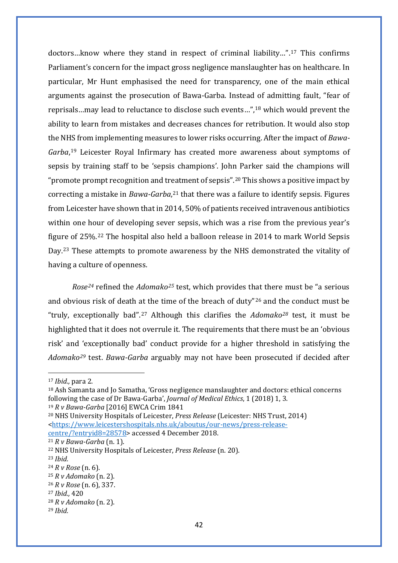doctors…know where they stand in respect of criminal liability…".[17](#page-44-0) This confirms Parliament's concern for the impact gross negligence manslaughter has on healthcare. In particular, Mr Hunt emphasised the need for transparency, one of the main ethical arguments against the prosecution of Bawa-Garba. Instead of admitting fault, "fear of reprisals…may lead to reluctance to disclose such events…",[18](#page-44-1) which would prevent the ability to learn from mistakes and decreases chances for retribution. It would also stop the NHS from implementing measures to lower risks occurring. After the impact of *Bawa-Garba*, [19](#page-44-2) Leicester Royal Infirmary has created more awareness about symptoms of sepsis by training staff to be 'sepsis champions'. John Parker said the champions will "promote prompt recognition and treatment of sepsis".<sup>[20](#page-44-3)</sup> This shows a positive impact by correcting a mistake in *Bawa-Garba*, [21](#page-44-4) that there was a failure to identify sepsis. Figures from Leicester have shown that in 2014, 50% of patients received intravenous antibiotics within one hour of developing sever sepsis, which was a rise from the previous year's figure of 25%.[22](#page-44-5) The hospital also held a balloon release in 2014 to mark World Sepsis Day.[23](#page-44-6) These attempts to promote awareness by the NHS demonstrated the vitality of having a culture of openness.

*Rose[24](#page-44-7)* refined the *Adomako[25](#page-44-8)* test, which provides that there must be "a serious and obvious risk of death at the time of the breach of duty"[26](#page-44-9) and the conduct must be "truly, exceptionally bad".[27](#page-44-10) Although this clarifies the *Adomako[28](#page-44-11)* test, it must be highlighted that it does not overrule it. The requirements that there must be an 'obvious risk' and 'exceptionally bad' conduct provide for a higher threshold in satisfying the *Adomako[29](#page-44-12)* test. *Bawa-Garba* arguably may not have been prosecuted if decided after

<span id="page-44-0"></span><sup>17</sup> *Ibid.,* para 2.

<span id="page-44-1"></span><sup>18</sup> Ash Samanta and Jo Samatha, 'Gross negligence manslaughter and doctors: ethical concerns following the case of Dr Bawa-Garba', *Journal of Medical Ethics*, 1 (2018) 1, 3.

<span id="page-44-2"></span><sup>19</sup> *R v Bawa-Garba* [2016] EWCA Crim 1841

<span id="page-44-3"></span><sup>20</sup> NHS University Hospitals of Leicester, *Press Release* (Leicester: NHS Trust, 2014) [<https://www.leicestershospitals.nhs.uk/aboutus/our-news/press-release](https://www.leicestershospitals.nhs.uk/aboutus/our-news/press-release-centre/?entryid8=28578)[centre/?entryid8=28578>](https://www.leicestershospitals.nhs.uk/aboutus/our-news/press-release-centre/?entryid8=28578) accessed 4 December 2018.

<span id="page-44-4"></span><sup>21</sup> *R v Bawa-Garba* (n. 1).

<span id="page-44-5"></span><sup>22</sup> NHS University Hospitals of Leicester, *Press Release* (n. 20).

<span id="page-44-6"></span><sup>23</sup> *Ibid.*

<span id="page-44-7"></span><sup>24</sup> *R v Rose* (n. 6).

<span id="page-44-8"></span><sup>25</sup> *R v Adomako* (n. 2).

<span id="page-44-9"></span><sup>26</sup> *R v Rose* (n. 6), 337.

<span id="page-44-10"></span><sup>27</sup> *Ibid.,* 420

<span id="page-44-11"></span><sup>28</sup> *R v Adomako* (n. 2).

<span id="page-44-12"></span><sup>29</sup> *Ibid.*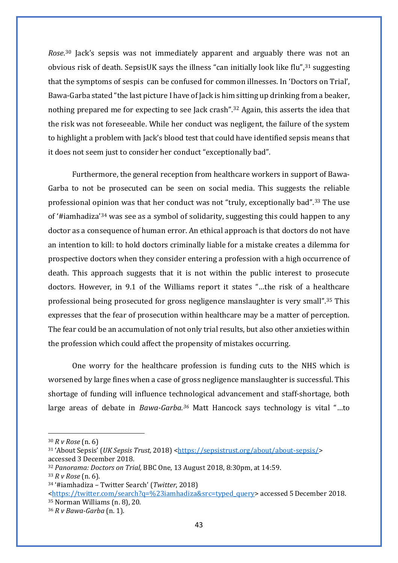*Rose*.[30](#page-45-0) Jack's sepsis was not immediately apparent and arguably there was not an obvious risk of death. SepsisUK says the illness "can initially look like flu",<sup>[31](#page-45-1)</sup> suggesting that the symptoms of sespis can be confused for common illnesses. In 'Doctors on Trial', Bawa-Garba stated "the last picture I have of Jack is him sitting up drinking from a beaker, nothing prepared me for expecting to see Jack crash".[32](#page-45-2) Again, this asserts the idea that the risk was not foreseeable. While her conduct was negligent, the failure of the system to highlight a problem with Jack's blood test that could have identified sepsis means that it does not seem just to consider her conduct "exceptionally bad".

Furthermore, the general reception from healthcare workers in support of Bawa-Garba to not be prosecuted can be seen on social media. This suggests the reliable professional opinion was that her conduct was not "truly, exceptionally bad".[33](#page-45-3) The use of '#iamhadiza'[34](#page-45-4) was see as a symbol of solidarity, suggesting this could happen to any doctor as a consequence of human error. An ethical approach is that doctors do not have an intention to kill: to hold doctors criminally liable for a mistake creates a dilemma for prospective doctors when they consider entering a profession with a high occurrence of death. This approach suggests that it is not within the public interest to prosecute doctors. However, in 9.1 of the Williams report it states "…the risk of a healthcare professional being prosecuted for gross negligence manslaughter is very small".[35](#page-45-5) This expresses that the fear of prosecution within healthcare may be a matter of perception. The fear could be an accumulation of not only trial results, but also other anxieties within the profession which could affect the propensity of mistakes occurring.

One worry for the healthcare profession is funding cuts to the NHS which is worsened by large fines when a case of gross negligence manslaughter is successful. This shortage of funding will influence technological advancement and staff-shortage, both large areas of debate in *Bawa-Garba.[36](#page-45-6)* Matt Hancock says technology is vital "…to

<span id="page-45-0"></span><sup>30</sup> *R v Rose* (n. 6)

<span id="page-45-1"></span><sup>&</sup>lt;sup>31</sup> 'About Sepsis' (*UK Sepsis Trust,* 2018) [<https://sepsistrust.org/about/about-sepsis/>](https://sepsistrust.org/about/about-sepsis/) accessed 3 December 2018.

<span id="page-45-2"></span><sup>32</sup> *Panorama: Doctors on Trial,* BBC One, 13 August 2018, 8:30pm, at 14:59.

<span id="page-45-3"></span><sup>33</sup> *R v Rose* (n. 6).

<span id="page-45-4"></span><sup>34</sup> '#iamhadiza – Twitter Search' (*Twitter*, 2018)

<span id="page-45-5"></span>[<sup>&</sup>lt;https://twitter.com/search?q=%23iamhadiza&src=typed\\_query>](https://twitter.com/search?q=%23iamhadiza&src=typed_query) accessed 5December 2018. <sup>35</sup> Norman Williams (n. 8), 20.

<span id="page-45-6"></span><sup>36</sup> *R v Bawa-Garba* (n. 1).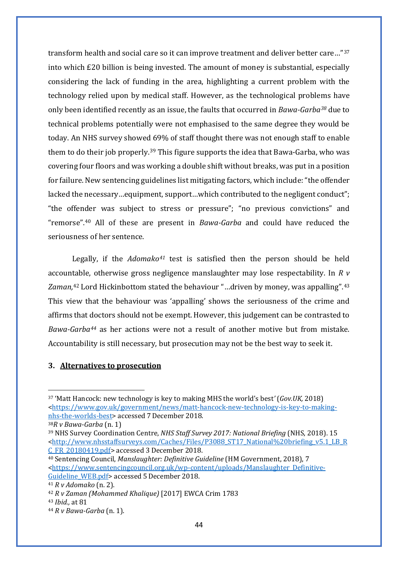transform health and social care so it can improve treatment and deliver better care…"[37](#page-46-0) into which £20 billion is being invested. The amount of money is substantial, especially considering the lack of funding in the area, highlighting a current problem with the technology relied upon by medical staff. However, as the technological problems have only been identified recently as an issue, the faults that occurred in *Bawa-Garba[38](#page-46-1)* due to technical problems potentially were not emphasised to the same degree they would be today. An NHS survey showed 69% of staff thought there was not enough staff to enable them to do their job properly.[39](#page-46-2) This figure supports the idea that Bawa-Garba, who was covering four floors and was working a double shift without breaks, was put in a position for failure. New sentencing guidelines list mitigating factors, which include: "the offender lacked the necessary...equipment, support...which contributed to the negligent conduct"; "the offender was subject to stress or pressure"; "no previous convictions" and "remorse".[40](#page-46-3) All of these are present in *Bawa-Garba* and could have reduced the seriousness of her sentence.

Legally, if the *Adomako[41](#page-46-4)* test is satisfied then the person should be held accountable, otherwise gross negligence manslaughter may lose respectability. In *R v Zaman,*[42](#page-46-5) Lord Hickinbottom stated the behaviour "…driven by money, was appalling".[43](#page-46-6) This view that the behaviour was 'appalling' shows the seriousness of the crime and affirms that doctors should not be exempt. However, this judgement can be contrasted to *Bawa-Garba[44](#page-46-7)* as her actions were not a result of another motive but from mistake. Accountability is still necessary, but prosecution may not be the best way to seek it.

#### **3. Alternatives to prosecution**

<span id="page-46-0"></span><sup>37</sup> 'Matt Hancock: new technology is key to making MHS the world's best*'* (*Gov.UK,* 2018) [<https://www.gov.uk/government/news/matt-hancock-new-technology-is-key-to-making](https://www.gov.uk/government/news/matt-hancock-new-technology-is-key-to-making-nhs-the-worlds-best)[nhs-the-worlds-best>](https://www.gov.uk/government/news/matt-hancock-new-technology-is-key-to-making-nhs-the-worlds-best) accessed 7December 2018.

<span id="page-46-1"></span><sup>38</sup>*R v Bawa-Garba* (n. 1)

<span id="page-46-2"></span><sup>39</sup> NHS Survey Coordination Centre, *NHS Staff Survey 2017: National Briefing* (NHS, 2018). 15 [<http://www.nhsstaffsurveys.com/Caches/Files/P3088\\_ST17\\_National%20briefing\\_v5.1\\_LB\\_R](http://www.nhsstaffsurveys.com/Caches/Files/P3088_ST17_National%20briefing_v5.1_LB_RC_FR_20180419.pdf) [C\\_FR\\_20180419.pdf>](http://www.nhsstaffsurveys.com/Caches/Files/P3088_ST17_National%20briefing_v5.1_LB_RC_FR_20180419.pdf) accessed 3 December 2018.

<span id="page-46-3"></span><sup>40</sup> Sentencing Council, *Manslaughter: Definitive Guideline* (HM Government, 2018), 7 [<https://www.sentencingcouncil.org.uk/wp-content/uploads/Manslaughter\\_Definitive-](https://www.sentencingcouncil.org.uk/wp-content/uploads/Manslaughter_Definitive-Guideline_WEB.pdf)[Guideline\\_WEB.pdf>](https://www.sentencingcouncil.org.uk/wp-content/uploads/Manslaughter_Definitive-Guideline_WEB.pdf) accessed 5December 2018.

<span id="page-46-4"></span><sup>41</sup> *R v Adomako* (n. 2).

<span id="page-46-5"></span><sup>42</sup> *R v Zaman (Mohammed Khalique)* [2017] EWCA Crim 1783

<span id="page-46-6"></span><sup>43</sup> *Ibid.,* at 81

<span id="page-46-7"></span><sup>44</sup> *R v Bawa-Garba* (n. 1).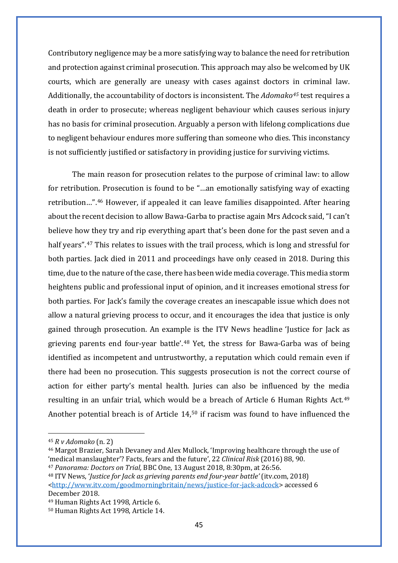Contributory negligence may be a more satisfying way to balance the need for retribution and protection against criminal prosecution. This approach may also be welcomed by UK courts, which are generally are uneasy with cases against doctors in criminal law. Additionally, the accountability of doctors is inconsistent. The *Adomako[45](#page-47-0)* test requires a death in order to prosecute; whereas negligent behaviour which causes serious injury has no basis for criminal prosecution. Arguably a person with lifelong complications due to negligent behaviour endures more suffering than someone who dies. This inconstancy is not sufficiently justified or satisfactory in providing justice for surviving victims.

The main reason for prosecution relates to the purpose of criminal law: to allow for retribution. Prosecution is found to be "…an emotionally satisfying way of exacting retribution…"[.46](#page-47-1) However, if appealed it can leave families disappointed. After hearing about the recent decision to allow Bawa-Garba to practise again Mrs Adcock said, "I can't believe how they try and rip everything apart that's been done for the past seven and a half years".<sup>[47](#page-47-2)</sup> This relates to issues with the trail process, which is long and stressful for both parties. Jack died in 2011 and proceedings have only ceased in 2018. During this time, due to the nature of the case, there has been wide media coverage. This media storm heightens public and professional input of opinion, and it increases emotional stress for both parties. For Jack's family the coverage creates an inescapable issue which does not allow a natural grieving process to occur, and it encourages the idea that justice is only gained through prosecution. An example is the ITV News headline 'Justice for Jack as grieving parents end four-year battle'.[48](#page-47-3) Yet, the stress for Bawa-Garba was of being identified as incompetent and untrustworthy, a reputation which could remain even if there had been no prosecution. This suggests prosecution is not the correct course of action for either party's mental health. Juries can also be influenced by the media resulting in an unfair trial, which would be a breach of Article 6 Human Rights Act.<sup>[49](#page-47-4)</sup> Another potential breach is of Article 14,[50](#page-47-5) if racism was found to have influenced the

<span id="page-47-0"></span><sup>45</sup> *R v Adomako* (n. 2)

<span id="page-47-1"></span><sup>46</sup> Margot Brazier, Sarah Devaney and Alex Mullock, 'Improving healthcare through the use of 'medical manslaughter'? Facts, fears and the future', 22 *Clinical Risk* (2016) 88, 90.

<span id="page-47-2"></span><sup>47</sup> *Panorama: Doctors on Trial,* BBC One, 13 August 2018, 8:30pm, at 26:56.

<span id="page-47-3"></span><sup>48</sup> ITV News, '*Justice for Jack as grieving parents end four-year battle'* (itv.com, 2018) [<http://www.itv.com/goodmorningbritain/news/justice-for-jack-adcock>](http://www.itv.com/goodmorningbritain/news/justice-for-jack-adcock) accessed 6 December 2018.

<span id="page-47-4"></span><sup>49</sup> Human Rights Act 1998, Article 6.

<span id="page-47-5"></span><sup>50</sup> Human Rights Act 1998, Article 14.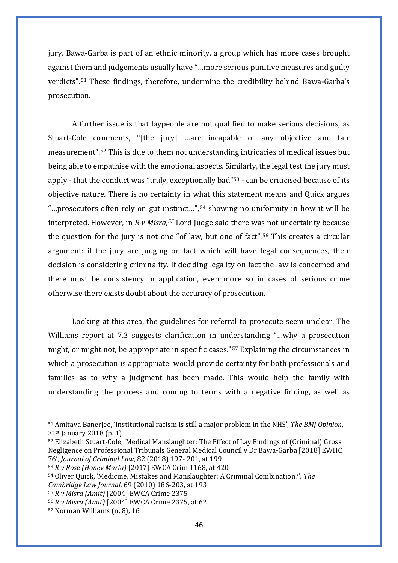jury. Bawa-Garba is part of an ethnic minority, a group which has more cases brought against them and judgements usually have "…more serious punitive measures and guilty verdicts".[51](#page-48-0) These findings, therefore, undermine the credibility behind Bawa-Garba's prosecution.

A further issue is that laypeople are not qualified to make serious decisions, as Stuart-Cole comments, "[the jury] …are incapable of any objective and fair measurement".[52](#page-48-1) This is due to them not understanding intricacies of medical issues but being able to empathise with the emotional aspects. Similarly, the legal test the jury must apply - that the conduct was "truly, exceptionally bad"[53](#page-48-2) - can be criticised because of its objective nature. There is no certainty in what this statement means and Quick argues "…prosecutors often rely on gut instinct…",[54](#page-48-3) showing no uniformity in how it will be interpreted. However, in *R v Misra,[55](#page-48-4)* Lord Judge said there was not uncertainty because the question for the jury is not one "of law, but one of fact".[56](#page-48-5) This creates a circular argument: if the jury are judging on fact which will have legal consequences, their decision is considering criminality. If deciding legality on fact the law is concerned and there must be consistency in application, even more so in cases of serious crime otherwise there exists doubt about the accuracy of prosecution.

Looking at this area, the guidelines for referral to prosecute seem unclear. The Williams report at 7.3 suggests clarification in understanding "...why a prosecution might, or might not, be appropriate in specific cases."[57](#page-48-6) Explaining the circumstances in which a prosecution is appropriate would provide certainty for both professionals and families as to why a judgment has been made. This would help the family with understanding the process and coming to terms with a negative finding, as well as

<span id="page-48-0"></span><sup>51</sup> Amitava Banerjee, 'Institutional racism is still a major problem in the NHS', *The BMJ Opinion*, 31st January 2018 (p. 1)

<span id="page-48-1"></span><sup>52</sup> Elizabeth Stuart-Cole, 'Medical Manslaughter: The Effect of Lay Findings of (Criminal) Gross Negligence on Professional Tribunals General Medical Council v Dr Bawa-Garba [2018] EWHC 76', *Journal of Criminal Law*, 82 (2018) 197- 201, at 199

<span id="page-48-2"></span><sup>53</sup> *R v Rose (Honey Maria)* [2017] EWCA Crim 1168, at 420

<span id="page-48-3"></span><sup>54</sup> Oliver Quick, 'Medicine, Mistakes and Manslaughter: A Criminal Combination?', *The Cambridge Law Journal,* 69 (2010) 186-203, at 193

<span id="page-48-4"></span><sup>55</sup> *R v Misra (Amit)* [2004] EWCA Crime 2375

<span id="page-48-5"></span><sup>56</sup> *R v Misra (Amit)* [2004] EWCA Crime 2375, at 62

<span id="page-48-6"></span><sup>57</sup> Norman Williams (n. 8), 16*.*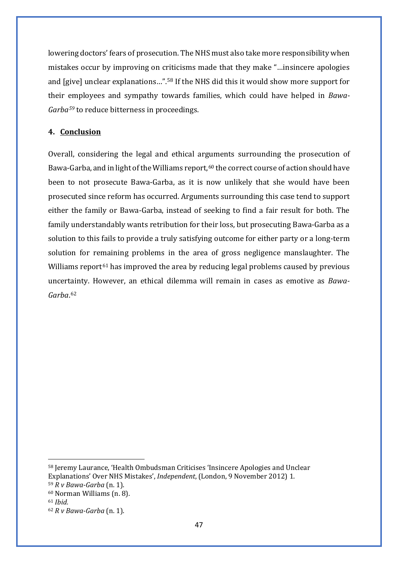lowering doctors' fears of prosecution. The NHS must also take more responsibility when mistakes occur by improving on criticisms made that they make "…insincere apologies and [give] unclear explanations…".[58](#page-49-0) If the NHS did this it would show more support for their employees and sympathy towards families, which could have helped in *Bawa-Garba[59](#page-49-1)* to reduce bitterness in proceedings.

### **4. Conclusion**

Overall, considering the legal and ethical arguments surrounding the prosecution of Bawa-Garba, and in light of the Williams report,<sup>[60](#page-49-2)</sup> the correct course of action should have been to not prosecute Bawa-Garba, as it is now unlikely that she would have been prosecuted since reform has occurred. Arguments surrounding this case tend to support either the family or Bawa-Garba, instead of seeking to find a fair result for both. The family understandably wants retribution for their loss, but prosecuting Bawa-Garba as a solution to this fails to provide a truly satisfying outcome for either party or a long-term solution for remaining problems in the area of gross negligence manslaughter. The Williams report<sup>[61](#page-49-3)</sup> has improved the area by reducing legal problems caused by previous uncertainty. However, an ethical dilemma will remain in cases as emotive as *Bawa-Garba*. [62](#page-49-4)

<span id="page-49-0"></span><sup>58</sup> Jeremy Laurance, 'Health Ombudsman Criticises 'Insincere Apologies and Unclear Explanations' Over NHS Mistakes', *Independent*, (London, 9 November 2012) 1.

<span id="page-49-1"></span><sup>59</sup> *R v Bawa-Garba* (n. 1).

<span id="page-49-2"></span><sup>60</sup> Norman Williams (n. 8).

<span id="page-49-3"></span><sup>61</sup> *Ibid.*

<span id="page-49-4"></span><sup>62</sup> *R v Bawa-Garba* (n. 1).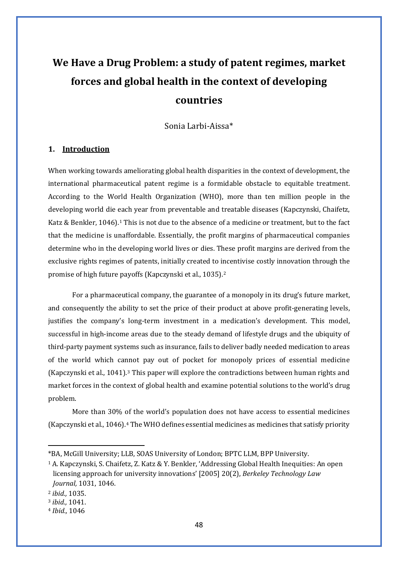# **We Have a Drug Problem: a study of patent regimes, market forces and global health in the context of developing countries**

Sonia Larbi-Aissa\*

#### **1. Introduction**

When working towards ameliorating global health disparities in the context of development, the international pharmaceutical patent regime is a formidable obstacle to equitable treatment. According to the World Health Organization (WHO), more than ten million people in the developing world die each year from preventable and treatable diseases (Kapczynski, Chaifetz, Katz & Benkler, [1](#page-50-0)046).<sup>1</sup> This is not due to the absence of a medicine or treatment, but to the fact that the medicine is unaffordable. Essentially, the profit margins of pharmaceutical companies determine who in the developing world lives or dies. These profit margins are derived from the exclusive rights regimes of patents, initially created to incentivise costly innovation through the promise of high future payoffs (Kapczynski et al., 1035).[2](#page-50-1)

For a pharmaceutical company, the guarantee of a monopoly in its drug's future market, and consequently the ability to set the price of their product at above profit-generating levels, justifies the company's long-term investment in a medication's development. This model, successful in high-income areas due to the steady demand of lifestyle drugs and the ubiquity of third-party payment systems such as insurance, fails to deliver badly needed medication to areas of the world which cannot pay out of pocket for monopoly prices of essential medicine (Kapczynski et al., 1041).[3](#page-50-2) This paper will explore the contradictions between human rights and market forces in the context of global health and examine potential solutions to the world's drug problem.

More than 30% of the world's population does not have access to essential medicines (Kapczynski et al., 1046).[4](#page-50-3) The WHO defines essential medicines as medicines that satisfy priority

<span id="page-50-0"></span><sup>\*</sup>BA, McGill University; LLB, SOAS University of London; BPTC LLM, BPP University.

<sup>1</sup> A. Kapczynski, S. Chaifetz, Z. Katz & Y. Benkler, 'Addressing Global Health Inequities: An open licensing approach for university innovations' [2005] 20(2), *Berkeley Technology Law Journal,* 1031, 1046.

<span id="page-50-1"></span><sup>2</sup> *ibid.,* 1035.

<span id="page-50-2"></span><sup>3</sup> *ibid.,* 1041.

<span id="page-50-3"></span><sup>4</sup> *Ibid.,* 1046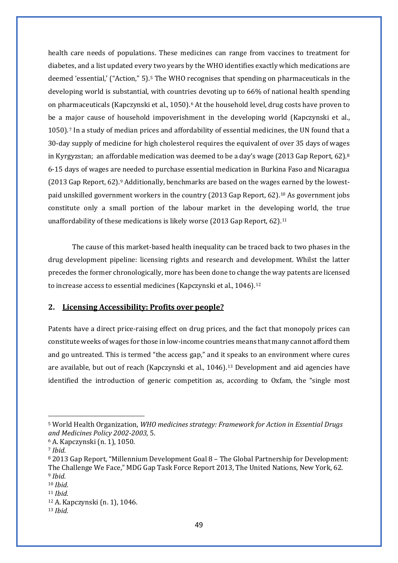health care needs of populations. These medicines can range from vaccines to treatment for diabetes, and a list updated every two years by the WHO identifies exactly which medications are deemed 'essential,' ("Action," [5](#page-51-0)).<sup>5</sup> The WHO recognises that spending on pharmaceuticals in the developing world is substantial, with countries devoting up to 66% of national health spending on pharmaceuticals (Kapczynski et al., 1050).[6](#page-51-1) At the household level, drug costs have proven to be a major cause of household impoverishment in the developing world (Kapczynski et al., 1050).[7](#page-51-2) In a study of median prices and affordability of essential medicines, the UN found that a 30-day supply of medicine for high cholesterol requires the equivalent of over 35 days of wages in Kyrgyzstan; an affordable medication was deemed to be a day's wage (2013 Gap Report, 62).<sup>[8](#page-51-3)</sup> 6-15 days of wages are needed to purchase essential medication in Burkina Faso and Nicaragua (2013 Gap Report, 62).[9](#page-51-4) Additionally, benchmarks are based on the wages earned by the lowestpaid unskilled government workers in the country (2013 Gap Report, 62).[10](#page-51-5) As government jobs constitute only a small portion of the labour market in the developing world, the true unaffordability of these medications is likely worse (2013 Gap Report, 62).<sup>[11](#page-51-6)</sup>

The cause of this market-based health inequality can be traced back to two phases in the drug development pipeline: licensing rights and research and development. Whilst the latter precedes the former chronologically, more has been done to change the way patents are licensed to increase access to essential medicines (Kapczynski et al., 1046).<sup>[12](#page-51-7)</sup>

#### **2. Licensing Accessibility: Profits over people?**

Patents have a direct price-raising effect on drug prices, and the fact that monopoly prices can constitute weeks of wages for those in low-income countries means that many cannot afford them and go untreated. This is termed "the access gap," and it speaks to an environment where cures are available, but out of reach (Kapczynski et al., 1046).[13](#page-51-8) Development and aid agencies have identified the introduction of generic competition as, according to Oxfam, the "single most

<span id="page-51-0"></span><sup>5</sup> World Health Organization, *WHO medicines strategy: Framework for Action in Essential Drugs and Medicines Policy 2002-2003,* 5.

<span id="page-51-1"></span><sup>6</sup> A. Kapczynski (n. 1), 1050.

<span id="page-51-2"></span><sup>7</sup> *Ibid.*

<span id="page-51-3"></span><sup>8</sup> 2013 Gap Report, "Millennium Development Goal 8 – The Global Partnership for Development: The Challenge We Face," MDG Gap Task Force Report 2013, The United Nations, New York, 62. <sup>9</sup> *Ibid.*

<span id="page-51-5"></span><span id="page-51-4"></span><sup>10</sup> *Ibid.*

<span id="page-51-7"></span><span id="page-51-6"></span><sup>11</sup> *Ibid.*

<sup>12</sup> A. Kapczynski (n. 1), 1046.

<span id="page-51-8"></span><sup>13</sup> *Ibid.*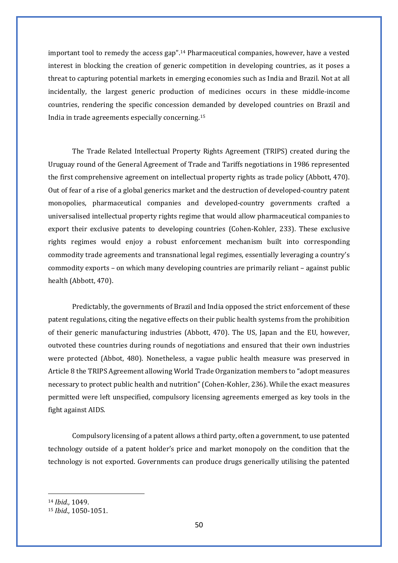important tool to remedy the access gap". [14](#page-52-0) Pharmaceutical companies, however, have a vested interest in blocking the creation of generic competition in developing countries, as it poses a threat to capturing potential markets in emerging economies such as India and Brazil. Not at all incidentally, the largest generic production of medicines occurs in these middle-income countries, rendering the specific concession demanded by developed countries on Brazil and India in trade agreements especially concerning.[15](#page-52-1)

The Trade Related Intellectual Property Rights Agreement (TRIPS) created during the Uruguay round of the General Agreement of Trade and Tariffs negotiations in 1986 represented the first comprehensive agreement on intellectual property rights as trade policy (Abbott, 470). Out of fear of a rise of a global generics market and the destruction of developed-country patent monopolies, pharmaceutical companies and developed-country governments crafted a universalised intellectual property rights regime that would allow pharmaceutical companies to export their exclusive patents to developing countries (Cohen-Kohler, 233). These exclusive rights regimes would enjoy a robust enforcement mechanism built into corresponding commodity trade agreements and transnational legal regimes, essentially leveraging a country's commodity exports – on which many developing countries are primarily reliant – against public health (Abbott, 470).

Predictably, the governments of Brazil and India opposed the strict enforcement of these patent regulations, citing the negative effects on their public health systems from the prohibition of their generic manufacturing industries (Abbott, 470). The US, Japan and the EU, however, outvoted these countries during rounds of negotiations and ensured that their own industries were protected (Abbot, 480). Nonetheless, a vague public health measure was preserved in Article 8 the TRIPS Agreement allowing World Trade Organization members to "adopt measures necessary to protect public health and nutrition" (Cohen-Kohler, 236). While the exact measures permitted were left unspecified, compulsory licensing agreements emerged as key tools in the fight against AIDS.

Compulsory licensing of a patent allows a third party, often a government, to use patented technology outside of a patent holder's price and market monopoly on the condition that the technology is not exported. Governments can produce drugs generically utilising the patented

<span id="page-52-0"></span><sup>14</sup> *Ibid.,* 1049.

<span id="page-52-1"></span><sup>15</sup> *Ibid.,* 1050-1051.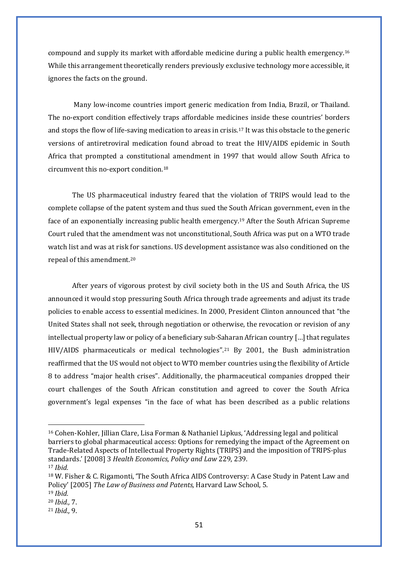compound and supply its market with affordable medicine during a public health emergency.[16](#page-53-0) While this arrangement theoretically renders previously exclusive technology more accessible, it ignores the facts on the ground.

Many low-income countries import generic medication from India, Brazil, or Thailand. The no-export condition effectively traps affordable medicines inside these countries' borders and stops the flow of life-saving medication to areas in crisis.[17](#page-53-1) It was this obstacle to the generic versions of antiretroviral medication found abroad to treat the HIV/AIDS epidemic in South Africa that prompted a constitutional amendment in 1997 that would allow South Africa to circumvent this no-export condition.[18](#page-53-2)

The US pharmaceutical industry feared that the violation of TRIPS would lead to the complete collapse of the patent system and thus sued the South African government, even in the face of an exponentially increasing public health emergency.[19](#page-53-3) After the South African Supreme Court ruled that the amendment was not unconstitutional, South Africa was put on a WTO trade watch list and was at risk for sanctions. US development assistance was also conditioned on the repeal of this amendment. [20](#page-53-4)

After years of vigorous protest by civil society both in the US and South Africa, the US announced it would stop pressuring South Africa through trade agreements and adjust its trade policies to enable access to essential medicines. In 2000, President Clinton announced that "the United States shall not seek, through negotiation or otherwise, the revocation or revision of any intellectual property law or policy of a beneficiary sub-Saharan African country […] that regulates HIV/AIDS pharmaceuticals or medical technologies".[21](#page-53-5) By 2001, the Bush administration reaffirmed that the US would not object to WTO member countries using the flexibility of Article 8 to address "major health crises". Additionally, the pharmaceutical companies dropped their court challenges of the South African constitution and agreed to cover the South Africa government's legal expenses "in the face of what has been described as a public relations

<span id="page-53-0"></span><sup>16</sup> Cohen-Kohler, Jillian Clare, Lisa Forman & Nathaniel Lipkus, 'Addressing legal and political barriers to global pharmaceutical access: Options for remedying the impact of the Agreement on Trade-Related Aspects of Intellectual Property Rights (TRIPS) and the imposition of TRIPS-plus standards.' [2008] 3 *Health Economics, Policy and Law* 229, 239. <sup>17</sup> *Ibid.*

<span id="page-53-2"></span><span id="page-53-1"></span><sup>18</sup> W. Fisher & C. Rigamonti, 'The South Africa AIDS Controversy: A Case Study in Patent Law and Policy' [2005] *The Law of Business and Patents,* Harvard Law School, 5.

<span id="page-53-3"></span><sup>19</sup> *Ibid.*

<span id="page-53-4"></span><sup>20</sup> *Ibid.,* 7.

<span id="page-53-5"></span><sup>21</sup> *Ibid.,* 9.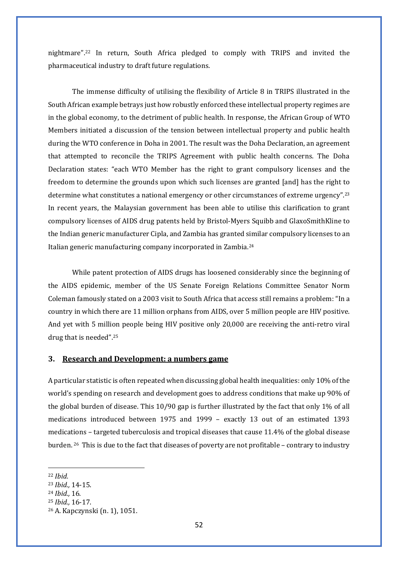nightmare".[22](#page-54-0) In return, South Africa pledged to comply with TRIPS and invited the pharmaceutical industry to draft future regulations.

The immense difficulty of utilising the flexibility of Article 8 in TRIPS illustrated in the South African example betrays just how robustly enforced these intellectual property regimes are in the global economy, to the detriment of public health. In response, the African Group of WTO Members initiated a discussion of the tension between intellectual property and public health during the WTO conference in Doha in 2001. The result was the Doha Declaration, an agreement that attempted to reconcile the TRIPS Agreement with public health concerns. The Doha Declaration states: "each WTO Member has the right to grant compulsory licenses and the freedom to determine the grounds upon which such licenses are granted [and] has the right to determine what constitutes a national emergency or other circumstances of extreme urgency". [23](#page-54-1) In recent years, the Malaysian government has been able to utilise this clarification to grant compulsory licenses of AIDS drug patents held by Bristol-Myers Squibb and GlaxoSmithKline to the Indian generic manufacturer Cipla, and Zambia has granted similar compulsory licenses to an Italian generic manufacturing company incorporated in Zambia. [24](#page-54-2)

While patent protection of AIDS drugs has loosened considerably since the beginning of the AIDS epidemic, member of the US Senate Foreign Relations Committee Senator Norm Coleman famously stated on a 2003 visit to South Africa that access still remains a problem: "In a country in which there are 11 million orphans from AIDS, over 5 million people are HIV positive. And yet with 5 million people being HIV positive only 20,000 are receiving the anti-retro viral drug that is needed". [25](#page-54-3)

#### **3. Research and Development: a numbers game**

A particular statistic is often repeated when discussing global health inequalities: only 10% of the world's spending on research and development goes to address conditions that make up 90% of the global burden of disease. This 10/90 gap is further illustrated by the fact that only 1% of all medications introduced between 1975 and 1999 – exactly 13 out of an estimated 1393 medications – targeted tuberculosis and tropical diseases that cause 11.4% of the global disease burden. [26](#page-54-4) This is due to the fact that diseases of poverty are not profitable – contrary to industry

<span id="page-54-0"></span><sup>22</sup> *Ibid.*

<span id="page-54-1"></span><sup>23</sup> *Ibid.,* 14-15.

<span id="page-54-2"></span><sup>24</sup> *Ibid.,* 16.

<span id="page-54-3"></span><sup>25</sup> *Ibid.,* 16-17.

<span id="page-54-4"></span><sup>26</sup> A. Kapczynski (n. 1), 1051.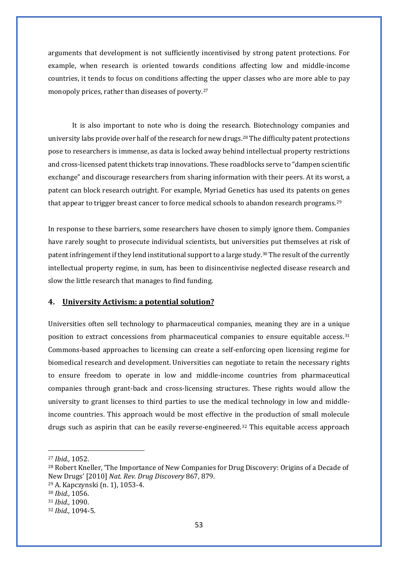arguments that development is not sufficiently incentivised by strong patent protections. For example, when research is oriented towards conditions affecting low and middle-income countries, it tends to focus on conditions affecting the upper classes who are more able to pay monopoly prices, rather than diseases of poverty.[27](#page-55-0)

It is also important to note who is doing the research. Biotechnology companies and university labs provide over half of the research for new drugs.<sup>[28](#page-55-1)</sup> The difficulty patent protections pose to researchers is immense, as data is locked away behind intellectual property restrictions and cross-licensed patent thickets trap innovations. These roadblocks serve to "dampen scientific exchange" and discourage researchers from sharing information with their peers. At its worst, a patent can block research outright. For example, Myriad Genetics has used its patents on genes that appear to trigger breast cancer to force medical schools to abandon research programs.<sup>[29](#page-55-2)</sup>

In response to these barriers, some researchers have chosen to simply ignore them. Companies have rarely sought to prosecute individual scientists, but universities put themselves at risk of patent infringement if they lend institutional support to a large study.[30](#page-55-3) The result of the currently intellectual property regime, in sum, has been to disincentivise neglected disease research and slow the little research that manages to find funding.

#### **4. University Activism: a potential solution?**

Universities often sell technology to pharmaceutical companies, meaning they are in a unique position to extract concessions from pharmaceutical companies to ensure equitable access.[31](#page-55-4) Commons-based approaches to licensing can create a self-enforcing open licensing regime for biomedical research and development. Universities can negotiate to retain the necessary rights to ensure freedom to operate in low and middle-income countries from pharmaceutical companies through grant-back and cross-licensing structures. These rights would allow the university to grant licenses to third parties to use the medical technology in low and middleincome countries. This approach would be most effective in the production of small molecule drugs such as aspirin that can be easily reverse-engineered.<sup>[32](#page-55-5)</sup> This equitable access approach

<span id="page-55-0"></span><sup>27</sup> *Ibid.,* 1052.

<span id="page-55-1"></span><sup>28</sup> Robert Kneller, 'The Importance of New Companies for Drug Discovery: Origins of a Decade of New Drugs' [2010] *Nat. Rev. Drug Discovery* 867, 879.

<span id="page-55-2"></span><sup>29</sup> A. Kapczynski (n. 1), 1053-4.

<span id="page-55-3"></span><sup>30</sup> *Ibid.,* 1056.

<span id="page-55-4"></span><sup>31</sup> *Ibid.,* 1090.

<span id="page-55-5"></span><sup>32</sup> *Ibid.,* 1094-5.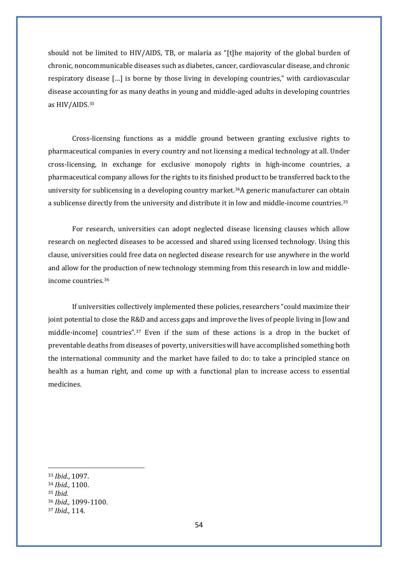should not be limited to HIV/AIDS, TB, or malaria as "[t]he majority of the global burden of chronic, noncommunicable diseases such as diabetes, cancer, cardiovascular disease, and chronic respiratory disease […] is borne by those living in developing countries," with cardiovascular disease accounting for as many deaths in young and middle-aged adults in developing countries as HIV/AIDS.[33](#page-56-0)

Cross-licensing functions as a middle ground between granting exclusive rights to pharmaceutical companies in every country and not licensing a medical technology at all. Under cross-licensing, in exchange for exclusive monopoly rights in high-income countries, a pharmaceutical company allows for the rights to its finished product to be transferred back to the university for sublicensing in a developing country market. [34](#page-56-1)A generic manufacturer can obtain a sublicense directly from the university and distribute it in low and middle-income countries.[35](#page-56-2)

For research, universities can adopt neglected disease licensing clauses which allow research on neglected diseases to be accessed and shared using licensed technology. Using this clause, universities could free data on neglected disease research for use anywhere in the world and allow for the production of new technology stemming from this research in low and middleincome countries.[36](#page-56-3)

If universities collectively implemented these policies, researchers "could maximize their joint potential to close the R&D and access gaps and improve the lives of people living in [low and middle-income] countries". [37](#page-56-4) Even if the sum of these actions is a drop in the bucket of preventable deaths from diseases of poverty, universities will have accomplished something both the international community and the market have failed to do: to take a principled stance on health as a human right, and come up with a functional plan to increase access to essential medicines.

<span id="page-56-0"></span><sup>33</sup> *Ibid.*, 1097.

<span id="page-56-1"></span><sup>34</sup> *Ibid.,* 1100.

<span id="page-56-2"></span><sup>35</sup> *Ibid.*

<span id="page-56-3"></span><sup>36</sup> *Ibid.,* 1099-1100.

<span id="page-56-4"></span><sup>37</sup> *Ibid.,* 114.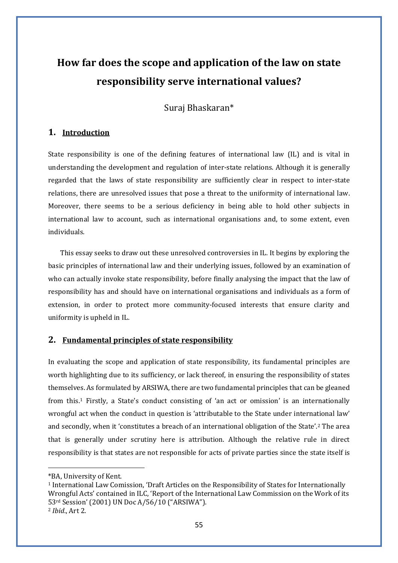## **How far does the scope and application of the law on state responsibility serve international values?**

Suraj Bhaskaran\*

## **1. Introduction**

State responsibility is one of the defining features of international law (IL) and is vital in understanding the development and regulation of inter-state relations. Although it is generally regarded that the laws of state responsibility are sufficiently clear in respect to inter-state relations, there are unresolved issues that pose a threat to the uniformity of international law. Moreover, there seems to be a serious deficiency in being able to hold other subjects in international law to account, such as international organisations and, to some extent, even individuals.

This essay seeks to draw out these unresolved controversies in IL. It begins by exploring the basic principles of international law and their underlying issues, followed by an examination of who can actually invoke state responsibility, before finally analysing the impact that the law of responsibility has and should have on international organisations and individuals as a form of extension, in order to protect more community-focused interests that ensure clarity and uniformity is upheld in IL.

## **2. Fundamental principles of state responsibility**

In evaluating the scope and application of state responsibility, its fundamental principles are worth highlighting due to its sufficiency, or lack thereof, in ensuring the responsibility of states themselves. As formulated by ARSIWA, there are two fundamental principles that can be gleaned from this.[1](#page-57-0) Firstly, a State's conduct consisting of 'an act or omission' is an internationally wrongful act when the conduct in question is 'attributable to the State under international law' and secondly, when it 'constitutes a breach of an international obligation of the State'.[2](#page-57-1) The area that is generally under scrutiny here is attribution. Although the relative rule in direct responsibility is that states are not responsible for acts of private parties since the state itself is

<span id="page-57-0"></span><sup>\*</sup>BA, University of Kent.

<span id="page-57-1"></span><sup>1</sup> International Law Comission, 'Draft Articles on the Responsibility of States for Internationally Wrongful Acts' contained in ILC, 'Report of the International Law Commission on the Work of its 53rd Session' (2001) UN Doc A/56/10 ("ARSIWA"). <sup>2</sup> *Ibid*., Art 2.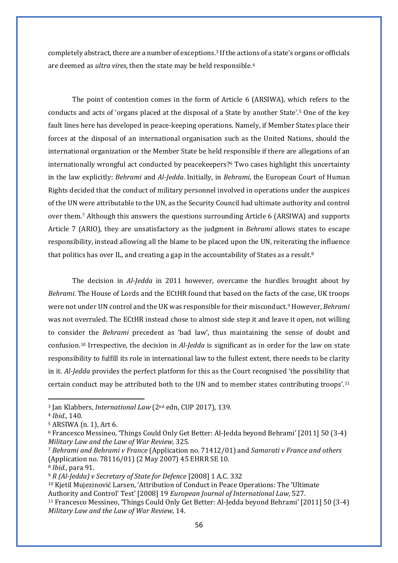completely abstract, there are a number of exceptions.[3](#page-58-0) If the actions of a state's organs or officials are deemed as *ultra vires*, then the state may be held responsible[.4](#page-58-1)

The point of contention comes in the form of Article 6 (ARSIWA), which refers to the conducts and acts of 'organs placed at the disposal of a State by another State'.[5](#page-58-2) One of the key fault lines here has developed in peace-keeping operations. Namely, if Member States place their forces at the disposal of an international organisation such as the United Nations, should the international organization or the Member State be held responsible if there are allegations of an internationally wrongful act conducted by peacekeepers?[6](#page-58-3) Two cases highlight this uncertainty in the law explicitly: *Behrami* and *Al-Jedda*. Initially, in *Behrami*, the European Court of Human Rights decided that the conduct of military personnel involved in operations under the auspices of the UN were attributable to the UN, as the Security Council had ultimate authority and control over them.[7](#page-58-4) Although this answers the questions surrounding Article 6 (ARSIWA) and supports Article 7 (ARIO), they are unsatisfactory as the judgment in *Behrami* allows states to escape responsibility, instead allowing all the blame to be placed upon the UN, reiterating the influence that politics has over IL, and creating a gap in the accountability of States as a result.<sup>[8](#page-58-5)</sup>

The decision in *Al-Jedda* in 2011 however, overcame the hurdles brought about by *Behrami*. The House of Lords and the ECtHR found that based on the facts of the case, UK troops were not under UN control and the UK was responsible for their misconduct.[9](#page-58-6) However, *Behrami* was not overruled. The ECtHR instead chose to almost side step it and leave it open, not willing to consider the *Behrami* precedent as 'bad law', thus maintaining the sense of doubt and confusion.[10](#page-58-7) Irrespective, the decision in *Al-Jedda* is significant as in order for the law on state responsibility to fulfill its role in international law to the fullest extent, there needs to be clarity in it. *Al-Jedda* provides the perfect platform for this as the Court recognised 'the possibility that certain conduct may be attributed both to the UN and to member states contributing troops'[.11](#page-58-8)

<span id="page-58-7"></span><sup>10</sup> Kjetil Mujezinović Larsen, 'Attribution of Conduct in Peace Operations: The 'Ultimate Authority and Control' Test' [2008] 19 *European Journal of International Law,* 527.

<span id="page-58-0"></span><sup>3</sup> Jan Klabbers, *International Law* (2nd edn, CUP 2017), 139.

<span id="page-58-1"></span><sup>4</sup> *Ibid.*, 140.

<span id="page-58-2"></span><sup>5</sup> ARSIWA (n. 1), Art 6.

<span id="page-58-3"></span><sup>6</sup> Francesco Messineo, 'Things Could Only Get Better: Al-Jedda beyond Behrami' [2011] 50 (3-4) *Military Law and the Law of War Review,* 325.

<span id="page-58-4"></span><sup>7</sup> *Behrami and Behrami v France* (Application no. 71412/01) and *Samarati v France and others* (Application no. 78116/01) (2 May 2007) 45 EHRR SE 10.

<span id="page-58-5"></span><sup>8</sup> *Ibid.*, para 91.

<span id="page-58-6"></span><sup>9</sup> *R (Al-Jedda) v Secretary of State for Defence* [2008] 1 A.C. 332

<span id="page-58-8"></span><sup>11</sup> Francesco Messineo, 'Things Could Only Get Better: Al-Jedda beyond Behrami' [2011] 50 (3-4) *Military Law and the Law of War Review,* 14.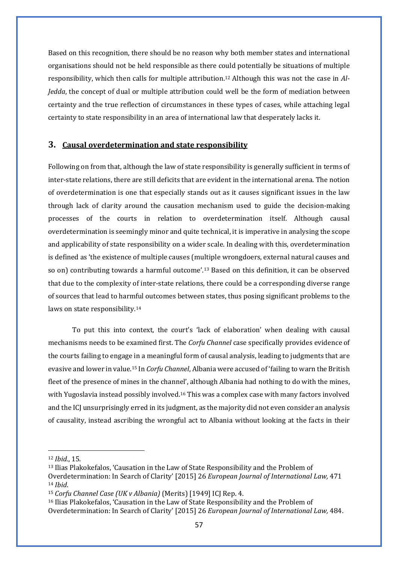Based on this recognition, there should be no reason why both member states and international organisations should not be held responsible as there could potentially be situations of multiple responsibility, which then calls for multiple attribution.[12](#page-59-0) Although this was not the case in *Al-Jedda*, the concept of dual or multiple attribution could well be the form of mediation between certainty and the true reflection of circumstances in these types of cases, while attaching legal certainty to state responsibility in an area of international law that desperately lacks it.

#### **3. Causal overdetermination and state responsibility**

Following on from that, although the law of state responsibility is generally sufficient in terms of inter-state relations, there are still deficits that are evident in the international arena. The notion of overdetermination is one that especially stands out as it causes significant issues in the law through lack of clarity around the causation mechanism used to guide the decision-making processes of the courts in relation to overdetermination itself. Although causal overdetermination is seemingly minor and quite technical, it is imperative in analysing the scope and applicability of state responsibility on a wider scale. In dealing with this, overdetermination is defined as 'the existence of multiple causes (multiple wrongdoers, external natural causes and so on) contributing towards a harmful outcome'.[13](#page-59-1) Based on this definition, it can be observed that due to the complexity of inter-state relations, there could be a corresponding diverse range of sources that lead to harmful outcomes between states, thus posing significant problems to the laws on state responsibility[.14](#page-59-2)

To put this into context, the court's 'lack of elaboration' when dealing with causal mechanisms needs to be examined first. The *Corfu Channel* case specifically provides evidence of the courts failing to engage in a meaningful form of causal analysis, leading to judgments that are evasive and lower in value.[15](#page-59-3) In *Corfu Channel*, Albania were accused of 'failing to warn the British fleet of the presence of mines in the channel', although Albania had nothing to do with the mines, with Yugoslavia instead possibly involved.<sup>[16](#page-59-4)</sup> This was a complex case with many factors involved and the ICJ unsurprisingly erred in its judgment, as the majority did not even consider an analysis of causality, instead ascribing the wrongful act to Albania without looking at the facts in their

<span id="page-59-0"></span><sup>12</sup> *Ibid.*, 15.

<span id="page-59-1"></span><sup>13</sup> Ilias Plakokefalos, 'Causation in the Law of State Responsibility and the Problem of Overdetermination: In Search of Clarity' [2015] 26 *European Journal of International Law,* 471 <sup>14</sup> *Ibid*.

<span id="page-59-3"></span><span id="page-59-2"></span><sup>15</sup> *Corfu Channel Case (UK v Albania)* (Merits) [1949] ICJ Rep. 4.

<span id="page-59-4"></span><sup>16</sup> Ilias Plakokefalos, 'Causation in the Law of State Responsibility and the Problem of Overdetermination: In Search of Clarity' [2015] 26 *European Journal of International Law,* 484.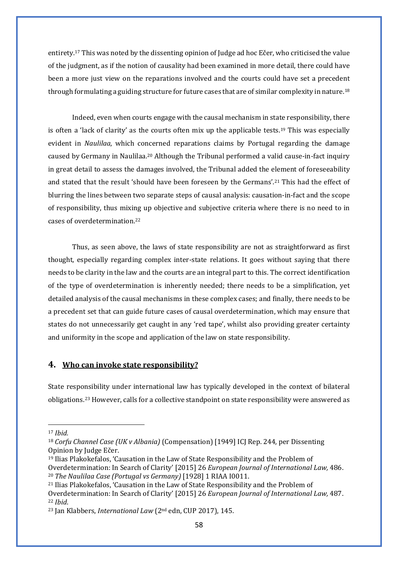entirety.[17](#page-60-0) This was noted by the dissenting opinion of Judge ad hoc Ečer, who criticised the value of the judgment, as if the notion of causality had been examined in more detail, there could have been a more just view on the reparations involved and the courts could have set a precedent through formulating a guiding structure for future cases that are of similar complexity in nature.[18](#page-60-1)

Indeed, even when courts engage with the causal mechanism in state responsibility, there is often a 'lack of clarity' as the courts often mix up the applicable tests.<sup>19</sup> This was especially evident in *Naulilaa*, which concerned reparations claims by Portugal regarding the damage caused by Germany in Naulilaa.[20](#page-60-3) Although the Tribunal performed a valid cause-in-fact inquiry in great detail to assess the damages involved, the Tribunal added the element of foreseeability and stated that the result 'should have been foreseen by the Germans'.[21](#page-60-4) This had the effect of blurring the lines between two separate steps of causal analysis: causation-in-fact and the scope of responsibility, thus mixing up objective and subjective criteria where there is no need to in cases of overdetermination.[22](#page-60-5)

Thus, as seen above, the laws of state responsibility are not as straightforward as first thought, especially regarding complex inter-state relations. It goes without saying that there needs to be clarity in the law and the courts are an integral part to this. The correct identification of the type of overdetermination is inherently needed; there needs to be a simplification, yet detailed analysis of the causal mechanisms in these complex cases; and finally, there needs to be a precedent set that can guide future cases of causal overdetermination, which may ensure that states do not unnecessarily get caught in any 'red tape', whilst also providing greater certainty and uniformity in the scope and application of the law on state responsibility.

#### **4. Who can invoke state responsibility?**

State responsibility under international law has typically developed in the context of bilateral obligations.[23](#page-60-6) However, calls for a collective standpoint on state responsibility were answered as

<span id="page-60-0"></span><sup>17</sup> *Ibid.*

<span id="page-60-1"></span><sup>18</sup> *Corfu Channel Case (UK v Albania)* (Compensation) [1949] ICJ Rep. 244, per Dissenting Opinion by Judge Ečer.

<span id="page-60-2"></span><sup>19</sup> Ilias Plakokefalos, 'Causation in the Law of State Responsibility and the Problem of

<span id="page-60-3"></span>Overdetermination: In Search of Clarity' [2015] 26 *European Journal of International Law,* 486. <sup>20</sup> *The Naulilaa Case (Portugal vs Germany)* [1928] 1 RIAA I0011.

<span id="page-60-4"></span><sup>21</sup> Ilias Plakokefalos, 'Causation in the Law of State Responsibility and the Problem of

<span id="page-60-5"></span>Overdetermination: In Search of Clarity' [2015] 26 *European Journal of International Law,* 487. <sup>22</sup> *Ibid*.

<span id="page-60-6"></span><sup>23</sup> Jan Klabbers, *International Law* (2nd edn, CUP 2017), 145.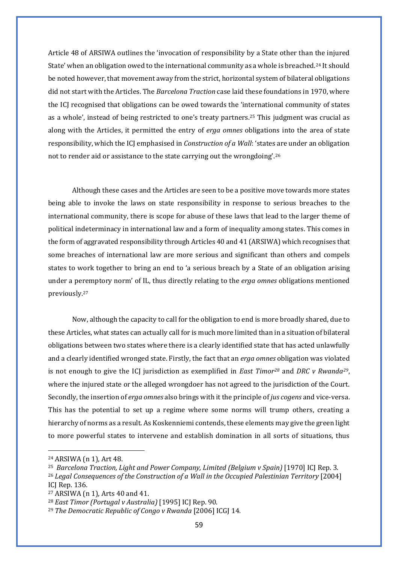Article 48 of ARSIWA outlines the 'invocation of responsibility by a State other than the injured State' when an obligation owed to the international community as a whole is breached[.24](#page-61-0) It should be noted however, that movement away from the strict, horizontal system of bilateral obligations did not start with the Articles. The *Barcelona Traction* case laid these foundations in 1970, where the ICJ recognised that obligations can be owed towards the 'international community of states as a whole', instead of being restricted to one's treaty partners.[25](#page-61-1) This judgment was crucial as along with the Articles, it permitted the entry of *erga omnes* obligations into the area of state responsibility, which the ICJ emphasised in *Construction of a Wall*: 'states are under an obligation not to render aid or assistance to the state carrying out the wrongdoing'.[26](#page-61-2)

Although these cases and the Articles are seen to be a positive move towards more states being able to invoke the laws on state responsibility in response to serious breaches to the international community, there is scope for abuse of these laws that lead to the larger theme of political indeterminacy in international law and a form of inequality among states. This comes in the form of aggravated responsibility through Articles 40 and 41 (ARSIWA) which recognises that some breaches of international law are more serious and significant than others and compels states to work together to bring an end to 'a serious breach by a State of an obligation arising under a peremptory norm' of IL, thus directly relating to the *erga omnes* obligations mentioned previously.[27](#page-61-3)

Now, although the capacity to call for the obligation to end is more broadly shared, due to these Articles, what states can actually call for is much more limited than in a situation of bilateral obligations between two states where there is a clearly identified state that has acted unlawfully and a clearly identified wronged state. Firstly, the fact that an *erga omnes* obligation was violated is not enough to give the ICJ jurisdiction as exemplified in *East Timo[r28](#page-61-4)* and *DRC v Rwanda[29](#page-61-5)*, where the injured state or the alleged wrongdoer has not agreed to the jurisdiction of the Court. Secondly, the insertion of *erga omnes* also brings with it the principle of *jus cogens* and vice-versa. This has the potential to set up a regime where some norms will trump others, creating a hierarchy of norms as a result. As Koskenniemi contends, these elements may give the green light to more powerful states to intervene and establish domination in all sorts of situations, thus

<span id="page-61-0"></span><sup>24</sup> ARSIWA (n 1), Art 48.

<span id="page-61-1"></span><sup>&</sup>lt;sup>25</sup> Barcelona Traction, Light and Power Company, Limited (Belgium v Spain) [1970] ICJ Rep. 3.

<span id="page-61-2"></span><sup>26</sup> *Legal Consequences of the Construction of a Wall in the Occupied Palestinian Territory* [2004] ICJ Rep. 136.

<span id="page-61-3"></span><sup>27</sup> ARSIWA (n 1), Arts 40 and 41.

<span id="page-61-4"></span><sup>28</sup> *East Timor (Portugal v Australia)* [1995] ICJ Rep. 90.

<span id="page-61-5"></span><sup>29</sup> *The Democratic Republic of Congo v Rwanda* [2006] ICGJ 14.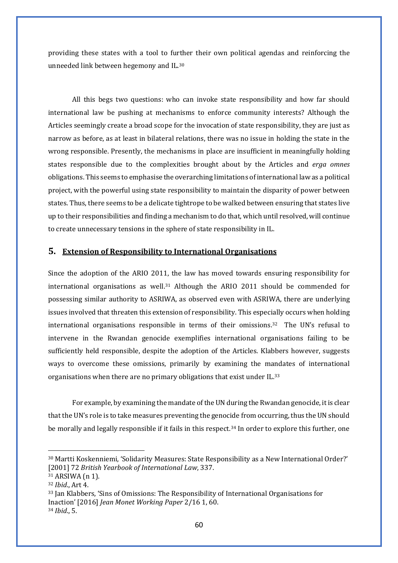providing these states with a tool to further their own political agendas and reinforcing the unneeded link between hegemony and IL.[30](#page-62-0)

All this begs two questions: who can invoke state responsibility and how far should international law be pushing at mechanisms to enforce community interests? Although the Articles seemingly create a broad scope for the invocation of state responsibility, they are just as narrow as before, as at least in bilateral relations, there was no issue in holding the state in the wrong responsible. Presently, the mechanisms in place are insufficient in meaningfully holding states responsible due to the complexities brought about by the Articles and *erga omnes*  obligations. This seems to emphasise the overarching limitations of international law as a political project, with the powerful using state responsibility to maintain the disparity of power between states. Thus, there seems to be a delicate tightrope to be walked between ensuring that states live up to their responsibilities and finding a mechanism to do that, which until resolved, will continue to create unnecessary tensions in the sphere of state responsibility in IL.

## **5. Extension of Responsibility to International Organisations**

Since the adoption of the ARIO 2011, the law has moved towards ensuring responsibility for international organisations as well[.31](#page-62-1) Although the ARIO 2011 should be commended for possessing similar authority to ASRIWA, as observed even with ASRIWA, there are underlying issues involved that threaten this extension of responsibility. This especially occurs when holding international organisations responsible in terms of their omissions[.32](#page-62-2) The UN's refusal to intervene in the Rwandan genocide exemplifies international organisations failing to be sufficiently held responsible, despite the adoption of the Articles. Klabbers however, suggests ways to overcome these omissions, primarily by examining the mandates of international organisations when there are no primary obligations that exist under IL.[33](#page-62-3)

For example, by examining the mandate of the UN during the Rwandan genocide, it is clear that the UN's role is to take measures preventing the genocide from occurring, thus the UN should be morally and legally responsible if it fails in this respect.<sup>34</sup> In order to explore this further, one

<span id="page-62-0"></span><sup>30</sup> Martti Koskenniemi, 'Solidarity Measures: State Responsibility as a New International Order?' [2001] 72 *British Yearbook of International Law*, 337.

<span id="page-62-1"></span><sup>31</sup> ARSIWA (n 1).

<span id="page-62-2"></span><sup>32</sup> *Ibid*., Art 4.

<span id="page-62-4"></span><span id="page-62-3"></span><sup>33</sup> Jan Klabbers, 'Sins of Omissions: The Responsibility of International Organisations for Inaction' [2016] *Jean Monet Working Paper* 2/16 1, 60. <sup>34</sup> *Ibid*., 5.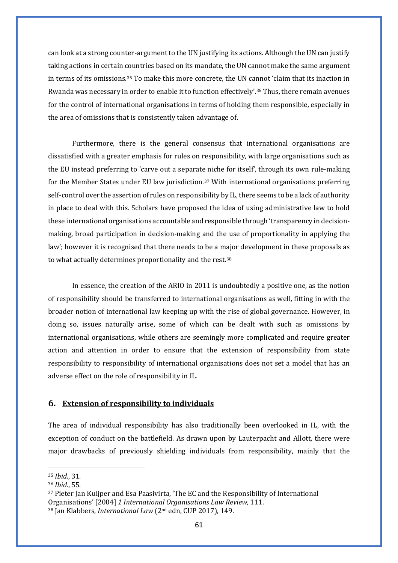can look at a strong counter-argument to the UN justifying its actions. Although the UN can justify taking actions in certain countries based on its mandate, the UN cannot make the same argument in terms of its omissions.[35](#page-63-0) To make this more concrete, the UN cannot 'claim that its inaction in Rwanda was necessary in order to enable it to function effectively'[.36](#page-63-1) Thus, there remain avenues for the control of international organisations in terms of holding them responsible, especially in the area of omissions that is consistently taken advantage of.

Furthermore, there is the general consensus that international organisations are dissatisfied with a greater emphasis for rules on responsibility, with large organisations such as the EU instead preferring to 'carve out a separate niche for itself', through its own rule-making for the Member States under EU law jurisdiction.[37](#page-63-2) With international organisations preferring self-control over the assertion of rules on responsibility by IL, there seems to be a lack of authority in place to deal with this. Scholars have proposed the idea of using administrative law to hold these international organisations accountable and responsible through 'transparency in decisionmaking, broad participation in decision-making and the use of proportionality in applying the law'; however it is recognised that there needs to be a major development in these proposals as to what actually determines proportionality and the rest.<sup>[38](#page-63-3)</sup>

In essence, the creation of the ARIO in 2011 is undoubtedly a positive one, as the notion of responsibility should be transferred to international organisations as well, fitting in with the broader notion of international law keeping up with the rise of global governance. However, in doing so, issues naturally arise, some of which can be dealt with such as omissions by international organisations, while others are seemingly more complicated and require greater action and attention in order to ensure that the extension of responsibility from state responsibility to responsibility of international organisations does not set a model that has an adverse effect on the role of responsibility in IL.

#### **6. Extension of responsibility to individuals**

The area of individual responsibility has also traditionally been overlooked in IL, with the exception of conduct on the battlefield. As drawn upon by Lauterpacht and Allott, there were major drawbacks of previously shielding individuals from responsibility, mainly that the

<span id="page-63-0"></span><sup>35</sup> *Ibid.*, 31.

<span id="page-63-1"></span><sup>36</sup> *Ibid.*, 55.

<span id="page-63-2"></span><sup>37</sup> Pieter Jan Kuijper and Esa Paasivirta, 'The EC and the Responsibility of International Organisations' [2004] *1 International Organisations Law Review,* 111.

<span id="page-63-3"></span><sup>38</sup> Jan Klabbers, *International Law* (2nd edn, CUP 2017), 149.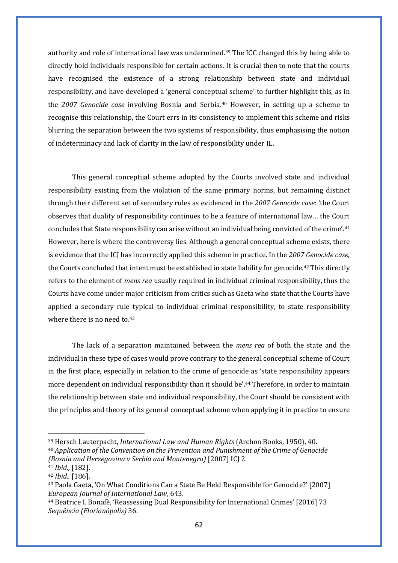authority and role of international law was undermined.<sup>[39](#page-64-0)</sup> The ICC changed this by being able to directly hold individuals responsible for certain actions. It is crucial then to note that the courts have recognised the existence of a strong relationship between state and individual responsibility, and have developed a 'general conceptual scheme' to further highlight this, as in the *2007 Genocide case* involving Bosnia and Serbia.[40](#page-64-1) However, in setting up a scheme to recognise this relationship, the Court errs in its consistency to implement this scheme and risks blurring the separation between the two systems of responsibility, thus emphasising the notion of indeterminacy and lack of clarity in the law of responsibility under IL.

This general conceptual scheme adopted by the Courts involved state and individual responsibility existing from the violation of the same primary norms, but remaining distinct through their different set of secondary rules as evidenced in the *2007 Genocide case*: 'the Court observes that duality of responsibility continues to be a feature of international law… the Court concludes that State responsibility can arise without an individual being convicted of the crime'.[41](#page-64-2) However, here is where the controversy lies. Although a general conceptual scheme exists, there is evidence that the ICJ has incorrectly applied this scheme in practice. In the *2007 Genocide case*, the Courts concluded that intent must be established in state liability for genocide[.42](#page-64-3) This directly refers to the element of *mens rea* usually required in individual criminal responsibility, thus the Courts have come under major criticism from critics such as Gaeta who state that the Courts have applied a secondary rule typical to individual criminal responsibility, to state responsibility where there is no need to [43](#page-64-4)

The lack of a separation maintained between the *mens rea* of both the state and the individual in these type of cases would prove contrary to the general conceptual scheme of Court in the first place, especially in relation to the crime of genocide as 'state responsibility appears more dependent on individual responsibility than it should be'.[44](#page-64-5) Therefore, in order to maintain the relationship between state and individual responsibility, the Court should be consistent with the principles and theory of its general conceptual scheme when applying it in practice to ensure

<span id="page-64-0"></span><sup>39</sup> Hersch Lauterpacht, *International Law and Human Rights* (Archon Books, 1950), 40.

<span id="page-64-1"></span><sup>40</sup> *Application of the Convention on the Prevention and Punishment of the Crime of Genocide (Bosnia and Herzegovina v Serbia and Montenegro)* [2007] ICJ 2.

<span id="page-64-2"></span><sup>41</sup> *Ibid.,* [182].

<span id="page-64-3"></span><sup>42</sup> *Ibid.,* [186].

<span id="page-64-4"></span><sup>43</sup> Paola Gaeta, 'On What Conditions Can a State Be Held Responsible for Genocide?' [2007] *European Journal of International Law*, 643.

<span id="page-64-5"></span><sup>44</sup> Beatrice I. Bonafè, 'Reassessing Dual Responsibility for International Crimes' [2016] 73 *Sequência (Florianópolis)* 36.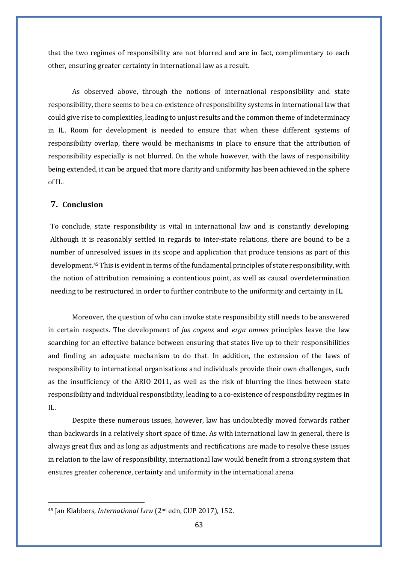that the two regimes of responsibility are not blurred and are in fact, complimentary to each other, ensuring greater certainty in international law as a result.

As observed above, through the notions of international responsibility and state responsibility, there seems to be a co-existence of responsibility systems in international law that could give rise to complexities, leading to unjust results and the common theme of indeterminacy in IL. Room for development is needed to ensure that when these different systems of responsibility overlap, there would be mechanisms in place to ensure that the attribution of responsibility especially is not blurred. On the whole however, with the laws of responsibility being extended, it can be argued that more clarity and uniformity has been achieved in the sphere of IL.

#### **7. Conclusion**

To conclude, state responsibility is vital in international law and is constantly developing. Although it is reasonably settled in regards to inter-state relations, there are bound to be a number of unresolved issues in its scope and application that produce tensions as part of this development.[45](#page-65-0) This is evident in terms of the fundamental principles of state responsibility, with the notion of attribution remaining a contentious point, as well as causal overdetermination needing to be restructured in order to further contribute to the uniformity and certainty in IL.

Moreover, the question of who can invoke state responsibility still needs to be answered in certain respects. The development of *jus cogens* and *erga omnes* principles leave the law searching for an effective balance between ensuring that states live up to their responsibilities and finding an adequate mechanism to do that. In addition, the extension of the laws of responsibility to international organisations and individuals provide their own challenges, such as the insufficiency of the ARIO 2011, as well as the risk of blurring the lines between state responsibility and individual responsibility, leading to a co-existence of responsibility regimes in  $II$ .

Despite these numerous issues, however, law has undoubtedly moved forwards rather than backwards in a relatively short space of time. As with international law in general, there is always great flux and as long as adjustments and rectifications are made to resolve these issues in relation to the law of responsibility, international law would benefit from a strong system that ensures greater coherence, certainty and uniformity in the international arena.

<span id="page-65-0"></span><sup>45</sup> Jan Klabbers, *International Law* (2nd edn, CUP 2017), 152.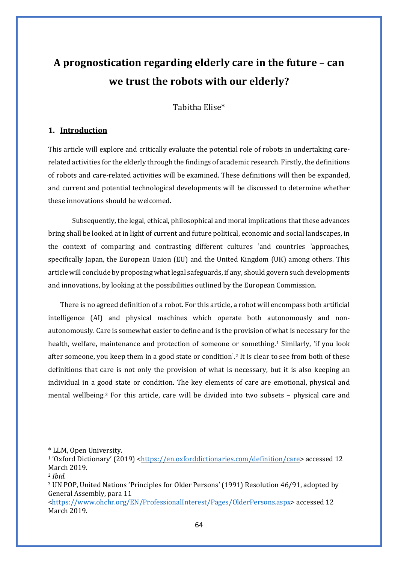## **A prognostication regarding elderly care in the future – can we trust the robots with our elderly?**

Tabitha Elise\*

#### **1. Introduction**

This article will explore and critically evaluate the potential role of robots in undertaking carerelated activities for the elderly through the findings of academic research. Firstly, the definitions of robots and care-related activities will be examined. These definitions will then be expanded, and current and potential technological developments will be discussed to determine whether these innovations should be welcomed.

Subsequently, the legal, ethical, philosophical and moral implications that these advances bring shall be looked at in light of current and future political, economic and social landscapes, in the context of comparing and contrasting different cultures 'and countries 'approaches, specifically Japan, the European Union (EU) and the United Kingdom (UK) among others. This article will conclude by proposing what legal safeguards, if any, should govern such developments and innovations, by looking at the possibilities outlined by the European Commission.

There is no agreed definition of a robot. For this article, a robot will encompass both artificial intelligence (AI) and physical machines which operate both autonomously and nonautonomously. Care is somewhat easier to define and is the provision of what is necessary for the health, welfare, maintenance and protection of someone or something.<sup>[1](#page-66-0)</sup> Similarly, 'if you look after someone, you keep them in a good state or condition'.[2](#page-66-1) It is clear to see from both of these definitions that care is not only the provision of what is necessary, but it is also keeping an individual in a good state or condition. The key elements of care are emotional, physical and mental wellbeing[.3](#page-66-2) For this article, care will be divided into two subsets – physical care and

<span id="page-66-0"></span><sup>\*</sup> LLM, Open University.

<sup>&</sup>lt;sup>1</sup>'Oxford Dictionary' (2019) [<https://en.oxforddictionaries.com/definition/care>](https://en.oxforddictionaries.com/definition/care) accessed 12 March 2019.

<span id="page-66-1"></span><sup>2</sup> *Ibid.*

<span id="page-66-2"></span><sup>3</sup> UN POP, United Nations 'Principles for Older Persons' (1991) Resolution 46/91, adopted by General Assembly, para 11

[<sup>&</sup>lt;https://www.ohchr.org/EN/ProfessionalInterest/Pages/OlderPersons.aspx>](https://www.ohchr.org/EN/ProfessionalInterest/Pages/OlderPersons.aspx) accessed 12 March 2019.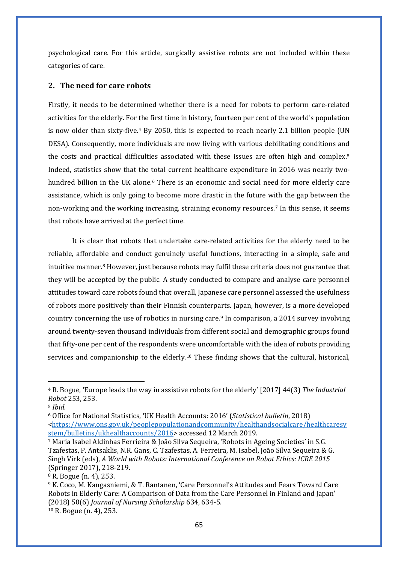psychological care. For this article, surgically assistive robots are not included within these categories of care.

#### **2. The need for care robots**

Firstly, it needs to be determined whether there is a need for robots to perform care-related activities for the elderly. For the first time in history, fourteen per cent of the world's population is now older than sixty-five.<sup>[4](#page-67-0)</sup> By 2050, this is expected to reach nearly 2.1 billion people (UN DESA). Consequently, more individuals are now living with various debilitating conditions and the costs and practical difficulties associated with these issues are often high and complex.[5](#page-67-1) Indeed, statistics show that the total current healthcare expenditure in 2016 was nearly two-hundred billion in the UK alone.<sup>[6](#page-67-2)</sup> There is an economic and social need for more elderly care assistance, which is only going to become more drastic in the future with the gap between the non-working and the working increasing, straining economy resources.[7](#page-67-3) In this sense, it seems that robots have arrived at the perfect time.

It is clear that robots that undertake care-related activities for the elderly need to be reliable, affordable and conduct genuinely useful functions, interacting in a simple, safe and intuitive manner.[8](#page-67-4) However, just because robots may fulfil these criteria does not guarantee that they will be accepted by the public. A study conducted to compare and analyse care personnel attitudes toward care robots found that overall, Japanese care personnel assessed the usefulness of robots more positively than their Finnish counterparts. Japan, however, is a more developed country concerning the use of robotics in nursing care.[9](#page-67-5) In comparison, a 2014 survey involving around twenty-seven thousand individuals from different social and demographic groups found that fifty-one per cent of the respondents were uncomfortable with the idea of robots providing services and companionship to the elderly.<sup>[10](#page-67-6)</sup> These finding shows that the cultural, historical,

<span id="page-67-0"></span><sup>4</sup> R. Bogue, 'Europe leads the way in assistive robots for the elderly' [2017] 44(3) *The Industrial Robot* 253, 253.

<span id="page-67-1"></span><sup>5</sup> *Ibid.*

<span id="page-67-2"></span><sup>6</sup> Office for National Statistics, 'UK Health Accounts: 2016' (*Statistical bulletin*, 2018) [<https://www.ons.gov.uk/peoplepopulationandcommunity/healthandsocialcare/healthcaresy](https://www.ons.gov.uk/peoplepopulationandcommunity/healthandsocialcare/healthcaresystem/bulletins/ukhealthaccounts/2016) [stem/bulletins/ukhealthaccounts/2016>](https://www.ons.gov.uk/peoplepopulationandcommunity/healthandsocialcare/healthcaresystem/bulletins/ukhealthaccounts/2016) accessed 12 March 2019.

<span id="page-67-3"></span><sup>7</sup> Maria Isabel Aldinhas Ferrieira & João Silva Sequeira, 'Robots in Ageing Societies' in S.G. Tzafestas, P. Antsaklis, N.R. Gans, C. Tzafestas, A. Ferreira, M. Isabel, João Silva Sequeira & G. Singh Virk (eds), *A World with Robots: International Conference on Robot Ethics: ICRE 2015* (Springer 2017), 218-219.

<span id="page-67-4"></span><sup>8</sup> R. Bogue (n. 4), 253.

<span id="page-67-6"></span><span id="page-67-5"></span><sup>9</sup> K. Coco, M. Kangasniemi, & T. Rantanen, 'Care Personnel's Attitudes and Fears Toward Care Robots in Elderly Care: A Comparison of Data from the Care Personnel in Finland and Japan' (2018) 50(6) *Journal of Nursing Scholarship* 634, 634-5. <sup>10</sup> R. Bogue (n. 4), 253.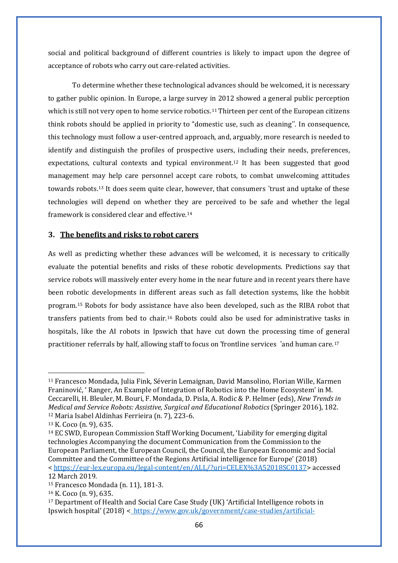social and political background of different countries is likely to impact upon the degree of acceptance of robots who carry out care-related activities.

To determine whether these technological advances should be welcomed, it is necessary to gather public opinion. In Europe, a large survey in 2012 showed a general public perception which is still not very open to home service robotics.<sup>[11](#page-68-0)</sup> Thirteen per cent of the European citizens think robots should be applied in priority to "domestic use, such as cleaning''. In consequence, this technology must follow a user-centred approach, and, arguably, more research is needed to identify and distinguish the profiles of prospective users, including their needs, preferences, expectations, cultural contexts and typical environment.<sup>12</sup> It has been suggested that good management may help care personnel accept care robots, to combat unwelcoming attitudes towards robots.<sup>13</sup> It does seem quite clear, however, that consumers 'trust and uptake of these technologies will depend on whether they are perceived to be safe and whether the legal framework is considered clear and effective.<sup>14</sup>

#### **3. The benefits and risks to robot carers**

As well as predicting whether these advances will be welcomed, it is necessary to critically evaluate the potential benefits and risks of these robotic developments. Predictions say that service robots will massively enter every home in the near future and in recent years there have been robotic developments in different areas such as fall detection systems, like the hobbit program.[15](#page-68-1) Robots for body assistance have also been developed, such as the RIBA robot that transfers patients from bed to chair.[16](#page-68-2) Robots could also be used for administrative tasks in hospitals, like the AI robots in Ipswich that have cut down the processing time of general practitioner referrals by half, allowing staff to focus on 'frontline services 'and human care.[17](#page-68-3)

<span id="page-68-0"></span><sup>11</sup> Francesco Mondada, Julia Fink, Séverin Lemaignan, David Mansolino, Florian Wille, Karmen Franinović, ' Ranger, An Example of Integration of Robotics into the Home Ecosystem' in M. Ceccarelli, H. Bleuler, M. Bouri, F. Mondada, D. Pisla, A. Rodic & P. Helmer (eds), *New Trends in Medical and Service Robots: Assistive, Surgical and Educational Robotics* (Springer 2016), 182. <sup>12</sup> Maria Isabel Aldinhas Ferrieira (n. 7), 223-6.

<sup>13</sup> K. Coco (n. 9), 635.

<sup>14</sup> EC SWD, European Commission Staff Working Document, 'Liability for emerging digital technologies Accompanying the document Communication from the Commission to the European Parliament, the European Council, the Council, the European Economic and Social Committee and the Committee of the Regions Artificial intelligence for Europe' (2018) < [https://eur-lex.europa.eu/legal-content/en/ALL/?uri=CELEX%3A52018SC0137>](https://protect-eu.mimecast.com/s/bDh-Cx98cBZlzH8aDx-?domain=eur-lex.europa.eu) accessed 12 March 2019.

<span id="page-68-1"></span><sup>15</sup> Francesco Mondada (n. 11), 181-3.

<span id="page-68-2"></span><sup>16</sup> K. Coco (n. 9), 635.

<span id="page-68-3"></span><sup>17</sup> Department of Health and Social Care Case Study (UK) 'Artificial Intelligence robots in Ipswich hospital' (2018) < [https://www.gov.uk/government/case-studies/artificial-](https://www.gov.uk/government/case-studies/artificial-intelligence-robots-in-ipswichhospital)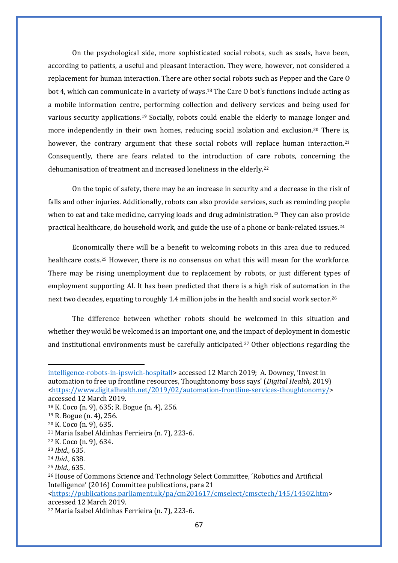On the psychological side, more sophisticated social robots, such as seals, have been, according to patients, a useful and pleasant interaction. They were, however, not considered a replacement for human interaction. There are other social robots such as Pepper and the Care O bot 4, which can communicate in a variety of ways.[18](#page-69-0) The Care O bot's functions include acting as a mobile information centre, performing collection and delivery services and being used for various security applications.[19](#page-69-1) Socially, robots could enable the elderly to manage longer and more independently in their own homes, reducing social isolation and exclusion.<sup>[20](#page-69-2)</sup> There is, however, the contrary argument that these social robots will replace human interaction.<sup>[21](#page-69-3)</sup> Consequently, there are fears related to the introduction of care robots, concerning the dehumanisation of treatment and increased loneliness in the elderly[.22](#page-69-4)

On the topic of safety, there may be an increase in security and a decrease in the risk of falls and other injuries. Additionally, robots can also provide services, such as reminding people when to eat and take medicine, carrying loads and drug administration.<sup>[23](#page-69-5)</sup> They can also provide practical healthcare, do household work, and guide the use of a phone or bank-related issues.[24](#page-69-6) 

Economically there will be a benefit to welcoming robots in this area due to reduced healthcare costs.[25](#page-69-7) However, there is no consensus on what this will mean for the workforce. There may be rising unemployment due to replacement by robots, or just different types of employment supporting AI. It has been predicted that there is a high risk of automation in the next two decades, equating to roughly 1.4 million jobs in the health and social work sector.[26](#page-69-8)

The difference between whether robots should be welcomed in this situation and whether they would be welcomed is an important one, and the impact of deployment in domestic and institutional environments must be carefully anticipated.[27](#page-69-9) Other objections regarding the

[intelligence-robots-in-ipswich-hospitall](https://protect-eu.mimecast.com/s/NYN_CyM7hJY1ptMHlTD?domain=gov.uk)> accessed 12 March 2019; A. Downey, 'Invest in automation to free up frontline resources, Thoughtonomy boss says' (*Digital Health,* 2019) [<https://www.digitalhealth.net/2019/02/automation-frontline-services-thoughtonomy/>](https://www.digitalhealth.net/2019/02/automation-frontline-services-thoughtonomy/) accessed 12 March 2019.

<span id="page-69-0"></span><sup>18</sup> K. Coco (n. 9), 635; R. Bogue (n. 4), 256.

<span id="page-69-1"></span><sup>19</sup> R. Bogue (n. 4), 256.

<span id="page-69-2"></span><sup>20</sup> K. Coco (n. 9), 635.

<span id="page-69-3"></span><sup>21</sup> Maria Isabel Aldinhas Ferrieira (n. 7), 223-6.

<span id="page-69-4"></span><sup>22</sup> K. Coco (n. 9), 634.

<span id="page-69-5"></span><sup>23</sup> *Ibid.,* 635.

<span id="page-69-6"></span><sup>24</sup> *Ibid.,* 638.

<span id="page-69-7"></span><sup>25</sup> *Ibid.*, 635.

<span id="page-69-8"></span><sup>26</sup> House of Commons Science and Technology Select Committee, 'Robotics and Artificial Intelligence' (2016) Committee publications, para 21 [<https://publications.parliament.uk/pa/cm201617/cmselect/cmsctech/145/14502.htm>](https://publications.parliament.uk/pa/cm201617/cmselect/cmsctech/145/14502.htm)

accessed 12 March 2019.

<span id="page-69-9"></span><sup>27</sup> Maria Isabel Aldinhas Ferrieira (n. 7), 223-6.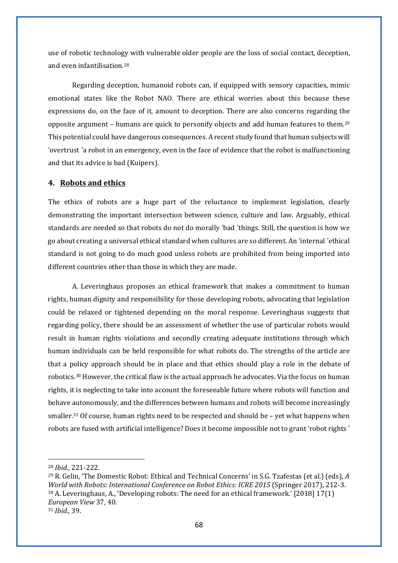use of robotic technology with vulnerable older people are the loss of social contact, deception, and even infantilisation[.28](#page-70-0)

Regarding deception, humanoid robots can, if equipped with sensory capacities, mimic emotional states like the Robot NAO. There are ethical worries about this because these expressions do, on the face of it, amount to deception. There are also concerns regarding the opposite argument – humans are quick to personify objects and add human features to them[.29](#page-70-1) This potential could have dangerous consequences. A recent study found that human subjects will 'overtrust 'a robot in an emergency, even in the face of evidence that the robot is malfunctioning and that its advice is bad (Kuipers).

#### **4. Robots and ethics**

The ethics of robots are a huge part of the reluctance to implement legislation, clearly demonstrating the important intersection between science, culture and law. Arguably, ethical standards are needed so that robots do not do morally 'bad 'things. Still, the question is how we go about creating a universal ethical standard when cultures are so different. An 'internal 'ethical standard is not going to do much good unless robots are prohibited from being imported into different countries other than those in which they are made.

A. Leveringhaus proposes an ethical framework that makes a commitment to human rights, human dignity and responsibility for those developing robots, advocating that legislation could be relaxed or tightened depending on the moral response. Leveringhaus suggests that regarding policy, there should be an assessment of whether the use of particular robots would result in human rights violations and secondly creating adequate institutions through which human individuals can be held responsible for what robots do. The strengths of the article are that a policy approach should be in place and that ethics should play a role in the debate of robotics.[30](#page-70-2) However, the critical flaw is the actual approach he advocates. Via the focus on human rights, it is neglecting to take into account the foreseeable future where robots will function and behave autonomously, and the differences between humans and robots will become increasingly smaller.<sup>[31](#page-70-3)</sup> Of course, human rights need to be respected and should be  $-$  yet what happens when robots are fused with artificial intelligence? Does it become impossible not to grant 'robot rights '

<span id="page-70-0"></span><sup>28</sup> *Ibid.,* 221-222.

<span id="page-70-3"></span><span id="page-70-2"></span><span id="page-70-1"></span><sup>29</sup> R. Gelin, 'The Domestic Robot: Ethical and Technical Concerns' in S.G. Tzafestas (et al.) (eds), *A World with Robots: International Conference on Robot Ethics: ICRE 2015* (Springer 2017), 212-3. <sup>30</sup> A. Leveringhaus, A., 'Developing robots: The need for an ethical framework.' [2018] 17(1) *European View* 37, 40. <sup>31</sup> *Ibid.,* 39.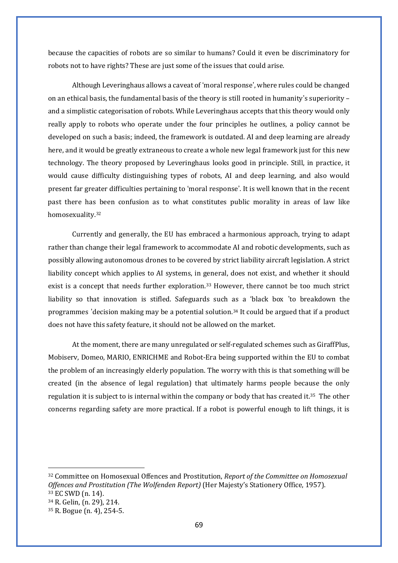because the capacities of robots are so similar to humans? Could it even be discriminatory for robots not to have rights? These are just some of the issues that could arise.

Although Leveringhaus allows a caveat of 'moral response', where rules could be changed on an ethical basis, the fundamental basis of the theory is still rooted in humanity's superiority – and a simplistic categorisation of robots. While Leveringhaus accepts that this theory would only really apply to robots who operate under the four principles he outlines, a policy cannot be developed on such a basis; indeed, the framework is outdated. AI and deep learning are already here, and it would be greatly extraneous to create a whole new legal framework just for this new technology. The theory proposed by Leveringhaus looks good in principle. Still, in practice, it would cause difficulty distinguishing types of robots, AI and deep learning, and also would present far greater difficulties pertaining to 'moral response'. It is well known that in the recent past there has been confusion as to what constitutes public morality in areas of law like homosexuality.[32](#page-71-0)

Currently and generally, the EU has embraced a harmonious approach, trying to adapt rather than change their legal framework to accommodate AI and robotic developments, such as possibly allowing autonomous drones to be covered by strict liability aircraft legislation. A strict liability concept which applies to AI systems, in general, does not exist, and whether it should exist is a concept that needs further exploration.<sup>[33](#page-71-1)</sup> However, there cannot be too much strict liability so that innovation is stifled. Safeguards such as a 'black box 'to breakdown the programmes 'decision making may be a potential solution.[34](#page-71-2) It could be argued that if a product does not have this safety feature, it should not be allowed on the market.

At the moment, there are many unregulated or self-regulated schemes such as GiraffPlus, Mobiserv, Domeo, MARIO, ENRICHME and Robot-Era being supported within the EU to combat the problem of an increasingly elderly population. The worry with this is that something will be created (in the absence of legal regulation) that ultimately harms people because the only regulation it is subject to is internal within the company or body that has created it.<sup>35</sup> The other concerns regarding safety are more practical. If a robot is powerful enough to lift things, it is

<span id="page-71-0"></span><sup>32</sup> Committee on Homosexual Offences and Prostitution, *Report of the Committee on Homosexual Offences and Prostitution (The Wolfenden Report)* (Her Majesty's Stationery Office, 1957). <sup>33</sup> EC SWD (n. 14).

<span id="page-71-2"></span><span id="page-71-1"></span><sup>34</sup> R. Gelin, (n. 29), 214.

<span id="page-71-3"></span><sup>35</sup> R. Bogue (n. 4), 254-5.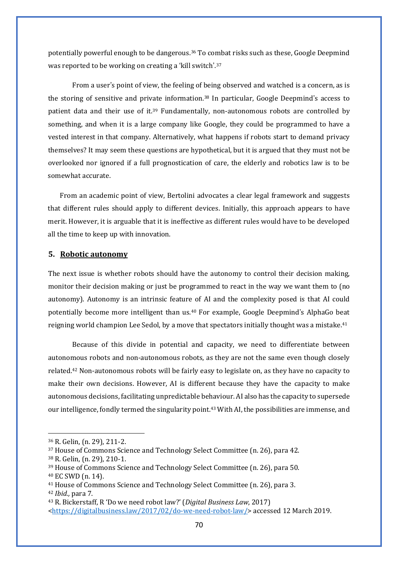potentially powerful enough to be dangerous.[36](#page-72-0) To combat risks such as these, Google Deepmind was reported to be working on creating a 'kill switch'.[37](#page-72-1)

From a user's point of view, the feeling of being observed and watched is a concern, as is the storing of sensitive and private information[.38](#page-72-2) In particular, Google Deepmind's access to patient data and their use of it[.39](#page-72-3) Fundamentally, non-autonomous robots are controlled by something, and when it is a large company like Google, they could be programmed to have a vested interest in that company. Alternatively, what happens if robots start to demand privacy themselves? It may seem these questions are hypothetical, but it is argued that they must not be overlooked nor ignored if a full prognostication of care, the elderly and robotics law is to be somewhat accurate.

From an academic point of view, Bertolini advocates a clear legal framework and suggests that different rules should apply to different devices. Initially, this approach appears to have merit. However, it is arguable that it is ineffective as different rules would have to be developed all the time to keep up with innovation.

#### **5. Robotic autonomy**

The next issue is whether robots should have the autonomy to control their decision making, monitor their decision making or just be programmed to react in the way we want them to (no autonomy). Autonomy is an intrinsic feature of AI and the complexity posed is that AI could potentially become more intelligent than us.[40](#page-72-4) For example, Google Deepmind's AlphaGo beat reigning world champion Lee Sedol, by a move that spectators initially thought was a mistake.<sup>[41](#page-72-5)</sup>

Because of this divide in potential and capacity, we need to differentiate between autonomous robots and non-autonomous robots, as they are not the same even though closely related.[42](#page-72-6) Non-autonomous robots will be fairly easy to legislate on, as they have no capacity to make their own decisions. However, AI is different because they have the capacity to make autonomous decisions, facilitating unpredictable behaviour. AI also has the capacity to supersede our intelligence, fondly termed the singularity point[.43](#page-72-7) With AI, the possibilities are immense, and

<span id="page-72-4"></span><sup>40</sup> EC SWD (n. 14).

<span id="page-72-0"></span><sup>36</sup> R. Gelin, (n. 29), 211-2.

<span id="page-72-1"></span><sup>37</sup> House of Commons Science and Technology Select Committee (n. 26), para 42.

<span id="page-72-2"></span><sup>38</sup> R. Gelin, (n. 29), 210-1.

<span id="page-72-3"></span><sup>39</sup> House of Commons Science and Technology Select Committee (n. 26), para 50.

<span id="page-72-6"></span><span id="page-72-5"></span><sup>41</sup> House of Commons Science and Technology Select Committee (n. 26), para 3. <sup>42</sup> *Ibid.,* para 7.

<span id="page-72-7"></span><sup>43</sup> R. Bickerstaff, R 'Do we need robot law?' (*Digital Business Law*, 2017)

[<sup>&</sup>lt;https://digitalbusiness.law/2017/02/do-we-need-robot-law/>](https://digitalbusiness.law/2017/02/do-we-need-robot-law/) accessed 12 March 2019.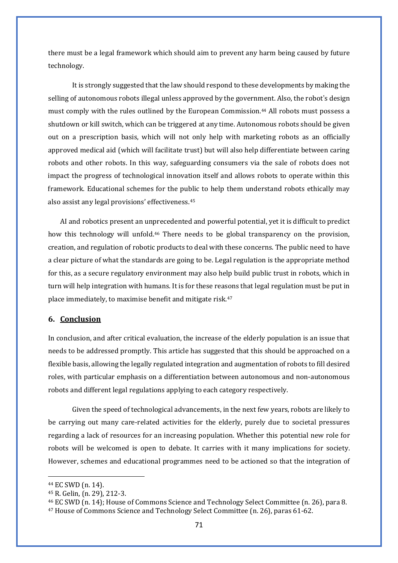there must be a legal framework which should aim to prevent any harm being caused by future technology.

It is strongly suggested that the law should respond to these developments by making the selling of autonomous robots illegal unless approved by the government. Also, the robot's design must comply with the rules outlined by the European Commission.[44](#page-73-0) All robots must possess a shutdown or kill switch, which can be triggered at any time. Autonomous robots should be given out on a prescription basis, which will not only help with marketing robots as an officially approved medical aid (which will facilitate trust) but will also help differentiate between caring robots and other robots. In this way, safeguarding consumers via the sale of robots does not impact the progress of technological innovation itself and allows robots to operate within this framework. Educational schemes for the public to help them understand robots ethically may also assist any legal provisions' effectiveness.[45](#page-73-1) 

AI and robotics present an unprecedented and powerful potential, yet it is difficult to predict how this technology will unfold.[46](#page-73-2) There needs to be global transparency on the provision, creation, and regulation of robotic products to deal with these concerns. The public need to have a clear picture of what the standards are going to be. Legal regulation is the appropriate method for this, as a secure regulatory environment may also help build public trust in robots, which in turn will help integration with humans. It is for these reasons that legal regulation must be put in place immediately, to maximise benefit and mitigate risk.[47](#page-73-3)

# **6. Conclusion**

In conclusion, and after critical evaluation, the increase of the elderly population is an issue that needs to be addressed promptly. This article has suggested that this should be approached on a flexible basis, allowing the legally regulated integration and augmentation of robots to fill desired roles, with particular emphasis on a differentiation between autonomous and non-autonomous robots and different legal regulations applying to each category respectively.

Given the speed of technological advancements, in the next few years, robots are likely to be carrying out many care-related activities for the elderly, purely due to societal pressures regarding a lack of resources for an increasing population. Whether this potential new role for robots will be welcomed is open to debate. It carries with it many implications for society. However, schemes and educational programmes need to be actioned so that the integration of

<span id="page-73-0"></span><sup>44</sup> EC SWD (n. 14).

<span id="page-73-1"></span><sup>45</sup> R. Gelin, (n. 29), 212-3.

<span id="page-73-3"></span><span id="page-73-2"></span><sup>46</sup> EC SWD (n. 14); House of Commons Science and Technology Select Committee (n. 26), para 8.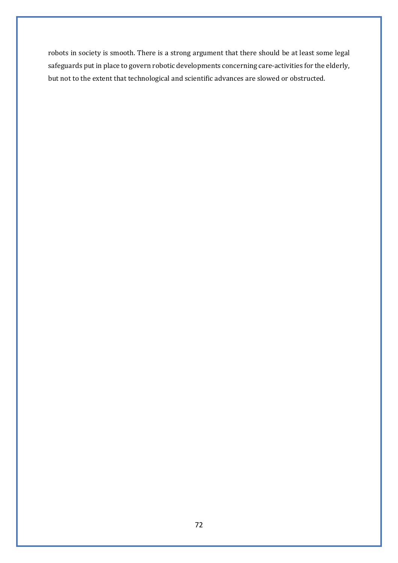robots in society is smooth. There is a strong argument that there should be at least some legal safeguards put in place to govern robotic developments concerning care-activities for the elderly, but not to the extent that technological and scientific advances are slowed or obstructed.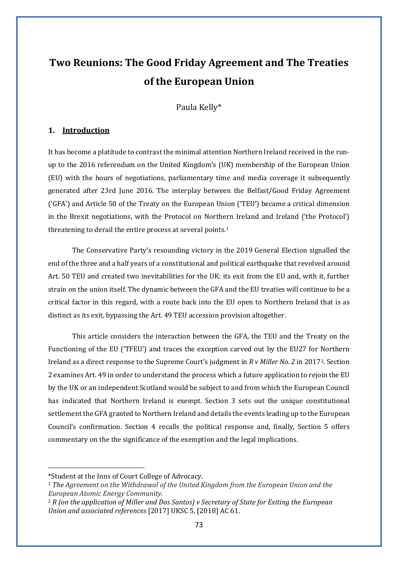# **Two Reunions: The Good Friday Agreement and The Treaties of the European Union**

Paula Kelly\*

# **1. Introduction**

It has become a platitude to contrast the minimal attention Northern Ireland received in the runup to the 2016 referendum on the United Kingdom's (UK) membership of the European Union (EU) with the hours of negotiations, parliamentary time and media coverage it subsequently generated after 23rd June 2016. The interplay between the Belfast/Good Friday Agreement ('GFA') and Article 50 of the Treaty on the European Union ('TEU') became a critical dimension in the Brexit negotiations, with the Protocol on Northern Ireland and Ireland ('the Protocol') threatening to derail the entire process at several points.<sup>[1](#page-75-0)</sup>

The Conservative Party's resounding victory in the 2019 General Election signalled the end of the three and a half years of a constitutional and political earthquake that revolved around Art. 50 TEU and created two inevitabilities for the UK: its exit from the EU and, with it, further strain on the union itself. The dynamic between the GFA and the EU treaties will continue to be a critical factor in this regard, with a route back into the EU open to Northern Ireland that is as distinct as its exit, bypassing the Art. 49 TEU accession provision altogether.

This article considers the interaction between the GFA, the TEU and the Treaty on the Functioning of the EU ('TFEU') and traces the exception carved out by the EU27 for Northern Ireland as a direct response to the Supreme Court's judgment in *R v Miller No. 2* in 2017[2.](#page-75-1) Section 2 examines Art. 49 in order to understand the process which a future application to rejoin the EU by the UK or an independent Scotland would be subject to and from which the European Council has indicated that Northern Ireland is exempt. Section 3 sets out the unique constitutional settlement the GFA granted to Northern Ireland and details the events leading up to the European Council's confirmation. Section 4 recalls the political response and, finally, Section 5 offers commentary on the the significance of the exemption and the legal implications.

<span id="page-75-0"></span><sup>\*</sup>Student at the Inns of Court College of Advocacy.

<sup>1</sup> *The Agreement on the Withdrawal of the United Kingdom from the European Union and the European Atomic Energy Community.*

<span id="page-75-1"></span><sup>2</sup> *R (on the application of Miller and Dos Santos) v Secretary of State for Exiting the European Union and associated references* [2017] UKSC 5, [2018] AC 61.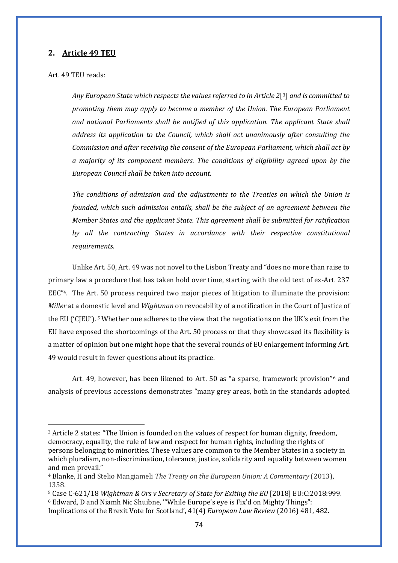## **2. Article 49 TEU**

#### Art. 49 TEU reads:

*Any European State which respects the values referred to in Article 2*[[3\]](#page-76-0) *and is committed to promoting them may apply to become a member of the Union. The European Parliament and national Parliaments shall be notified of this application. The applicant State shall address its application to the Council, which shall act unanimously after consulting the Commission and after receiving the consent of the European Parliament, which shall act by a majority of its component members. The conditions of eligibility agreed upon by the European Council shall be taken into account.*

*The conditions of admission and the adjustments to the Treaties on which the Union is founded, which such admission entails, shall be the subject of an agreement between the Member States and the applicant State. This agreement shall be submitted for ratification by all the contracting States in accordance with their respective constitutional requirements.*

Unlike Art. 50, Art. 49 was not novel to the Lisbon Treaty and "does no more than raise to primary law a procedure that has taken hold over time, starting with the old text of ex-Art. 237 EEC["4](#page-76-1). The Art. 50 process required two major pieces of litigation to illuminate the provision: *Miller* at a domestic level and *Wightman* on revocability of a notification in the Court of Justice of the EU ('CJEU'). *[5](#page-76-2)* Whether one adheres to the view that the negotiations on the UK's exit from the EU have exposed the shortcomings of the Art. 50 process or that they showcased its flexibility is a matter of opinion but one might hope that the several rounds of EU enlargement informing Art. 49 would result in fewer questions about its practice.

Art. 49, however, has been likened to Art. 50 as "a sparse, framework provision"[6](#page-76-3) and analysis of previous accessions demonstrates "many grey areas, both in the standards adopted

<span id="page-76-0"></span><sup>3</sup> Article 2 states: "The Union is founded on the values of respect for human dignity, freedom, democracy, equality, the rule of law and respect for human rights, including the rights of persons belonging to minorities. These values are common to the Member States in a society in which pluralism, non-discrimination, tolerance, justice, solidarity and equality between women and men prevail."

<span id="page-76-1"></span><sup>4</sup> Blanke, H and Stelio Mangiameli *The Treaty on the European Union: A Commentary* (2013), 1358.

<span id="page-76-3"></span><span id="page-76-2"></span><sup>5</sup> Case C-621/18 *Wightman & Ors v Secretary of State for Exiting the EU* [2018] EU:C:2018:999. <sup>6</sup> Edward, D and Niamh Nic Shuibne, '"While Europe's eye is Fix'd on Mighty Things":

Implications of the Brexit Vote for Scotland', 41(4) *European Law Review* (2016) 481, 482.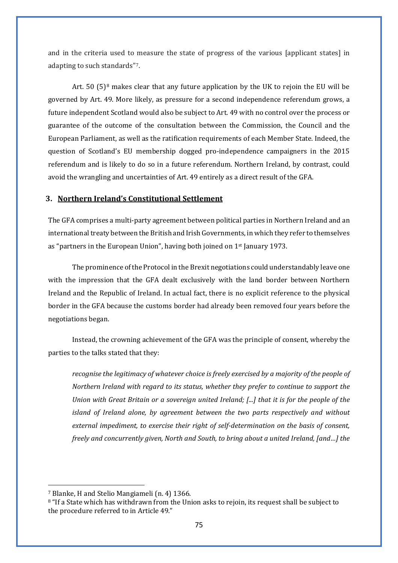and in the criteria used to measure the state of progress of the various [applicant states] in adapting to such standards"[7](#page-77-0).

Art. 50  $(5)^8$  $(5)^8$  makes clear that any future application by the UK to rejoin the EU will be governed by Art. 49. More likely, as pressure for a second independence referendum grows, a future independent Scotland would also be subject to Art. 49 with no control over the process or guarantee of the outcome of the consultation between the Commission, the Council and the European Parliament, as well as the ratification requirements of each Member State. Indeed, the question of Scotland's EU membership dogged pro-independence campaigners in the 2015 referendum and is likely to do so in a future referendum. Northern Ireland, by contrast, could avoid the wrangling and uncertainties of Art. 49 entirely as a direct result of the GFA.

#### **3. Northern Ireland's Constitutional Settlement**

The GFA comprises a multi-party agreement between political parties in Northern Ireland and an international treaty between the British and Irish Governments, in which they refer to themselves as "partners in the European Union", having both joined on 1st January 1973.

The prominence of the Protocol in the Brexit negotiations could understandably leave one with the impression that the GFA dealt exclusively with the land border between Northern Ireland and the Republic of Ireland. In actual fact, there is no explicit reference to the physical border in the GFA because the customs border had already been removed four years before the negotiations began.

Instead, the crowning achievement of the GFA was the principle of consent, whereby the parties to the talks stated that they:

*recognise the legitimacy of whatever choice is freely exercised by a majority of the people of Northern Ireland with regard to its status, whether they prefer to continue to support the Union with Great Britain or a sovereign united Ireland; [...] that it is for the people of the island of Ireland alone, by agreement between the two parts respectively and without external impediment, to exercise their right of self-determination on the basis of consent, freely and concurrently given, North and South, to bring about a united Ireland, [and…] the* 

<span id="page-77-0"></span><sup>7</sup> Blanke, H and Stelio Mangiameli (n. 4) 1366.

<span id="page-77-1"></span><sup>&</sup>lt;sup>8</sup> "If a State which has withdrawn from the Union asks to rejoin, its request shall be subject to the procedure referred to in Article 49."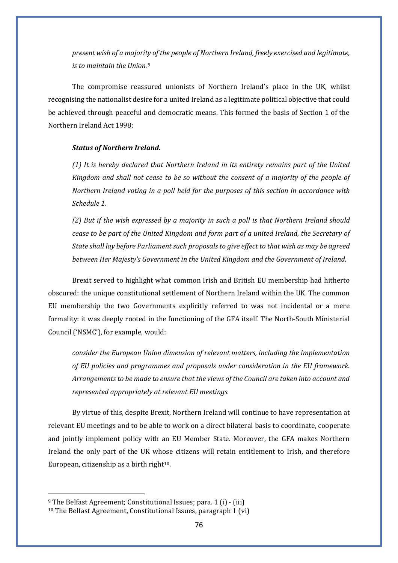*present wish of a majority of the people of Northern Ireland, freely exercised and legitimate, is to maintain the Union.[9](#page-78-0)*

The compromise reassured unionists of Northern Ireland's place in the UK, whilst recognising the nationalist desire for a united Ireland as a legitimate political objective that could be achieved through peaceful and democratic means. This formed the basis of Section 1 of the Northern Ireland Act 1998:

#### *Status of Northern Ireland.*

*(1) It is hereby declared that Northern Ireland in its entirety remains part of the United Kingdom and shall not cease to be so without the consent of a majority of the people of Northern Ireland voting in a poll held for the purposes of this section in accordance with Schedule 1.*

*(2) But if the wish expressed by a majority in such a poll is that Northern Ireland should cease to be part of the United Kingdom and form part of a united Ireland, the Secretary of State shall lay before Parliament such proposals to give effect to that wish as may be agreed between Her Majesty's Government in the United Kingdom and the Government of Ireland.*

Brexit served to highlight what common Irish and British EU membership had hitherto obscured: the unique constitutional settlement of Northern Ireland within the UK. The common EU membership the two Governments explicitly referred to was not incidental or a mere formality: it was deeply rooted in the functioning of the GFA itself. The North-South Ministerial Council ('NSMC'), for example, would:

*consider the European Union dimension of relevant matters, including the implementation of EU policies and programmes and proposals under consideration in the EU framework. Arrangements to be made to ensure that the views of the Council are taken into account and represented appropriately at relevant EU meetings.*

By virtue of this, despite Brexit, Northern Ireland will continue to have representation at relevant EU meetings and to be able to work on a direct bilateral basis to coordinate, cooperate and jointly implement policy with an EU Member State. Moreover, the GFA makes Northern Ireland the only part of the UK whose citizens will retain entitlement to Irish, and therefore European, citizenship as a birth right $10$ .

<span id="page-78-0"></span><sup>9</sup> The Belfast Agreement; Constitutional Issues; para. 1 (i) - (iii)

<span id="page-78-1"></span><sup>10</sup> The Belfast Agreement, Constitutional Issues, paragraph 1 (vi)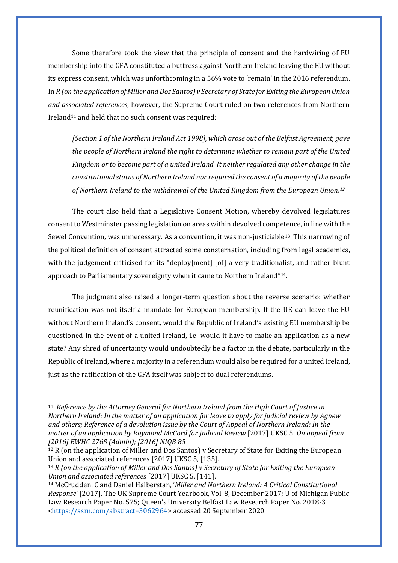Some therefore took the view that the principle of consent and the hardwiring of EU membership into the GFA constituted a buttress against Northern Ireland leaving the EU without its express consent, which was unforthcoming in a 56% vote to 'remain' in the 2016 referendum. In *R (on the application of Miller and Dos Santos) v Secretary of State for Exiting the European Union and associated references*, however, the Supreme Court ruled on two references from Northern Ireland<sup>[11](#page-79-0)</sup> and held that no such consent was required:

*[Section 1 of the Northern Ireland Act 1998], which arose out of the Belfast Agreement, gave the people of Northern Ireland the right to determine whether to remain part of the United Kingdom or to become part of a united Ireland. It neither regulated any other change in the constitutional status of Northern Ireland nor required the consent of a majority of the people of Northern Ireland to the withdrawal of the United Kingdom from the European Union.[12](#page-79-1)*

The court also held that a Legislative Consent Motion, whereby devolved legislatures consent to Westminster passing legislation on areas within devolved competence, in line with the Sewel Convention, was unnecessary. As a convention, it was non-justiciable<sup>[13](#page-79-2)</sup>. This narrowing of the political definition of consent attracted some consternation, including from legal academics, with the judgement criticised for its "deploy[ment] [of] a very traditionalist, and rather blunt approach to Parliamentary sovereignty when it came to Northern Ireland"[14.](#page-79-3)

The judgment also raised a longer-term question about the reverse scenario: whether reunification was not itself a mandate for European membership. If the UK can leave the EU without Northern Ireland's consent, would the Republic of Ireland's existing EU membership be questioned in the event of a united Ireland, i.e. would it have to make an application as a new state? Any shred of uncertainty would undoubtedly be a factor in the debate, particularly in the Republic of Ireland, where a majority in a referendum would also be required for a united Ireland, just as the ratification of the GFA itself was subject to dual referendums.

<span id="page-79-0"></span><sup>11</sup> *Reference by the Attorney General for Northern Ireland from the High Court of Justice in Northern Ireland: In the matter of an application for leave to apply for judicial review by Agnew and others; Reference of a devolution issue by the Court of Appeal of Northern Ireland: In the matter of an application by Raymond McCord for Judicial Review* [2017] UKSC 5. *On appeal from [2016] EWHC 2768 (Admin); [2016] NIQB 85*

<span id="page-79-1"></span><sup>&</sup>lt;sup>12</sup> R (on the application of Miller and Dos Santos) v Secretary of State for Exiting the European Union and associated references [2017] UKSC 5, [135].

<span id="page-79-2"></span><sup>13</sup> *R (on the application of Miller and Dos Santos) v Secretary of State for Exiting the European Union and associated references* [2017] UKSC 5, [141].

<span id="page-79-3"></span><sup>14</sup> McCrudden, C and Daniel Halberstan, '*Miller and Northern Ireland: A Critical Constitutional Response*' [2017]. The UK Supreme Court Yearbook, Vol. 8, December 2017; U of Michigan Public Law Research Paper No. 575; Queen's University Belfast Law Research Paper No. 2018-3 [<https://ssrn.com/abstract=3062964>](https://ssrn.com/abstract=3062964) accessed 20 September 2020.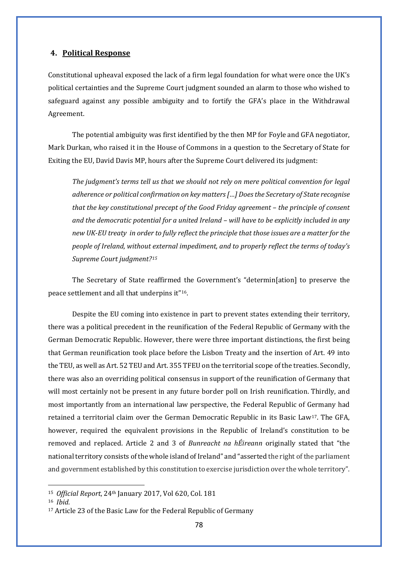# **4. Political Response**

Constitutional upheaval exposed the lack of a firm legal foundation for what were once the UK's political certainties and the Supreme Court judgment sounded an alarm to those who wished to safeguard against any possible ambiguity and to fortify the GFA's place in the Withdrawal Agreement.

The potential ambiguity was first identified by the then MP for Foyle and GFA negotiator, Mark Durkan, who raised it in the House of Commons in a question to the Secretary of State for Exiting the EU, David Davis MP, hours after the Supreme Court delivered its judgment:

*The judgment's terms tell us that we should not rely on mere political convention for legal adherence or political confirmation on key matters […] Does the Secretary of State recognise that the key constitutional precept of the Good Friday agreement – the principle of consent and the democratic potential for a united Ireland – will have to be explicitly included in any new UK-EU treaty in order to fully reflect the principle that those issues are a matter for the people of Ireland, without external impediment, and to properly reflect the terms of today's Supreme Court judgment?[15](#page-80-0)*

The Secretary of State reaffirmed the Government's "determin[ation] to preserve the peace settlement and all that underpins it"[16](#page-80-1).

Despite the EU coming into existence in part to prevent states extending their territory, there was a political precedent in the reunification of the Federal Republic of Germany with the German Democratic Republic. However, there were three important distinctions, the first being that German reunification took place before the Lisbon Treaty and the insertion of Art. 49 into the TEU, as well as Art. 52 TEU and Art. 355 TFEU on the territorial scope of the treaties. Secondly, there was also an overriding political consensus in support of the reunification of Germany that will most certainly not be present in any future border poll on Irish reunification. Thirdly, and most importantly from an international law perspective, the Federal Republic of Germany had retained a territorial claim over the German Democratic Republic in its Basic Law<sup>17</sup>. The GFA, however, required the equivalent provisions in the Republic of Ireland's constitution to be removed and replaced. Article 2 and 3 of *Bunreacht na hÉireann* originally stated that "the national territory consists of the whole island of Ireland" and "asserted the right of the parliament and government established by this constitution to exercise jurisdiction over the whole territory".

<span id="page-80-0"></span><sup>15</sup> *Official Report*, 24th January 2017, Vol 620, Col. 181

<span id="page-80-1"></span><sup>16</sup> *Ibid.*

<span id="page-80-2"></span><sup>17</sup> Article 23 of the Basic Law for the Federal Republic of Germany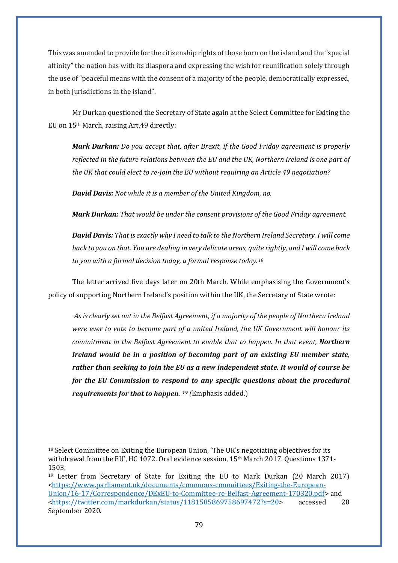This was amended to provide for the citizenship rights of those born on the island and the "special affinity" the nation has with its diaspora and expressing the wish for reunification solely through the use of "peaceful means with the consent of a majority of the people, democratically expressed, in both jurisdictions in the island".

Mr Durkan questioned the Secretary of State again at the Select Committee for Exiting the EU on 15th March, raising Art.49 directly:

*Mark Durkan: Do you accept that, after Brexit, if the Good Friday agreement is properly reflected in the future relations between the EU and the UK, Northern Ireland is one part of the UK that could elect to re-join the EU without requiring an Article 49 negotiation?* 

*David Davis: Not while it is a member of the United Kingdom, no.*

*Mark Durkan: That would be under the consent provisions of the Good Friday agreement.*

*David Davis: That is exactly why I need to talk to the Northern Ireland Secretary. I will come back to you on that. You are dealing in very delicate areas, quite rightly, and I will come back to you with a formal decision today, a formal response today.[18](#page-81-0)*

The letter arrived five days later on 20th March. While emphasising the Government's policy of supporting Northern Ireland's position within the UK, the Secretary of State wrote:

*As is clearly set out in the Belfast Agreement, if a majority of the people of Northern Ireland were ever to vote to become part of a united Ireland, the UK Government will honour its commitment in the Belfast Agreement to enable that to happen. In that event, Northern Ireland would be in a position of becoming part of an existing EU member state, rather than seeking to join the EU as a new independent state. It would of course be for the EU Commission to respond to any specific questions about the procedural requirements for that to happen. [19](#page-81-1) (*Emphasis added.)

<span id="page-81-0"></span><sup>&</sup>lt;sup>18</sup> Select Committee on Exiting the European Union, 'The UK's negotiating objectives for its withdrawal from the EU', HC 1072. Oral evidence session, 15th March 2017. Questions 1371- 1503.

<span id="page-81-1"></span><sup>19</sup> Letter from Secretary of State for Exiting the EU to Mark Durkan (20 March 2017) [<https://www.parliament.uk/documents/commons-committees/Exiting-the-European-](https://www.parliament.uk/documents/commons-committees/Exiting-the-European-Union/16-17/Correspondence/DExEU-to-Committee-re-Belfast-Agreement-170320.pdf)[Union/16-17/Correspondence/DExEU-to-Committee-re-Belfast-Agreement-170320.pdf>](https://www.parliament.uk/documents/commons-committees/Exiting-the-European-Union/16-17/Correspondence/DExEU-to-Committee-re-Belfast-Agreement-170320.pdf) and<br>
<https://twitter.com/markdurkan/status/1181585869758697472?s=20> accessed 20 [<https://twitter.com/markdurkan/status/1181585869758697472?s=20>](https://twitter.com/markdurkan/status/1181585869758697472?s=20) September 2020.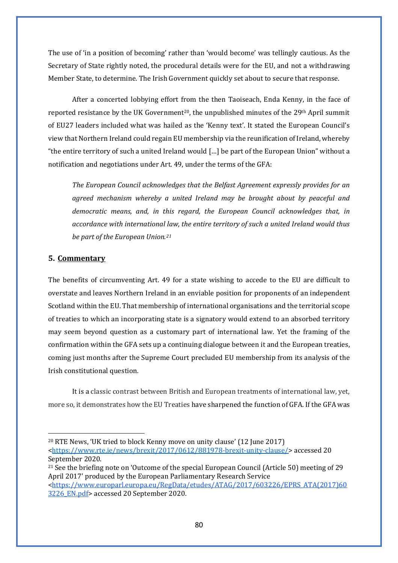The use of 'in a position of becoming' rather than 'would become' was tellingly cautious. As the Secretary of State rightly noted, the procedural details were for the EU, and not a withdrawing Member State, to determine. The Irish Government quickly set about to secure that response.

After a concerted lobbying effort from the then Taoiseach, Enda Kenny, in the face of reported resistance by the UK Government<sup>[20](#page-82-0)</sup>, the unpublished minutes of the  $29<sup>th</sup>$  April summit of EU27 leaders included what was hailed as the 'Kenny text'. It stated the European Council's view that Northern Ireland could regain EU membership via the reunification of Ireland, whereby "the entire territory of such a united Ireland would […] be part of the European Union" without a notification and negotiations under Art. 49, under the terms of the GFA:

*The European Council acknowledges that the Belfast Agreement expressly provides for an agreed mechanism whereby a united Ireland may be brought about by peaceful and democratic means, and, in this regard, the European Council acknowledges that, in accordance with international law, the entire territory of such a united Ireland would thus be part of the European Union.[21](#page-82-1)*

# **5. Commentary**

The benefits of circumventing Art. 49 for a state wishing to accede to the EU are difficult to overstate and leaves Northern Ireland in an enviable position for proponents of an independent Scotland within the EU. That membership of international organisations and the territorial scope of treaties to which an incorporating state is a signatory would extend to an absorbed territory may seem beyond question as a customary part of international law. Yet the framing of the confirmation within the GFA sets up a continuing dialogue between it and the European treaties, coming just months after the Supreme Court precluded EU membership from its analysis of the Irish constitutional question.

It is a classic contrast between British and European treatments of international law, yet, more so, it demonstrates how the EU Treaties have sharpened the function of GFA. If the GFA was

<span id="page-82-0"></span><sup>20</sup> RTE News, 'UK tried to block Kenny move on unity clause' (12 June 2017) [<https://www.rte.ie/news/brexit/2017/0612/881978-brexit-unity-clause/>](https://www.rte.ie/news/brexit/2017/0612/881978-brexit-unity-clause/) accessed 20 September 2020.

<span id="page-82-1"></span><sup>&</sup>lt;sup>21</sup> See the briefing note on 'Outcome of the special European Council (Article 50) meeting of 29 April 2017' produced by the European Parliamentary Research Service [<https://www.europarl.europa.eu/RegData/etudes/ATAG/2017/603226/EPRS\\_ATA\(2017\)60](about:blank) [3226\\_EN.pdf>](about:blank) accessed 20 September 2020.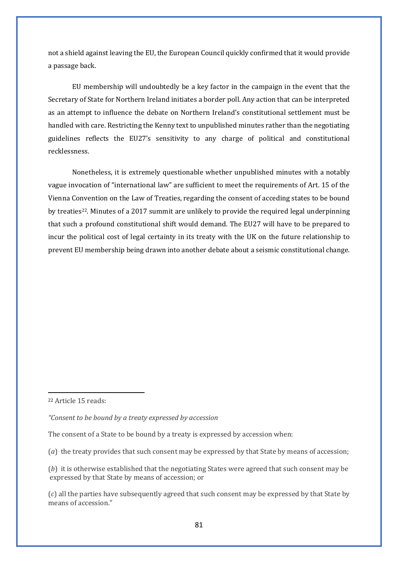not a shield against leaving the EU, the European Council quickly confirmed that it would provide a passage back.

EU membership will undoubtedly be a key factor in the campaign in the event that the Secretary of State for Northern Ireland initiates a border poll. Any action that can be interpreted as an attempt to influence the debate on Northern Ireland's constitutional settlement must be handled with care. Restricting the Kenny text to unpublished minutes rather than the negotiating guidelines reflects the EU27's sensitivity to any charge of political and constitutional recklessness.

Nonetheless, it is extremely questionable whether unpublished minutes with a notably vague invocation of "international law" are sufficient to meet the requirements of Art. 15 of the Vienna Convention on the Law of Treaties, regarding the consent of acceding states to be bound by treaties[22](#page-83-0). Minutes of a 2017 summit are unlikely to provide the required legal underpinning that such a profound constitutional shift would demand. The EU27 will have to be prepared to incur the political cost of legal certainty in its treaty with the UK on the future relationship to prevent EU membership being drawn into another debate about a seismic constitutional change.

<span id="page-83-0"></span><sup>22</sup> Article 15 reads:

*"Consent to be bound by a treaty expressed by accession*

The consent of a State to be bound by a treaty is expressed by accession when:

(*a*) the treaty provides that such consent may be expressed by that State by means of accession;

(*b*) it is otherwise established that the negotiating States were agreed that such consent may be expressed by that State by means of accession; or

(*c*) all the parties have subsequently agreed that such consent may be expressed by that State by means of accession."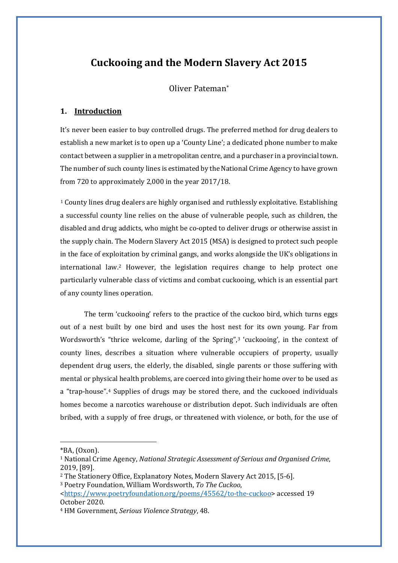# **Cuckooing and the Modern Slavery Act 2015**

Oliver Pateman\*

# **1. Introduction**

It's never been easier to buy controlled drugs. The preferred method for drug dealers to establish a new market is to open up a 'County Line'; a dedicated phone number to make contact between a supplier in a metropolitan centre, and a purchaser in a provincial town. The number of such county lines is estimated by the National Crime Agency to have grown from 720 to approximately 2,000 in the year 2017/18.

[1](#page-84-0) County lines drug dealers are highly organised and ruthlessly exploitative. Establishing a successful county line relies on the abuse of vulnerable people, such as children, the disabled and drug addicts, who might be co-opted to deliver drugs or otherwise assist in the supply chain. The Modern Slavery Act 2015 (MSA) is designed to protect such people in the face of exploitation by criminal gangs, and works alongside the UK's obligations in international law.[2](#page-84-1) However, the legislation requires change to help protect one particularly vulnerable class of victims and combat cuckooing, which is an essential part of any county lines operation.

The term 'cuckooing' refers to the practice of the cuckoo bird, which turns eggs out of a nest built by one bird and uses the host nest for its own young. Far from Wordsworth's "thrice welcome, darling of the Spring",<sup>3</sup> 'cuckooing', in the context of county lines, describes a situation where vulnerable occupiers of property, usually dependent drug users, the elderly, the disabled, single parents or those suffering with mental or physical health problems, are coerced into giving their home over to be used as a "trap-house".[4](#page-84-3) Supplies of drugs may be stored there, and the cuckooed individuals homes become a narcotics warehouse or distribution depot. Such individuals are often bribed, with a supply of free drugs, or threatened with violence, or both, for the use of

<span id="page-84-0"></span> $*BA$ ,  $(0xon)$ .

<sup>1</sup> National Crime Agency, *National Strategic Assessment of Serious and Organised Crime*, 2019, [89].

<span id="page-84-1"></span><sup>2</sup> The Stationery Office, Explanatory Notes, Modern Slavery Act 2015, [5-6].

<span id="page-84-2"></span><sup>3</sup> Poetry Foundation, William Wordsworth, *To The Cuckoo*,

[<sup>&</sup>lt;https://www.poetryfoundation.org/poems/45562/to-the-cuckoo>](https://www.poetryfoundation.org/poems/45562/to-the-cuckoo) accessed 19 October 2020.

<span id="page-84-3"></span><sup>4</sup> HM Government, *Serious Violence Strategy*, 48.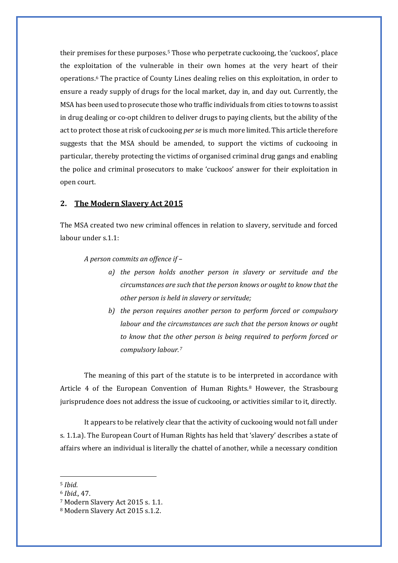their premises for these purposes[.5](#page-85-0) Those who perpetrate cuckooing, the 'cuckoos', place the exploitation of the vulnerable in their own homes at the very heart of their operations[.6](#page-85-1) The practice of County Lines dealing relies on this exploitation, in order to ensure a ready supply of drugs for the local market, day in, and day out. Currently, the MSA has been used to prosecute those who traffic individuals from cities to towns to assist in drug dealing or co-opt children to deliver drugs to paying clients, but the ability of the act to protect those at risk of cuckooing *per se* is much more limited. This article therefore suggests that the MSA should be amended, to support the victims of cuckooing in particular, thereby protecting the victims of organised criminal drug gangs and enabling the police and criminal prosecutors to make 'cuckoos' answer for their exploitation in open court.

# **2. The Modern Slavery Act 2015**

The MSA created two new criminal offences in relation to slavery, servitude and forced labour under s.1.1:

*A person commits an offence if –*

- *a) the person holds another person in slavery or servitude and the circumstances are such that the person knows or ought to know that the other person is held in slavery or servitude;*
- *b) the person requires another person to perform forced or compulsory labour and the circumstances are such that the person knows or ought to know that the other person is being required to perform forced or compulsory labour.[7](#page-85-2)*

The meaning of this part of the statute is to be interpreted in accordance with Article 4 of the European Convention of Human Rights.<sup>[8](#page-85-3)</sup> However, the Strasbourg jurisprudence does not address the issue of cuckooing, or activities similar to it, directly.

It appears to be relatively clear that the activity of cuckooing would not fall under s. 1.1.a). The European Court of Human Rights has held that 'slavery' describes a state of affairs where an individual is literally the chattel of another, while a necessary condition

<span id="page-85-0"></span><sup>5</sup> *Ibid.*

<span id="page-85-1"></span><sup>6</sup> *Ibid.,* 47.

<span id="page-85-2"></span><sup>7</sup> Modern Slavery Act 2015 s. 1.1.

<span id="page-85-3"></span><sup>8</sup> Modern Slavery Act 2015 s.1.2.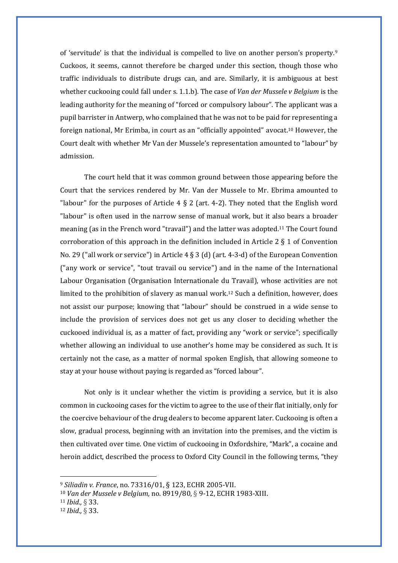of 'servitude' is that the individual is compelled to live on another person's property.[9](#page-86-0) Cuckoos, it seems, cannot therefore be charged under this section, though those who traffic individuals to distribute drugs can, and are. Similarly, it is ambiguous at best whether cuckooing could fall under s. 1.1.b). The case of *Van der Mussele v Belgium* is the leading authority for the meaning of "forced or compulsory labour". The applicant was a pupil barrister in Antwerp, who complained that he was not to be paid for representing a foreign national, Mr Erimba, in court as an "officially appointed" avocat.[10](#page-86-1) However, the Court dealt with whether Mr Van der Mussele's representation amounted to "labour" by admission.

The court held that it was common ground between those appearing before the Court that the services rendered by Mr. Van der Mussele to Mr. Ebrima amounted to "labour" for the purposes of Article  $4 \xi$  2 (art. 4-2). They noted that the English word "labour" is often used in the narrow sense of manual work, but it also bears a broader meaning (as in the French word "travail") and the latter was adopted.[11](#page-86-2) The Court found corroboration of this approach in the definition included in Article 2  $\S$  1 of Convention No. 29 ("all work or service") in Article 4 § 3 (d) (art. 4-3-d) of the European Convention ("any work or service", "tout travail ou service") and in the name of the International Labour Organisation (Organisation Internationale du Travail), whose activities are not limited to the prohibition of slavery as manual work.[12](#page-86-3) Such a definition, however, does not assist our purpose; knowing that "labour" should be construed in a wide sense to include the provision of services does not get us any closer to deciding whether the cuckooed individual is, as a matter of fact, providing any "work or service"; specifically whether allowing an individual to use another's home may be considered as such. It is certainly not the case, as a matter of normal spoken English, that allowing someone to stay at your house without paying is regarded as "forced labour".

Not only is it unclear whether the victim is providing a service, but it is also common in cuckooing cases for the victim to agree to the use of their flat initially, only for the coercive behaviour of the drug dealers to become apparent later. Cuckooing is often a slow, gradual process, beginning with an invitation into the premises, and the victim is then cultivated over time. One victim of cuckooing in Oxfordshire, "Mark", a cocaine and heroin addict, described the process to Oxford City Council in the following terms, "they

<span id="page-86-0"></span><sup>9</sup> *Siliadin v. France*, no. 73316/01, § 123, ECHR 2005-VII.

<span id="page-86-1"></span><sup>10</sup> *Van der Mussele v Belgium,* no. 8919/80, § 9-12, ECHR 1983-XIII.

<span id="page-86-2"></span><sup>11</sup> *Ibid.,* § 33.

<span id="page-86-3"></span><sup>12</sup> *Ibid.,* § 33.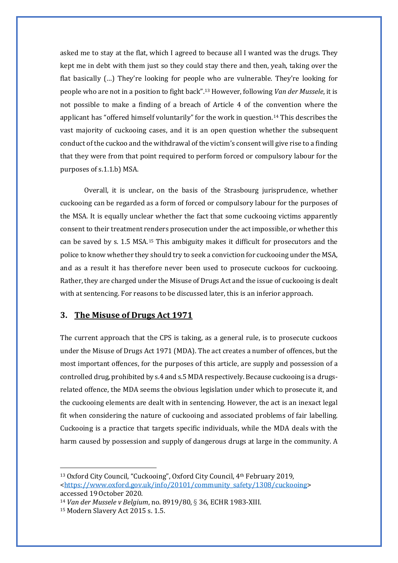asked me to stay at the flat, which I agreed to because all I wanted was the drugs. They kept me in debt with them just so they could stay there and then, yeah, taking over the flat basically (…) They're looking for people who are vulnerable. They're looking for people who are not in a position to fight back"[.13](#page-87-0) However, following *Van der Mussele*, it is not possible to make a finding of a breach of Article 4 of the convention where the applicant has "offered himself voluntarily" for the work in question.[14](#page-87-1) This describes the vast majority of cuckooing cases, and it is an open question whether the subsequent conduct of the cuckoo and the withdrawal of the victim's consent will give rise to a finding that they were from that point required to perform forced or compulsory labour for the purposes of s.1.1.b) MSA.

Overall, it is unclear, on the basis of the Strasbourg jurisprudence, whether cuckooing can be regarded as a form of forced or compulsory labour for the purposes of the MSA. It is equally unclear whether the fact that some cuckooing victims apparently consent to their treatment renders prosecution under the act impossible, or whether this can be saved by s. 1.5 MSA.[15](#page-87-2) This ambiguity makes it difficult for prosecutors and the police to know whether they should try to seek a conviction for cuckooing under the MSA, and as a result it has therefore never been used to prosecute cuckoos for cuckooing. Rather, they are charged under the Misuse of Drugs Act and the issue of cuckooing is dealt with at sentencing. For reasons to be discussed later, this is an inferior approach.

#### **3. The Misuse of Drugs Act 1971**

The current approach that the CPS is taking, as a general rule, is to prosecute cuckoos under the Misuse of Drugs Act 1971 (MDA). The act creates a number of offences, but the most important offences, for the purposes of this article, are supply and possession of a controlled drug, prohibited by s.4 and s.5 MDA respectively. Because cuckooing is a drugsrelated offence, the MDA seems the obvious legislation under which to prosecute it, and the cuckooing elements are dealt with in sentencing. However, the act is an inexact legal fit when considering the nature of cuckooing and associated problems of fair labelling. Cuckooing is a practice that targets specific individuals, while the MDA deals with the harm caused by possession and supply of dangerous drugs at large in the community. A

<span id="page-87-0"></span><sup>13</sup> Oxford City Council, "Cuckooing", Oxford City Council, 4th February 2019, [<https://www.oxford.gov.uk/info/20101/community\\_safety/1308/cuckooing>](https://www.oxford.gov.uk/info/20101/community_safety/1308/cuckooing) accessed 19October 2020.

<span id="page-87-1"></span><sup>14</sup> *Van der Mussele v Belgium*, no. 8919/80, § 36, ECHR 1983-XIII.

<span id="page-87-2"></span><sup>15</sup> Modern Slavery Act 2015 s. 1.5.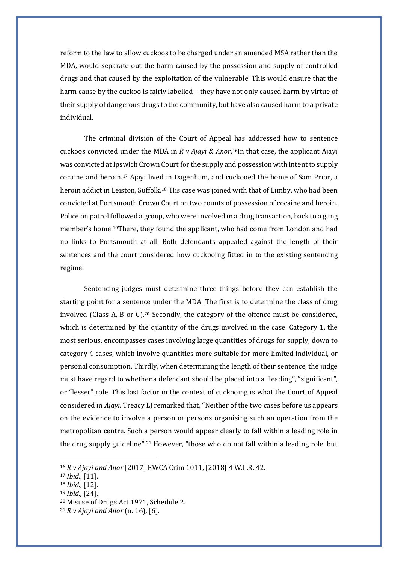reform to the law to allow cuckoos to be charged under an amended MSA rather than the MDA, would separate out the harm caused by the possession and supply of controlled drugs and that caused by the exploitation of the vulnerable. This would ensure that the harm cause by the cuckoo is fairly labelled – they have not only caused harm by virtue of their supply of dangerous drugs to the community, but have also caused harm to a private individual.

The criminal division of the Court of Appeal has addressed how to sentence cuckoos convicted under the MDA in *R v Ajayi & Anor*.[16](#page-88-0)In that case, the applicant Ajayi was convicted at Ipswich Crown Court for the supply and possession with intent to supply cocaine and heroin.[17](#page-88-1) Ajayi lived in Dagenham, and cuckooed the home of Sam Prior, a heroin addict in Leiston, Suffolk.<sup>[18](#page-88-2)</sup> His case was joined with that of Limby, who had been convicted at Portsmouth Crown Court on two counts of possession of cocaine and heroin. Police on patrol followed a group, who were involved in a drug transaction, back to a gang member's home.[19](#page-88-3)There, they found the applicant, who had come from London and had no links to Portsmouth at all. Both defendants appealed against the length of their sentences and the court considered how cuckooing fitted in to the existing sentencing regime.

Sentencing judges must determine three things before they can establish the starting point for a sentence under the MDA. The first is to determine the class of drug involved (Class A, B or C).[20](#page-88-4) Secondly, the category of the offence must be considered, which is determined by the quantity of the drugs involved in the case. Category 1, the most serious, encompasses cases involving large quantities of drugs for supply, down to category 4 cases, which involve quantities more suitable for more limited individual, or personal consumption. Thirdly, when determining the length of their sentence, the judge must have regard to whether a defendant should be placed into a "leading", "significant", or "lesser" role. This last factor in the context of cuckooing is what the Court of Appeal considered in *Ajayi*. Treacy LJ remarked that, "Neither of the two cases before us appears on the evidence to involve a person or persons organising such an operation from the metropolitan centre. Such a person would appear clearly to fall within a leading role in the drug supply guideline".[21](#page-88-5) However, "those who do not fall within a leading role, but

<span id="page-88-0"></span><sup>16</sup> *R v Ajayi and Anor* [2017] EWCA Crim 1011, [2018] 4 W.L.R. 42.

<span id="page-88-1"></span><sup>17</sup> *Ibid.,* [11].

<span id="page-88-3"></span><span id="page-88-2"></span><sup>18</sup> *Ibid.,* [12].

<sup>19</sup> *Ibid.,* [24].

<span id="page-88-4"></span><sup>20</sup> Misuse of Drugs Act 1971, Schedule 2.

<span id="page-88-5"></span><sup>21</sup> *R v Ajayi and Anor* (n. 16)*,* [6].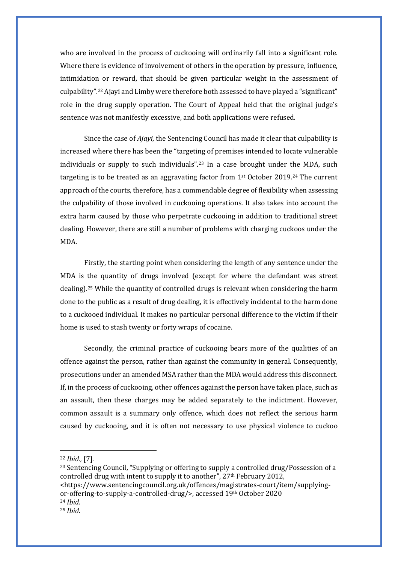who are involved in the process of cuckooing will ordinarily fall into a significant role. Where there is evidence of involvement of others in the operation by pressure, influence, intimidation or reward, that should be given particular weight in the assessment of culpability".[22](#page-89-0) Ajayi and Limby were therefore both assessed to have played a "significant" role in the drug supply operation. The Court of Appeal held that the original judge's sentence was not manifestly excessive, and both applications were refused.

Since the case of *Ajayi*, the Sentencing Council has made it clear that culpability is increased where there has been the "targeting of premises intended to locate vulnerable individuals or supply to such individuals".[23](#page-89-1) In a case brought under the MDA, such targeting is to be treated as an aggravating factor from 1st October 2019.[24](#page-89-2) The current approach of the courts, therefore, has a commendable degree of flexibility when assessing the culpability of those involved in cuckooing operations. It also takes into account the extra harm caused by those who perpetrate cuckooing in addition to traditional street dealing. However, there are still a number of problems with charging cuckoos under the MDA.

Firstly, the starting point when considering the length of any sentence under the MDA is the quantity of drugs involved (except for where the defendant was street dealing)[.25](#page-89-3) While the quantity of controlled drugs is relevant when considering the harm done to the public as a result of drug dealing, it is effectively incidental to the harm done to a cuckooed individual. It makes no particular personal difference to the victim if their home is used to stash twenty or forty wraps of cocaine.

Secondly, the criminal practice of cuckooing bears more of the qualities of an offence against the person, rather than against the community in general. Consequently, prosecutions under an amended MSA rather than the MDA would address this disconnect. If, in the process of cuckooing, other offences against the person have taken place, such as an assault, then these charges may be added separately to the indictment. However, common assault is a summary only offence, which does not reflect the serious harm caused by cuckooing, and it is often not necessary to use physical violence to cuckoo

<span id="page-89-1"></span><sup>23</sup> Sentencing Council, "Supplying or offering to supply a controlled drug/Possession of a controlled drug with intent to supply it to another", 27<sup>th</sup> February 2012, <https://www.sentencingcouncil.org.uk/offences/magistrates-court/item/supplyingor-offering-to-supply-a-controlled-drug/>, accessed 19th October 2020

<span id="page-89-0"></span><sup>22</sup> *Ibid.,* [7].

<span id="page-89-2"></span><sup>24</sup> *Ibid.*

<span id="page-89-3"></span><sup>25</sup> *Ibid.*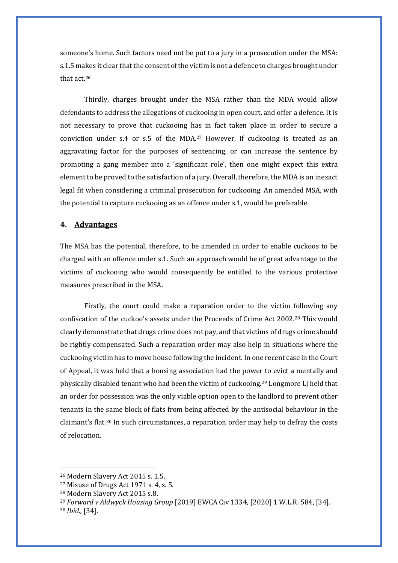someone's home. Such factors need not be put to a jury in a prosecution under the MSA: s.1.5 makes it clear that the consent of the victim is not a defence to charges brought under that act.[26](#page-90-0)

Thirdly, charges brought under the MSA rather than the MDA would allow defendants to address the allegations of cuckooing in open court, and offer a defence. It is not necessary to prove that cuckooing has in fact taken place in order to secure a conviction under s.4 or s.5 of the  $MDA<sup>27</sup>$  $MDA<sup>27</sup>$  $MDA<sup>27</sup>$  However, if cuckooing is treated as an aggravating factor for the purposes of sentencing, or can increase the sentence by promoting a gang member into a 'significant role', then one might expect this extra element to be proved to the satisfaction of a jury. Overall, therefore, the MDA is an inexact legal fit when considering a criminal prosecution for cuckooing. An amended MSA, with the potential to capture cuckooing as an offence under s.1, would be preferable.

#### **4. Advantages**

The MSA has the potential, therefore, to be amended in order to enable cuckoos to be charged with an offence under s.1. Such an approach would be of great advantage to the victims of cuckooing who would consequently be entitled to the various protective measures prescribed in the MSA.

Firstly, the court could make a reparation order to the victim following any confiscation of the cuckoo's assets under the Proceeds of Crime Act 2002.[28](#page-90-2) This would clearly demonstrate that drugs crime does not pay, and that victims of drugs crime should be rightly compensated. Such a reparation order may also help in situations where the cuckooing victim has to move house following the incident. In one recent case in the Court of Appeal, it was held that a housing association had the power to evict a mentally and physically disabled tenant who had been the victim of cuckooing.[29](#page-90-3) Longmore LJ held that an order for possession was the only viable option open to the landlord to prevent other tenants in the same block of flats from being affected by the antisocial behaviour in the claimant's flat.[30](#page-90-4) In such circumstances, a reparation order may help to defray the costs of relocation.

<span id="page-90-0"></span><sup>26</sup> Modern Slavery Act 2015 s. 1.5.

<span id="page-90-1"></span><sup>27</sup> Misuse of Drugs Act 1971 s. 4, s. 5.

<span id="page-90-2"></span><sup>28</sup> Modern Slavery Act 2015 s.8.

<span id="page-90-4"></span><span id="page-90-3"></span><sup>29</sup> *Forward v Aldwyck Housing Group* [2019] EWCA Civ 1334, [2020] 1 W.L.R. 584, [34]. <sup>30</sup> *Ibid.,* [34].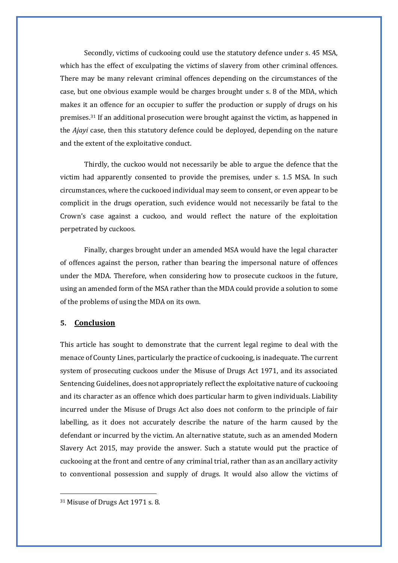Secondly, victims of cuckooing could use the statutory defence under s. 45 MSA, which has the effect of exculpating the victims of slavery from other criminal offences. There may be many relevant criminal offences depending on the circumstances of the case, but one obvious example would be charges brought under s. 8 of the MDA, which makes it an offence for an occupier to suffer the production or supply of drugs on his premises.[31](#page-91-0) If an additional prosecution were brought against the victim, as happened in the *Ajayi* case, then this statutory defence could be deployed, depending on the nature and the extent of the exploitative conduct.

Thirdly, the cuckoo would not necessarily be able to argue the defence that the victim had apparently consented to provide the premises, under s. 1.5 MSA. In such circumstances, where the cuckooed individual may seem to consent, or even appear to be complicit in the drugs operation, such evidence would not necessarily be fatal to the Crown's case against a cuckoo, and would reflect the nature of the exploitation perpetrated by cuckoos.

Finally, charges brought under an amended MSA would have the legal character of offences against the person, rather than bearing the impersonal nature of offences under the MDA. Therefore, when considering how to prosecute cuckoos in the future, using an amended form of the MSA rather than the MDA could provide a solution to some of the problems of using the MDA on its own.

## **5. Conclusion**

This article has sought to demonstrate that the current legal regime to deal with the menace of County Lines, particularly the practice of cuckooing, is inadequate. The current system of prosecuting cuckoos under the Misuse of Drugs Act 1971, and its associated Sentencing Guidelines, does not appropriately reflect the exploitative nature of cuckooing and its character as an offence which does particular harm to given individuals. Liability incurred under the Misuse of Drugs Act also does not conform to the principle of fair labelling, as it does not accurately describe the nature of the harm caused by the defendant or incurred by the victim. An alternative statute, such as an amended Modern Slavery Act 2015, may provide the answer. Such a statute would put the practice of cuckooing at the front and centre of any criminal trial, rather than as an ancillary activity to conventional possession and supply of drugs. It would also allow the victims of

<span id="page-91-0"></span><sup>31</sup> Misuse of Drugs Act 1971 s. 8.